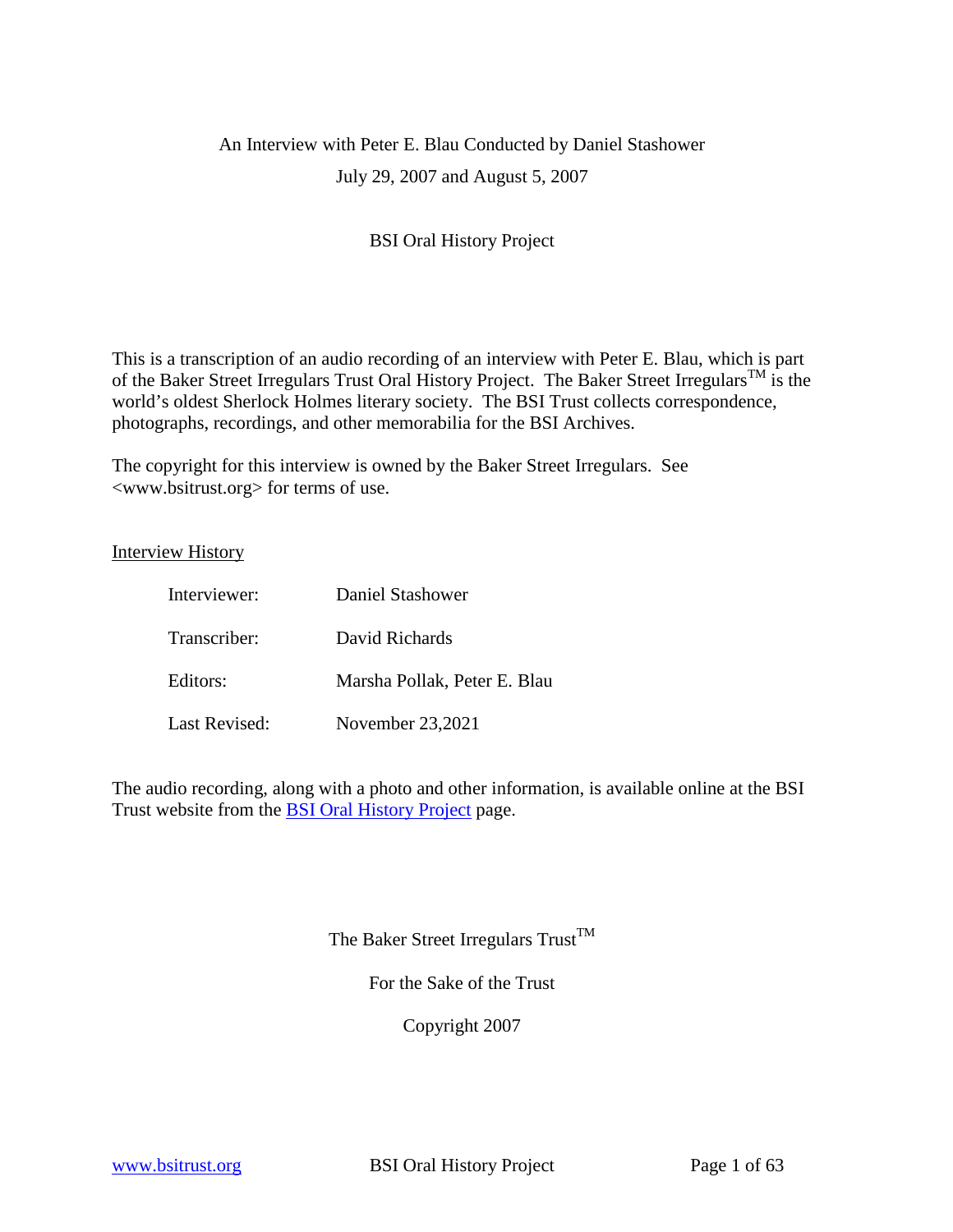# An Interview with Peter E. Blau Conducted by Daniel Stashower July 29, 2007 and August 5, 2007

# BSI Oral History Project

This is a transcription of an audio recording of an interview with Peter E. Blau, which is part of the Baker Street Irregulars Trust Oral History Project. The Baker Street Irregulars<sup>TM</sup> is the world's oldest Sherlock Holmes literary society. The BSI Trust collects correspondence, photographs, recordings, and other memorabilia for the BSI Archives.

The copyright for this interview is owned by the Baker Street Irregulars. See <www.bsitrust.org> for terms of use.

Interview History

| Interviewer:         | Daniel Stashower             |
|----------------------|------------------------------|
| Transcriber:         | David Richards               |
| Editors:             | Marsha Pollak, Peter E. Blau |
| <b>Last Revised:</b> | November 23,2021             |

The audio recording, along with a photo and other information, is available online at the BSI Trust website from the [BSI Oral History Project](http://www.bsitrust.org/2015/01/oral-history.html) page.

The Baker Street Irregulars  $T_{\text{rust}}^{T M}$ 

For the Sake of the Trust

Copyright 2007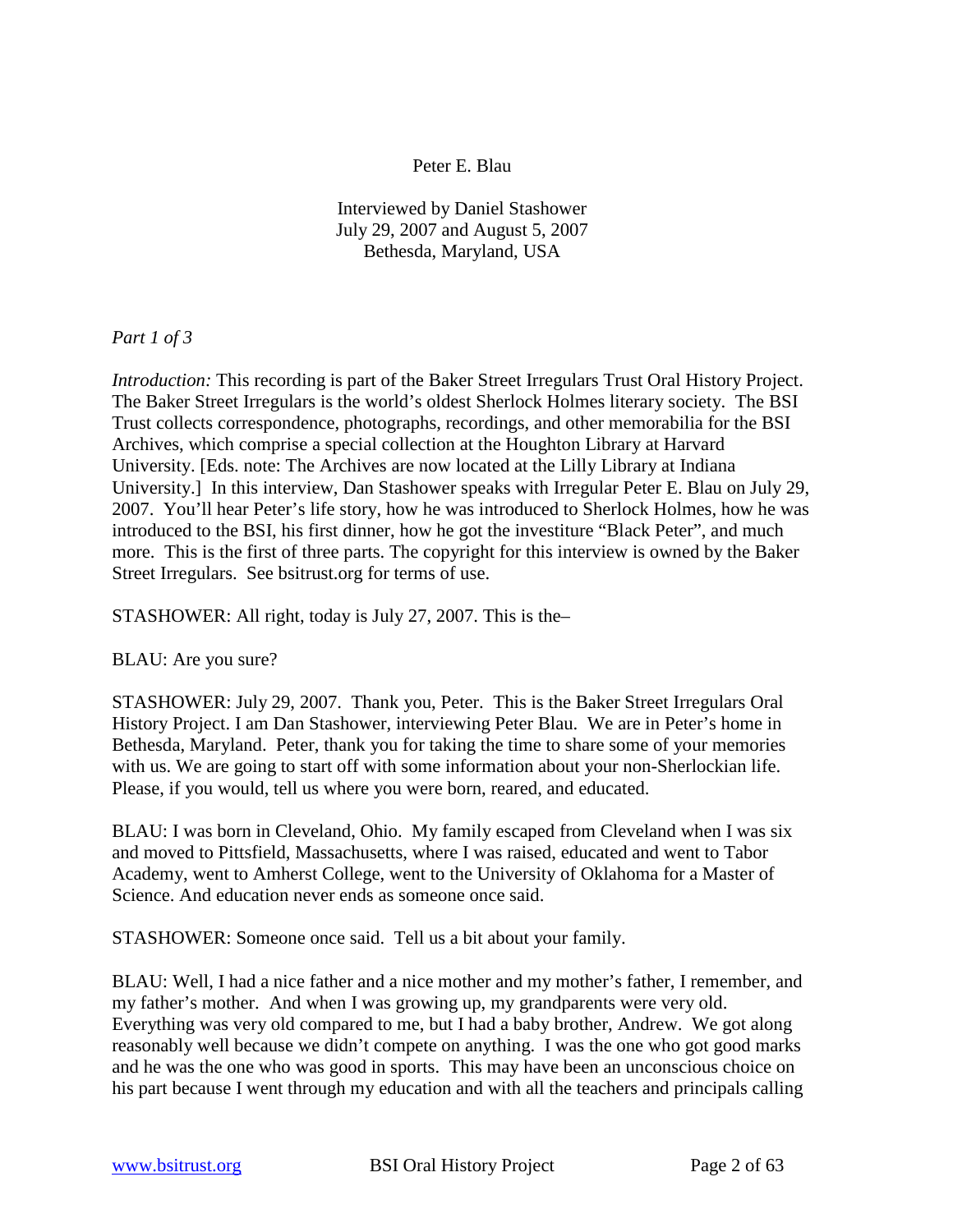## Peter E. Blau

Interviewed by Daniel Stashower July 29, 2007 and August 5, 2007 Bethesda, Maryland, USA

*Part 1 of 3*

*Introduction:* This recording is part of the Baker Street Irregulars Trust Oral History Project. The Baker Street Irregulars is the world's oldest Sherlock Holmes literary society. The BSI Trust collects correspondence, photographs, recordings, and other memorabilia for the BSI Archives, which comprise a special collection at the Houghton Library at Harvard University. [Eds. note: The Archives are now located at the Lilly Library at Indiana University.] In this interview, Dan Stashower speaks with Irregular Peter E. Blau on July 29, 2007. You'll hear Peter's life story, how he was introduced to Sherlock Holmes, how he was introduced to the BSI, his first dinner, how he got the investiture "Black Peter", and much more. This is the first of three parts. The copyright for this interview is owned by the Baker Street Irregulars. See bsitrust.org for terms of use.

STASHOWER: All right, today is July 27, 2007. This is the–

BLAU: Are you sure?

STASHOWER: July 29, 2007. Thank you, Peter. This is the Baker Street Irregulars Oral History Project. I am Dan Stashower, interviewing Peter Blau. We are in Peter's home in Bethesda, Maryland. Peter, thank you for taking the time to share some of your memories with us. We are going to start off with some information about your non-Sherlockian life. Please, if you would, tell us where you were born, reared, and educated.

BLAU: I was born in Cleveland, Ohio. My family escaped from Cleveland when I was six and moved to Pittsfield, Massachusetts, where I was raised, educated and went to Tabor Academy, went to Amherst College, went to the University of Oklahoma for a Master of Science. And education never ends as someone once said.

STASHOWER: Someone once said. Tell us a bit about your family.

BLAU: Well, I had a nice father and a nice mother and my mother's father, I remember, and my father's mother. And when I was growing up, my grandparents were very old. Everything was very old compared to me, but I had a baby brother, Andrew. We got along reasonably well because we didn't compete on anything. I was the one who got good marks and he was the one who was good in sports. This may have been an unconscious choice on his part because I went through my education and with all the teachers and principals calling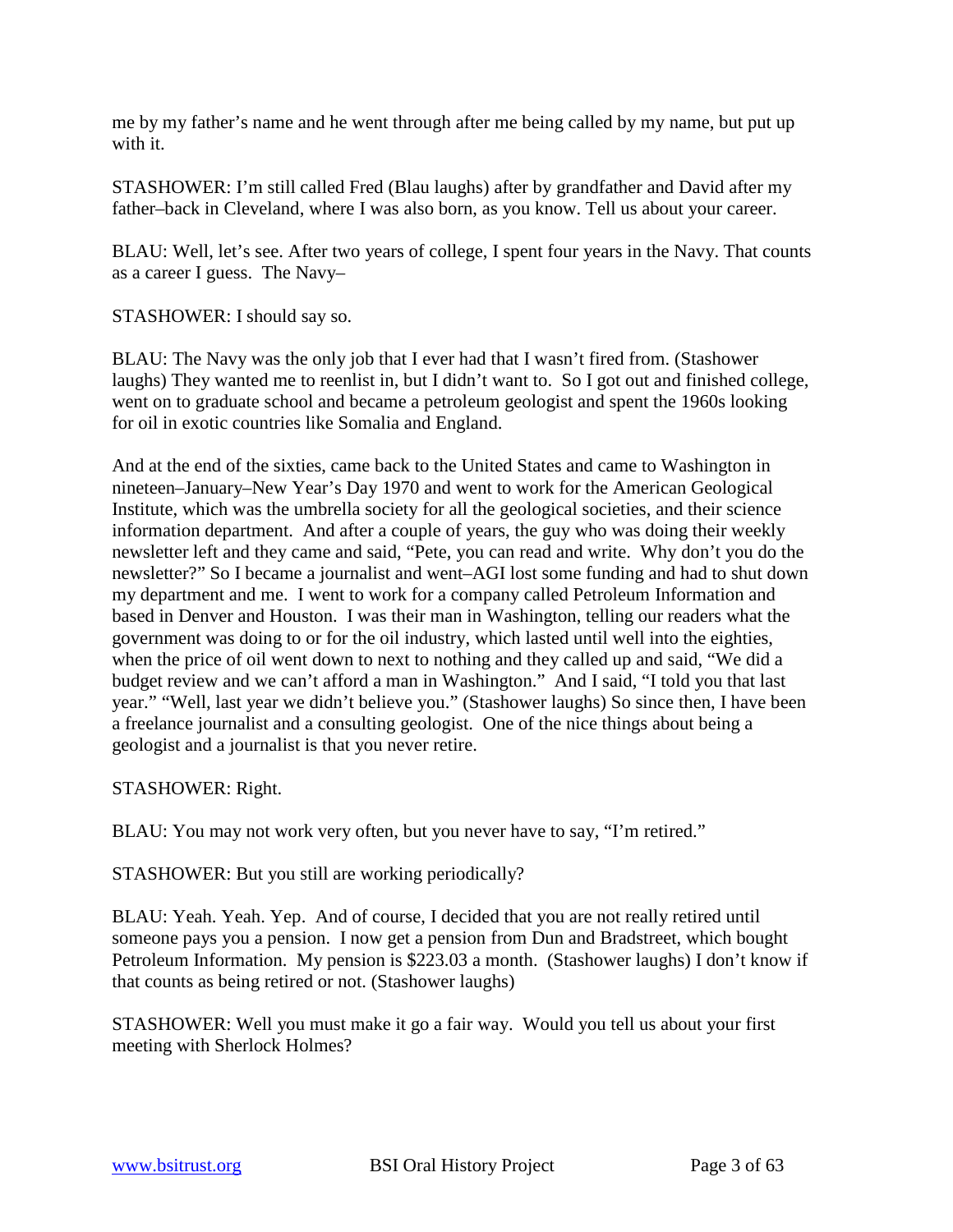me by my father's name and he went through after me being called by my name, but put up with it.

STASHOWER: I'm still called Fred (Blau laughs) after by grandfather and David after my father–back in Cleveland, where I was also born, as you know. Tell us about your career.

BLAU: Well, let's see. After two years of college, I spent four years in the Navy. That counts as a career I guess. The Navy–

STASHOWER: I should say so.

BLAU: The Navy was the only job that I ever had that I wasn't fired from. (Stashower laughs) They wanted me to reenlist in, but I didn't want to. So I got out and finished college, went on to graduate school and became a petroleum geologist and spent the 1960s looking for oil in exotic countries like Somalia and England.

And at the end of the sixties, came back to the United States and came to Washington in nineteen–January–New Year's Day 1970 and went to work for the American Geological Institute, which was the umbrella society for all the geological societies, and their science information department. And after a couple of years, the guy who was doing their weekly newsletter left and they came and said, "Pete, you can read and write. Why don't you do the newsletter?" So I became a journalist and went–AGI lost some funding and had to shut down my department and me. I went to work for a company called Petroleum Information and based in Denver and Houston. I was their man in Washington, telling our readers what the government was doing to or for the oil industry, which lasted until well into the eighties, when the price of oil went down to next to nothing and they called up and said, "We did a budget review and we can't afford a man in Washington." And I said, "I told you that last year." "Well, last year we didn't believe you." (Stashower laughs) So since then, I have been a freelance journalist and a consulting geologist. One of the nice things about being a geologist and a journalist is that you never retire.

STASHOWER: Right.

BLAU: You may not work very often, but you never have to say, "I'm retired."

STASHOWER: But you still are working periodically?

BLAU: Yeah. Yeah. Yep. And of course, I decided that you are not really retired until someone pays you a pension. I now get a pension from Dun and Bradstreet, which bought Petroleum Information. My pension is \$223.03 a month. (Stashower laughs) I don't know if that counts as being retired or not. (Stashower laughs)

STASHOWER: Well you must make it go a fair way. Would you tell us about your first meeting with Sherlock Holmes?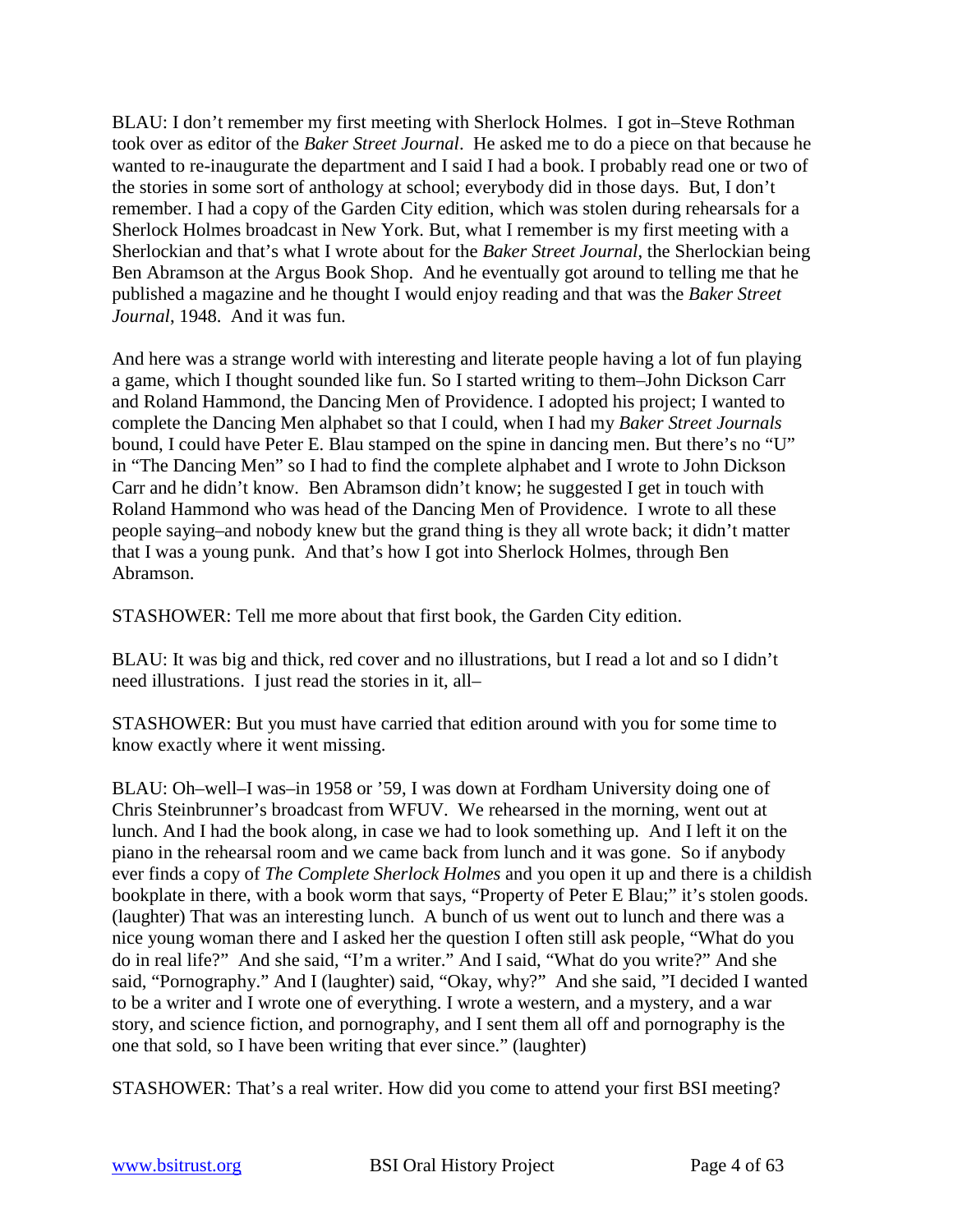BLAU: I don't remember my first meeting with Sherlock Holmes. I got in–Steve Rothman took over as editor of the *Baker Street Journal*. He asked me to do a piece on that because he wanted to re-inaugurate the department and I said I had a book. I probably read one or two of the stories in some sort of anthology at school; everybody did in those days. But, I don't remember. I had a copy of the Garden City edition, which was stolen during rehearsals for a Sherlock Holmes broadcast in New York. But, what I remember is my first meeting with a Sherlockian and that's what I wrote about for the *Baker Street Journal*, the Sherlockian being Ben Abramson at the Argus Book Shop. And he eventually got around to telling me that he published a magazine and he thought I would enjoy reading and that was the *Baker Street Journal*, 1948. And it was fun.

And here was a strange world with interesting and literate people having a lot of fun playing a game, which I thought sounded like fun. So I started writing to them–John Dickson Carr and Roland Hammond, the Dancing Men of Providence. I adopted his project; I wanted to complete the Dancing Men alphabet so that I could, when I had my *Baker Street Journals* bound, I could have Peter E. Blau stamped on the spine in dancing men. But there's no "U" in "The Dancing Men" so I had to find the complete alphabet and I wrote to John Dickson Carr and he didn't know. Ben Abramson didn't know; he suggested I get in touch with Roland Hammond who was head of the Dancing Men of Providence. I wrote to all these people saying–and nobody knew but the grand thing is they all wrote back; it didn't matter that I was a young punk. And that's how I got into Sherlock Holmes, through Ben Abramson.

STASHOWER: Tell me more about that first book, the Garden City edition.

BLAU: It was big and thick, red cover and no illustrations, but I read a lot and so I didn't need illustrations. I just read the stories in it, all–

STASHOWER: But you must have carried that edition around with you for some time to know exactly where it went missing.

BLAU: Oh–well–I was–in 1958 or '59, I was down at Fordham University doing one of Chris Steinbrunner's broadcast from WFUV. We rehearsed in the morning, went out at lunch. And I had the book along, in case we had to look something up. And I left it on the piano in the rehearsal room and we came back from lunch and it was gone. So if anybody ever finds a copy of *The Complete Sherlock Holmes* and you open it up and there is a childish bookplate in there, with a book worm that says, "Property of Peter E Blau;" it's stolen goods. (laughter) That was an interesting lunch. A bunch of us went out to lunch and there was a nice young woman there and I asked her the question I often still ask people, "What do you do in real life?" And she said, "I'm a writer." And I said, "What do you write?" And she said, "Pornography." And I (laughter) said, "Okay, why?" And she said, "I decided I wanted to be a writer and I wrote one of everything. I wrote a western, and a mystery, and a war story, and science fiction, and pornography, and I sent them all off and pornography is the one that sold, so I have been writing that ever since." (laughter)

STASHOWER: That's a real writer. How did you come to attend your first BSI meeting?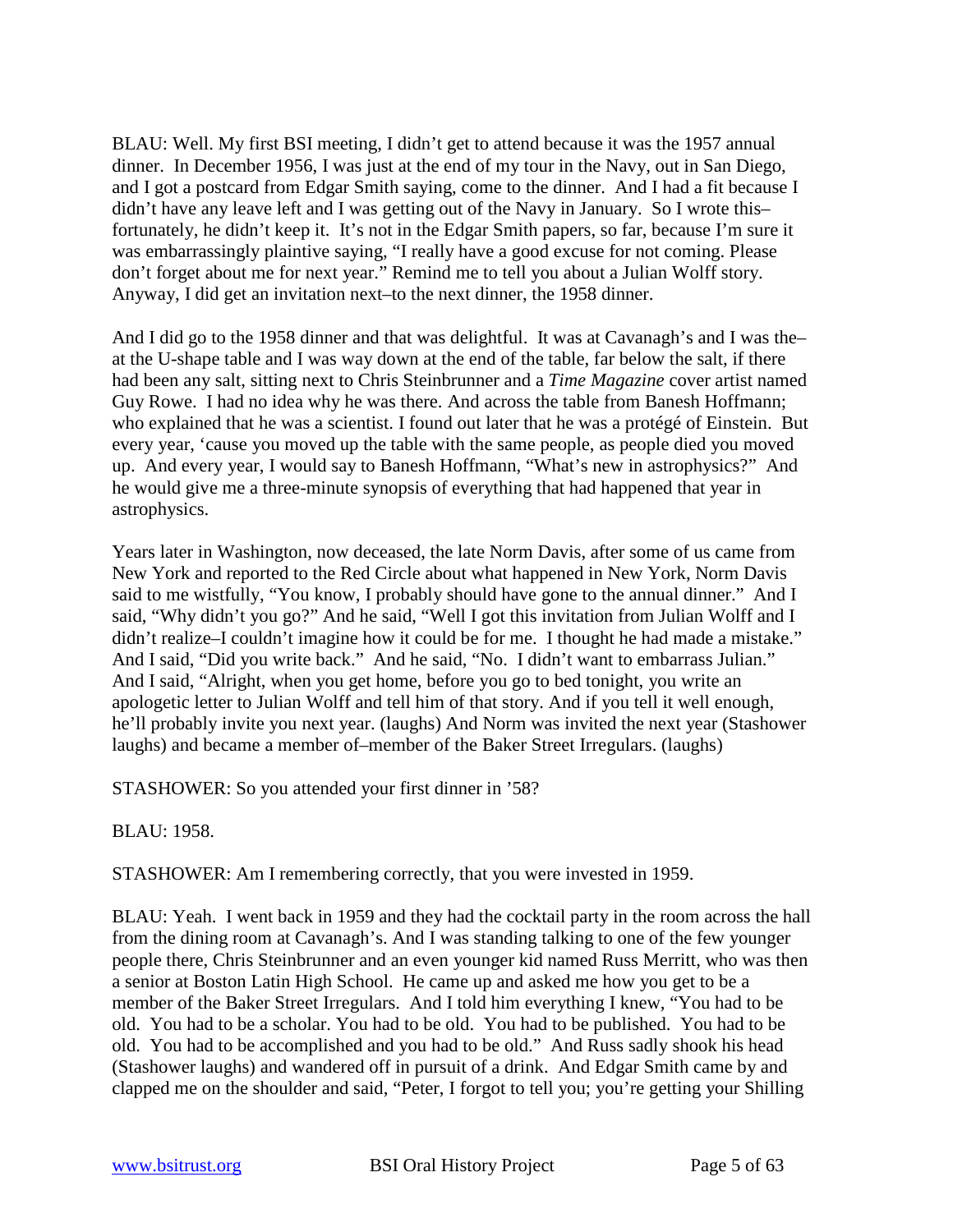BLAU: Well. My first BSI meeting, I didn't get to attend because it was the 1957 annual dinner. In December 1956, I was just at the end of my tour in the Navy, out in San Diego, and I got a postcard from Edgar Smith saying, come to the dinner. And I had a fit because I didn't have any leave left and I was getting out of the Navy in January. So I wrote this– fortunately, he didn't keep it. It's not in the Edgar Smith papers, so far, because I'm sure it was embarrassingly plaintive saying, "I really have a good excuse for not coming. Please don't forget about me for next year." Remind me to tell you about a Julian Wolff story. Anyway, I did get an invitation next–to the next dinner, the 1958 dinner.

And I did go to the 1958 dinner and that was delightful. It was at Cavanagh's and I was the– at the U-shape table and I was way down at the end of the table, far below the salt, if there had been any salt, sitting next to Chris Steinbrunner and a *Time Magazine* cover artist named Guy Rowe. I had no idea why he was there. And across the table from Banesh Hoffmann; who explained that he was a scientist. I found out later that he was a protégé of Einstein. But every year, 'cause you moved up the table with the same people, as people died you moved up. And every year, I would say to Banesh Hoffmann, "What's new in astrophysics?" And he would give me a three-minute synopsis of everything that had happened that year in astrophysics.

Years later in Washington, now deceased, the late Norm Davis, after some of us came from New York and reported to the Red Circle about what happened in New York, Norm Davis said to me wistfully, "You know, I probably should have gone to the annual dinner." And I said, "Why didn't you go?" And he said, "Well I got this invitation from Julian Wolff and I didn't realize–I couldn't imagine how it could be for me. I thought he had made a mistake." And I said, "Did you write back." And he said, "No. I didn't want to embarrass Julian." And I said, "Alright, when you get home, before you go to bed tonight, you write an apologetic letter to Julian Wolff and tell him of that story. And if you tell it well enough, he'll probably invite you next year. (laughs) And Norm was invited the next year (Stashower laughs) and became a member of–member of the Baker Street Irregulars. (laughs)

STASHOWER: So you attended your first dinner in '58?

BLAU: 1958.

STASHOWER: Am I remembering correctly, that you were invested in 1959.

BLAU: Yeah. I went back in 1959 and they had the cocktail party in the room across the hall from the dining room at Cavanagh's. And I was standing talking to one of the few younger people there, Chris Steinbrunner and an even younger kid named Russ Merritt, who was then a senior at Boston Latin High School. He came up and asked me how you get to be a member of the Baker Street Irregulars. And I told him everything I knew, "You had to be old. You had to be a scholar. You had to be old. You had to be published. You had to be old. You had to be accomplished and you had to be old." And Russ sadly shook his head (Stashower laughs) and wandered off in pursuit of a drink. And Edgar Smith came by and clapped me on the shoulder and said, "Peter, I forgot to tell you; you're getting your Shilling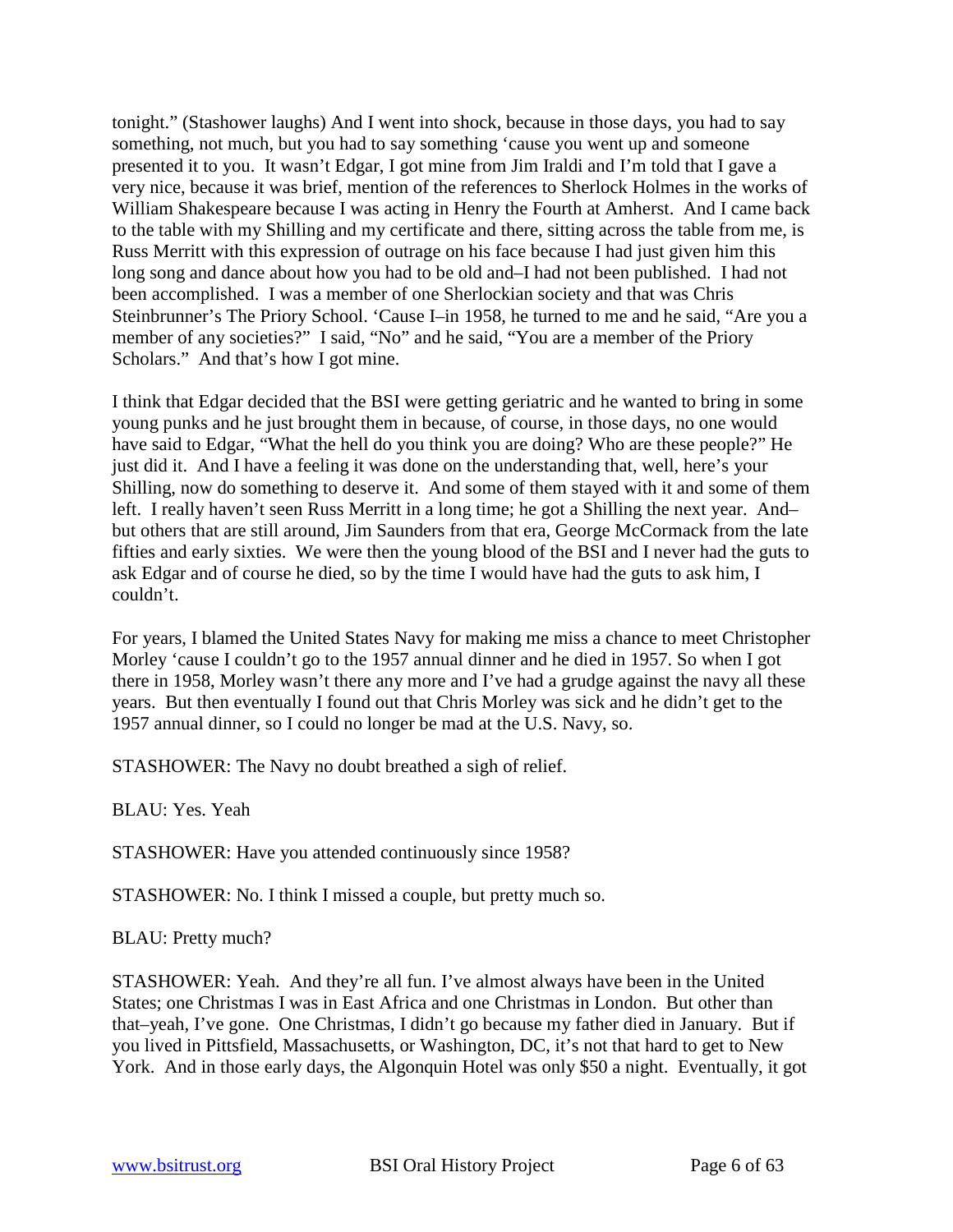tonight." (Stashower laughs) And I went into shock, because in those days, you had to say something, not much, but you had to say something 'cause you went up and someone presented it to you. It wasn't Edgar, I got mine from Jim Iraldi and I'm told that I gave a very nice, because it was brief, mention of the references to Sherlock Holmes in the works of William Shakespeare because I was acting in Henry the Fourth at Amherst. And I came back to the table with my Shilling and my certificate and there, sitting across the table from me, is Russ Merritt with this expression of outrage on his face because I had just given him this long song and dance about how you had to be old and–I had not been published. I had not been accomplished. I was a member of one Sherlockian society and that was Chris Steinbrunner's The Priory School. 'Cause I–in 1958, he turned to me and he said, "Are you a member of any societies?" I said, "No" and he said, "You are a member of the Priory Scholars." And that's how I got mine.

I think that Edgar decided that the BSI were getting geriatric and he wanted to bring in some young punks and he just brought them in because, of course, in those days, no one would have said to Edgar, "What the hell do you think you are doing? Who are these people?" He just did it. And I have a feeling it was done on the understanding that, well, here's your Shilling, now do something to deserve it. And some of them stayed with it and some of them left. I really haven't seen Russ Merritt in a long time; he got a Shilling the next year. And– but others that are still around, Jim Saunders from that era, George McCormack from the late fifties and early sixties. We were then the young blood of the BSI and I never had the guts to ask Edgar and of course he died, so by the time I would have had the guts to ask him, I couldn't.

For years, I blamed the United States Navy for making me miss a chance to meet Christopher Morley 'cause I couldn't go to the 1957 annual dinner and he died in 1957. So when I got there in 1958, Morley wasn't there any more and I've had a grudge against the navy all these years. But then eventually I found out that Chris Morley was sick and he didn't get to the 1957 annual dinner, so I could no longer be mad at the U.S. Navy, so.

STASHOWER: The Navy no doubt breathed a sigh of relief.

BLAU: Yes. Yeah

STASHOWER: Have you attended continuously since 1958?

STASHOWER: No. I think I missed a couple, but pretty much so.

BLAU: Pretty much?

STASHOWER: Yeah. And they're all fun. I've almost always have been in the United States; one Christmas I was in East Africa and one Christmas in London. But other than that–yeah, I've gone. One Christmas, I didn't go because my father died in January. But if you lived in Pittsfield, Massachusetts, or Washington, DC, it's not that hard to get to New York. And in those early days, the Algonquin Hotel was only \$50 a night. Eventually, it got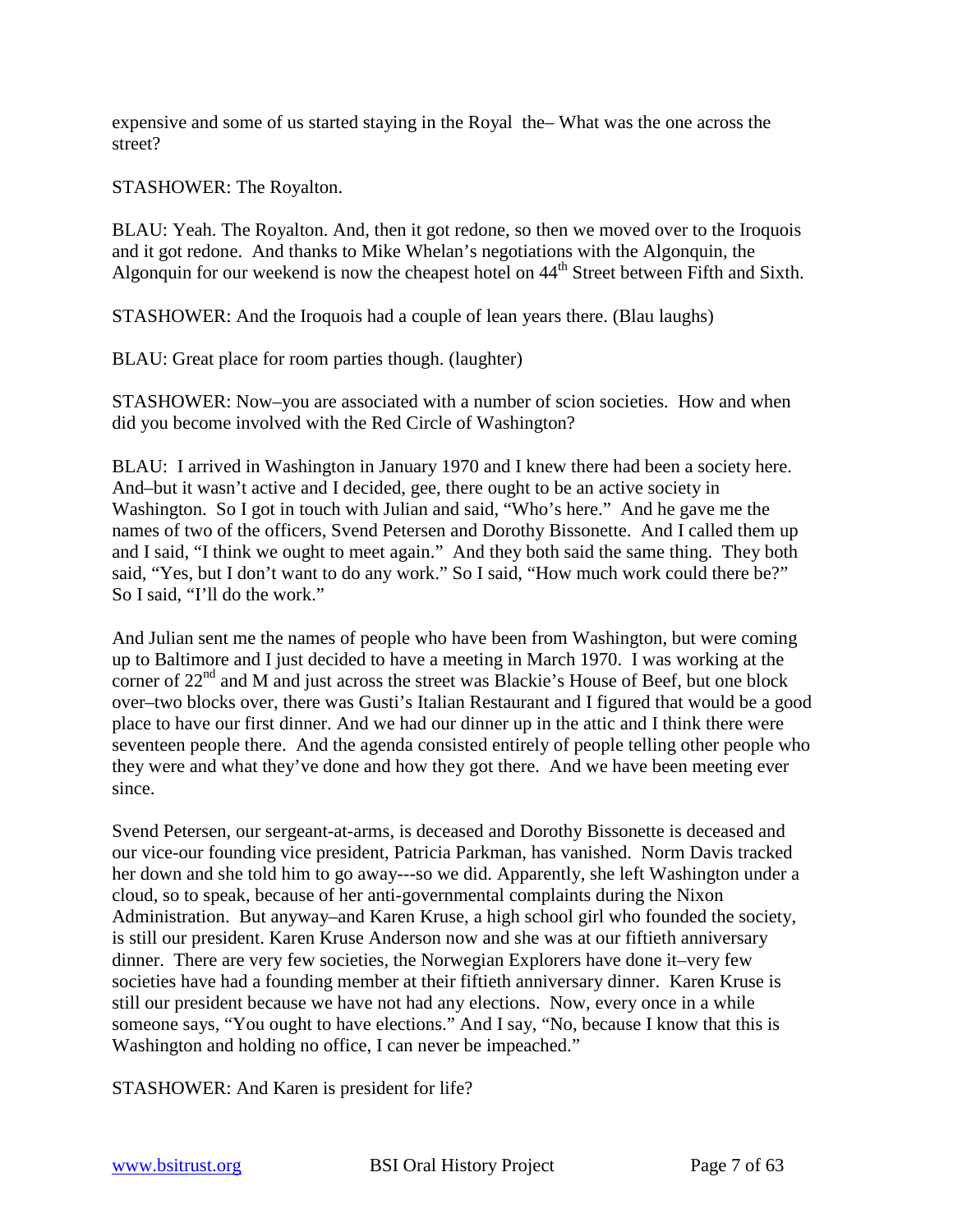expensive and some of us started staying in the Royal the– What was the one across the street?

STASHOWER: The Royalton.

BLAU: Yeah. The Royalton. And, then it got redone, so then we moved over to the Iroquois and it got redone. And thanks to Mike Whelan's negotiations with the Algonquin, the Algonquin for our weekend is now the cheapest hotel on  $44<sup>th</sup>$  Street between Fifth and Sixth.

STASHOWER: And the Iroquois had a couple of lean years there. (Blau laughs)

BLAU: Great place for room parties though. (laughter)

STASHOWER: Now–you are associated with a number of scion societies. How and when did you become involved with the Red Circle of Washington?

BLAU: I arrived in Washington in January 1970 and I knew there had been a society here. And–but it wasn't active and I decided, gee, there ought to be an active society in Washington. So I got in touch with Julian and said, "Who's here." And he gave me the names of two of the officers, Svend Petersen and Dorothy Bissonette. And I called them up and I said, "I think we ought to meet again." And they both said the same thing. They both said, "Yes, but I don't want to do any work." So I said, "How much work could there be?" So I said, "I'll do the work."

And Julian sent me the names of people who have been from Washington, but were coming up to Baltimore and I just decided to have a meeting in March 1970. I was working at the corner of  $22<sup>nd</sup>$  and M and just across the street was Blackie's House of Beef, but one block over–two blocks over, there was Gusti's Italian Restaurant and I figured that would be a good place to have our first dinner. And we had our dinner up in the attic and I think there were seventeen people there. And the agenda consisted entirely of people telling other people who they were and what they've done and how they got there. And we have been meeting ever since.

Svend Petersen, our sergeant-at-arms, is deceased and Dorothy Bissonette is deceased and our vice-our founding vice president, Patricia Parkman, has vanished. Norm Davis tracked her down and she told him to go away---so we did. Apparently, she left Washington under a cloud, so to speak, because of her anti-governmental complaints during the Nixon Administration. But anyway–and Karen Kruse, a high school girl who founded the society, is still our president. Karen Kruse Anderson now and she was at our fiftieth anniversary dinner. There are very few societies, the Norwegian Explorers have done it–very few societies have had a founding member at their fiftieth anniversary dinner. Karen Kruse is still our president because we have not had any elections. Now, every once in a while someone says, "You ought to have elections." And I say, "No, because I know that this is Washington and holding no office, I can never be impeached."

STASHOWER: And Karen is president for life?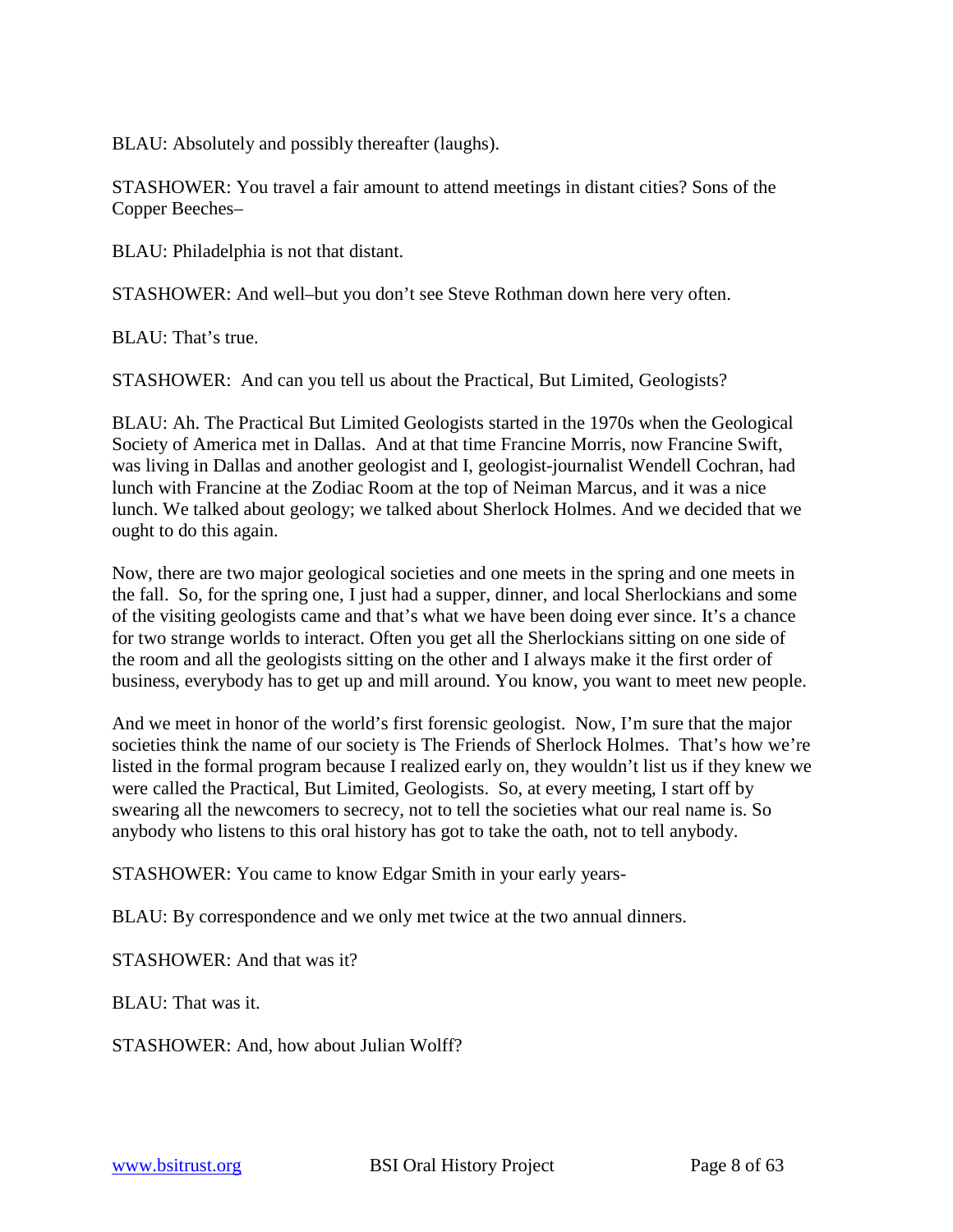BLAU: Absolutely and possibly thereafter (laughs).

STASHOWER: You travel a fair amount to attend meetings in distant cities? Sons of the Copper Beeches–

BLAU: Philadelphia is not that distant.

STASHOWER: And well–but you don't see Steve Rothman down here very often.

BLAU: That's true.

STASHOWER: And can you tell us about the Practical, But Limited, Geologists?

BLAU: Ah. The Practical But Limited Geologists started in the 1970s when the Geological Society of America met in Dallas. And at that time Francine Morris, now Francine Swift, was living in Dallas and another geologist and I, geologist-journalist Wendell Cochran, had lunch with Francine at the Zodiac Room at the top of Neiman Marcus, and it was a nice lunch. We talked about geology; we talked about Sherlock Holmes. And we decided that we ought to do this again.

Now, there are two major geological societies and one meets in the spring and one meets in the fall. So, for the spring one, I just had a supper, dinner, and local Sherlockians and some of the visiting geologists came and that's what we have been doing ever since. It's a chance for two strange worlds to interact. Often you get all the Sherlockians sitting on one side of the room and all the geologists sitting on the other and I always make it the first order of business, everybody has to get up and mill around. You know, you want to meet new people.

And we meet in honor of the world's first forensic geologist. Now, I'm sure that the major societies think the name of our society is The Friends of Sherlock Holmes. That's how we're listed in the formal program because I realized early on, they wouldn't list us if they knew we were called the Practical, But Limited, Geologists. So, at every meeting, I start off by swearing all the newcomers to secrecy, not to tell the societies what our real name is. So anybody who listens to this oral history has got to take the oath, not to tell anybody.

STASHOWER: You came to know Edgar Smith in your early years-

BLAU: By correspondence and we only met twice at the two annual dinners.

STASHOWER: And that was it?

BLAU: That was it.

STASHOWER: And, how about Julian Wolff?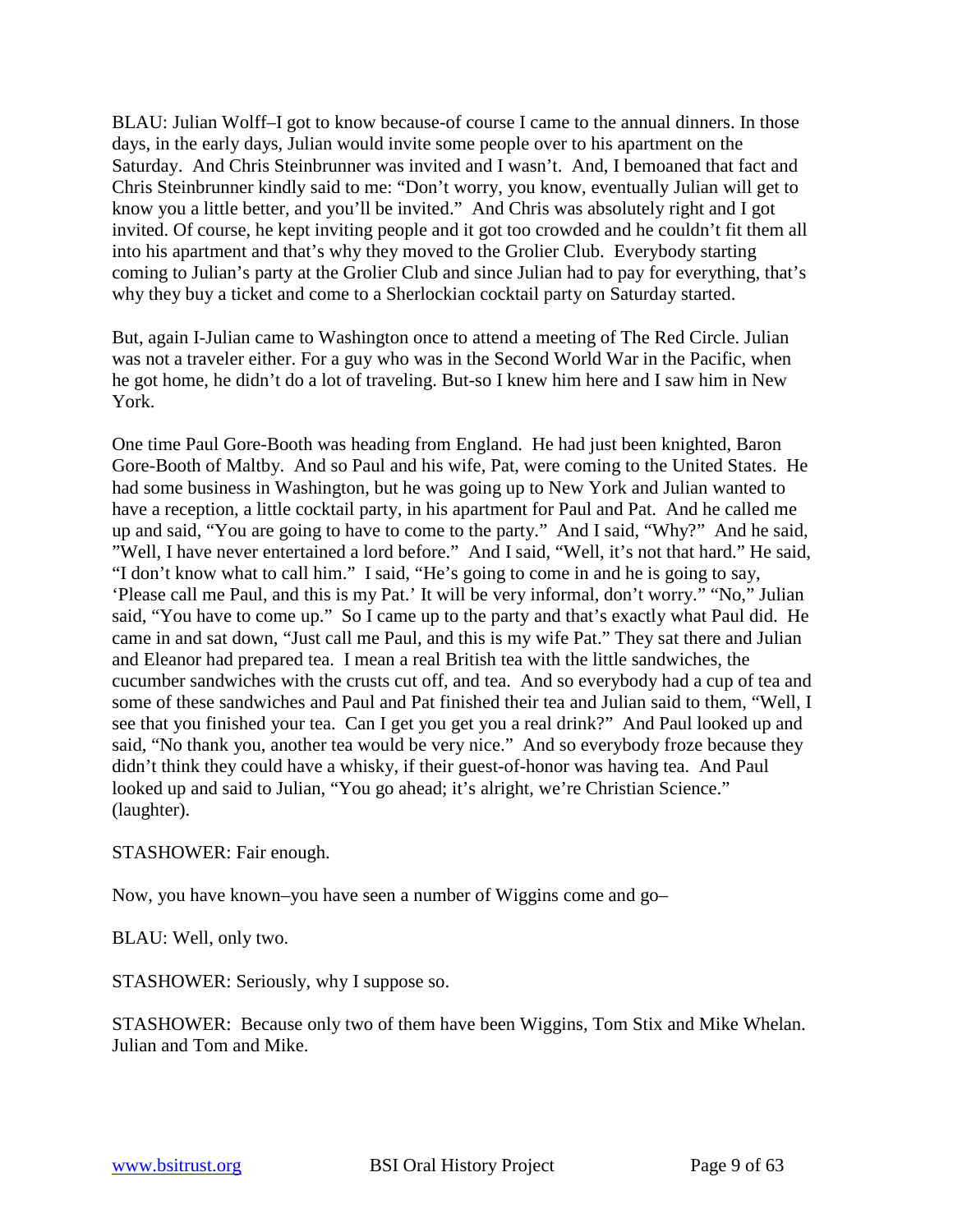BLAU: Julian Wolff–I got to know because-of course I came to the annual dinners. In those days, in the early days, Julian would invite some people over to his apartment on the Saturday. And Chris Steinbrunner was invited and I wasn't. And, I bemoaned that fact and Chris Steinbrunner kindly said to me: "Don't worry, you know, eventually Julian will get to know you a little better, and you'll be invited." And Chris was absolutely right and I got invited. Of course, he kept inviting people and it got too crowded and he couldn't fit them all into his apartment and that's why they moved to the Grolier Club. Everybody starting coming to Julian's party at the Grolier Club and since Julian had to pay for everything, that's why they buy a ticket and come to a Sherlockian cocktail party on Saturday started.

But, again I-Julian came to Washington once to attend a meeting of The Red Circle. Julian was not a traveler either. For a guy who was in the Second World War in the Pacific, when he got home, he didn't do a lot of traveling. But-so I knew him here and I saw him in New York.

One time Paul Gore-Booth was heading from England. He had just been knighted, Baron Gore-Booth of Maltby. And so Paul and his wife, Pat, were coming to the United States. He had some business in Washington, but he was going up to New York and Julian wanted to have a reception, a little cocktail party, in his apartment for Paul and Pat. And he called me up and said, "You are going to have to come to the party." And I said, "Why?" And he said, "Well, I have never entertained a lord before." And I said, "Well, it's not that hard." He said, "I don't know what to call him." I said, "He's going to come in and he is going to say, 'Please call me Paul, and this is my Pat.' It will be very informal, don't worry." "No," Julian said, "You have to come up." So I came up to the party and that's exactly what Paul did. He came in and sat down, "Just call me Paul, and this is my wife Pat." They sat there and Julian and Eleanor had prepared tea. I mean a real British tea with the little sandwiches, the cucumber sandwiches with the crusts cut off, and tea. And so everybody had a cup of tea and some of these sandwiches and Paul and Pat finished their tea and Julian said to them, "Well, I see that you finished your tea. Can I get you get you a real drink?" And Paul looked up and said, "No thank you, another tea would be very nice." And so everybody froze because they didn't think they could have a whisky, if their guest-of-honor was having tea. And Paul looked up and said to Julian, "You go ahead; it's alright, we're Christian Science." (laughter).

STASHOWER: Fair enough.

Now, you have known–you have seen a number of Wiggins come and go–

BLAU: Well, only two.

STASHOWER: Seriously, why I suppose so.

STASHOWER: Because only two of them have been Wiggins, Tom Stix and Mike Whelan. Julian and Tom and Mike.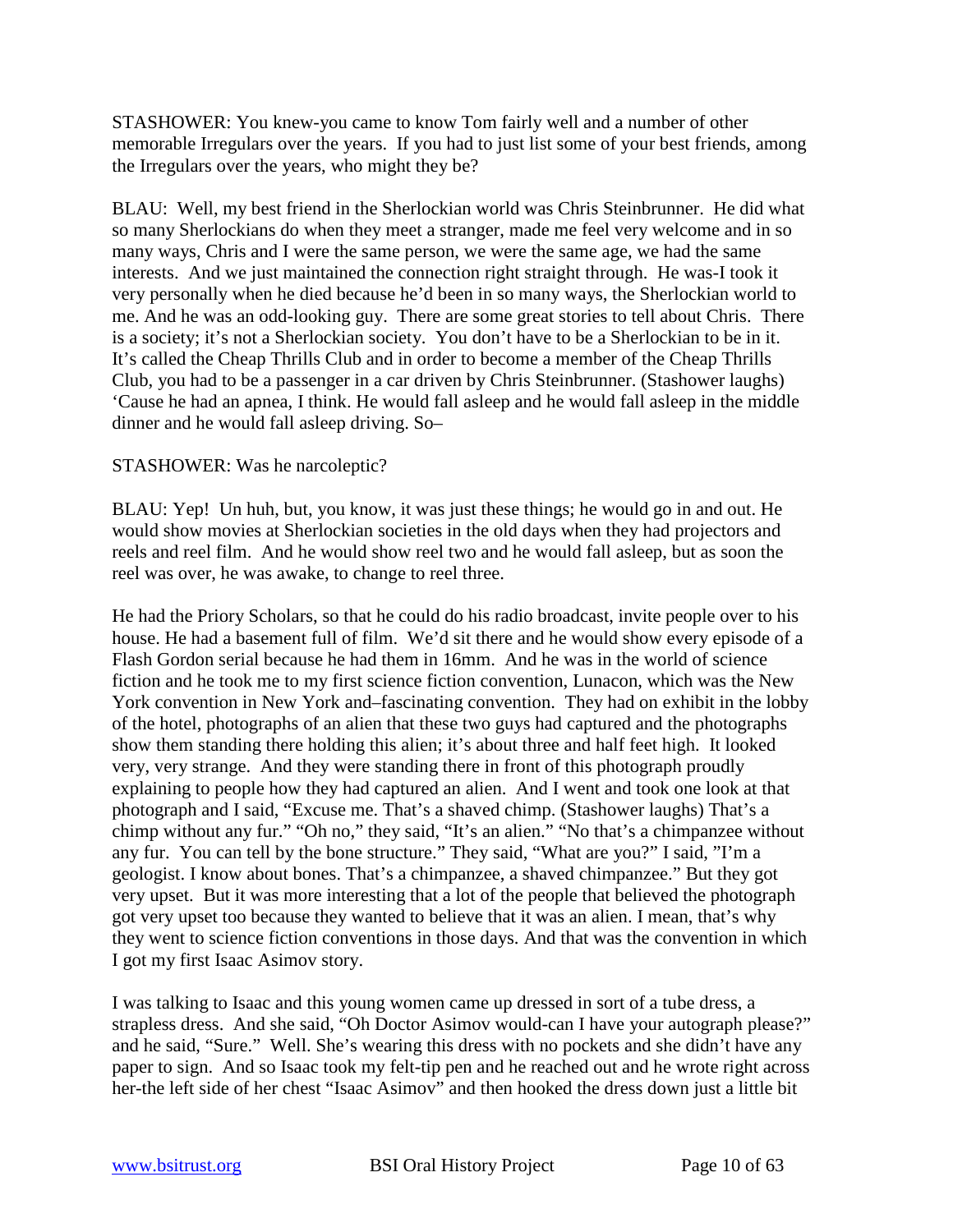STASHOWER: You knew-you came to know Tom fairly well and a number of other memorable Irregulars over the years. If you had to just list some of your best friends, among the Irregulars over the years, who might they be?

BLAU: Well, my best friend in the Sherlockian world was Chris Steinbrunner. He did what so many Sherlockians do when they meet a stranger, made me feel very welcome and in so many ways, Chris and I were the same person, we were the same age, we had the same interests. And we just maintained the connection right straight through. He was-I took it very personally when he died because he'd been in so many ways, the Sherlockian world to me. And he was an odd-looking guy. There are some great stories to tell about Chris. There is a society; it's not a Sherlockian society. You don't have to be a Sherlockian to be in it. It's called the Cheap Thrills Club and in order to become a member of the Cheap Thrills Club, you had to be a passenger in a car driven by Chris Steinbrunner. (Stashower laughs) 'Cause he had an apnea, I think. He would fall asleep and he would fall asleep in the middle dinner and he would fall asleep driving. So–

# STASHOWER: Was he narcoleptic?

BLAU: Yep! Un huh, but, you know, it was just these things; he would go in and out. He would show movies at Sherlockian societies in the old days when they had projectors and reels and reel film. And he would show reel two and he would fall asleep, but as soon the reel was over, he was awake, to change to reel three.

He had the Priory Scholars, so that he could do his radio broadcast, invite people over to his house. He had a basement full of film. We'd sit there and he would show every episode of a Flash Gordon serial because he had them in 16mm. And he was in the world of science fiction and he took me to my first science fiction convention, Lunacon, which was the New York convention in New York and–fascinating convention. They had on exhibit in the lobby of the hotel, photographs of an alien that these two guys had captured and the photographs show them standing there holding this alien; it's about three and half feet high. It looked very, very strange. And they were standing there in front of this photograph proudly explaining to people how they had captured an alien. And I went and took one look at that photograph and I said, "Excuse me. That's a shaved chimp. (Stashower laughs) That's a chimp without any fur." "Oh no," they said, "It's an alien." "No that's a chimpanzee without any fur. You can tell by the bone structure." They said, "What are you?" I said, "I'm a geologist. I know about bones. That's a chimpanzee, a shaved chimpanzee." But they got very upset. But it was more interesting that a lot of the people that believed the photograph got very upset too because they wanted to believe that it was an alien. I mean, that's why they went to science fiction conventions in those days. And that was the convention in which I got my first Isaac Asimov story.

I was talking to Isaac and this young women came up dressed in sort of a tube dress, a strapless dress. And she said, "Oh Doctor Asimov would-can I have your autograph please?" and he said, "Sure." Well. She's wearing this dress with no pockets and she didn't have any paper to sign. And so Isaac took my felt-tip pen and he reached out and he wrote right across her-the left side of her chest "Isaac Asimov" and then hooked the dress down just a little bit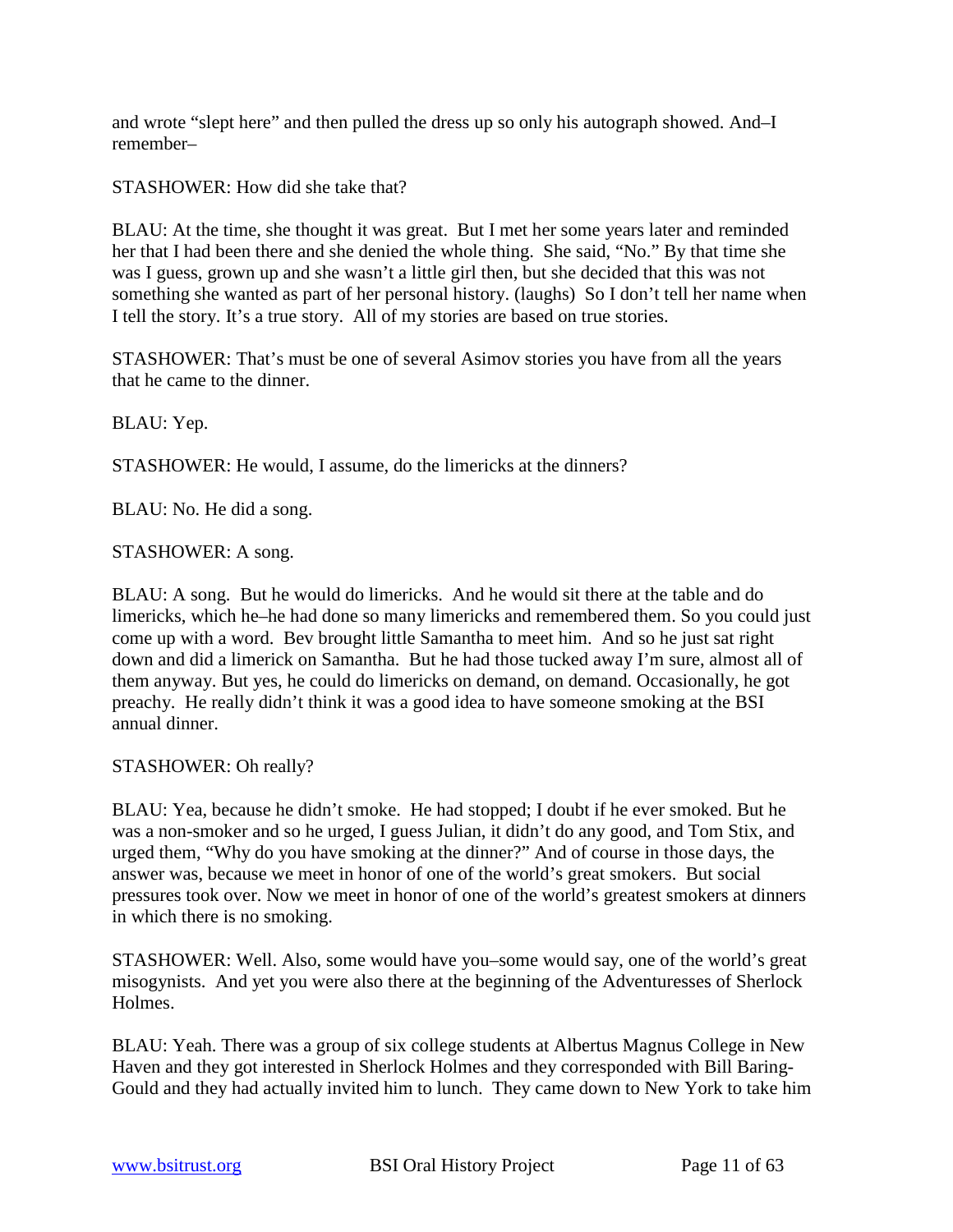and wrote "slept here" and then pulled the dress up so only his autograph showed. And–I remember–

STASHOWER: How did she take that?

BLAU: At the time, she thought it was great. But I met her some years later and reminded her that I had been there and she denied the whole thing. She said, "No." By that time she was I guess, grown up and she wasn't a little girl then, but she decided that this was not something she wanted as part of her personal history. (laughs) So I don't tell her name when I tell the story. It's a true story. All of my stories are based on true stories.

STASHOWER: That's must be one of several Asimov stories you have from all the years that he came to the dinner.

BLAU: Yep.

STASHOWER: He would, I assume, do the limericks at the dinners?

BLAU: No. He did a song.

STASHOWER: A song.

BLAU: A song. But he would do limericks. And he would sit there at the table and do limericks, which he–he had done so many limericks and remembered them. So you could just come up with a word. Bev brought little Samantha to meet him. And so he just sat right down and did a limerick on Samantha. But he had those tucked away I'm sure, almost all of them anyway. But yes, he could do limericks on demand, on demand. Occasionally, he got preachy. He really didn't think it was a good idea to have someone smoking at the BSI annual dinner.

STASHOWER: Oh really?

BLAU: Yea, because he didn't smoke. He had stopped; I doubt if he ever smoked. But he was a non-smoker and so he urged, I guess Julian, it didn't do any good, and Tom Stix, and urged them, "Why do you have smoking at the dinner?" And of course in those days, the answer was, because we meet in honor of one of the world's great smokers. But social pressures took over. Now we meet in honor of one of the world's greatest smokers at dinners in which there is no smoking.

STASHOWER: Well. Also, some would have you–some would say, one of the world's great misogynists. And yet you were also there at the beginning of the Adventuresses of Sherlock Holmes.

BLAU: Yeah. There was a group of six college students at Albertus Magnus College in New Haven and they got interested in Sherlock Holmes and they corresponded with Bill Baring-Gould and they had actually invited him to lunch. They came down to New York to take him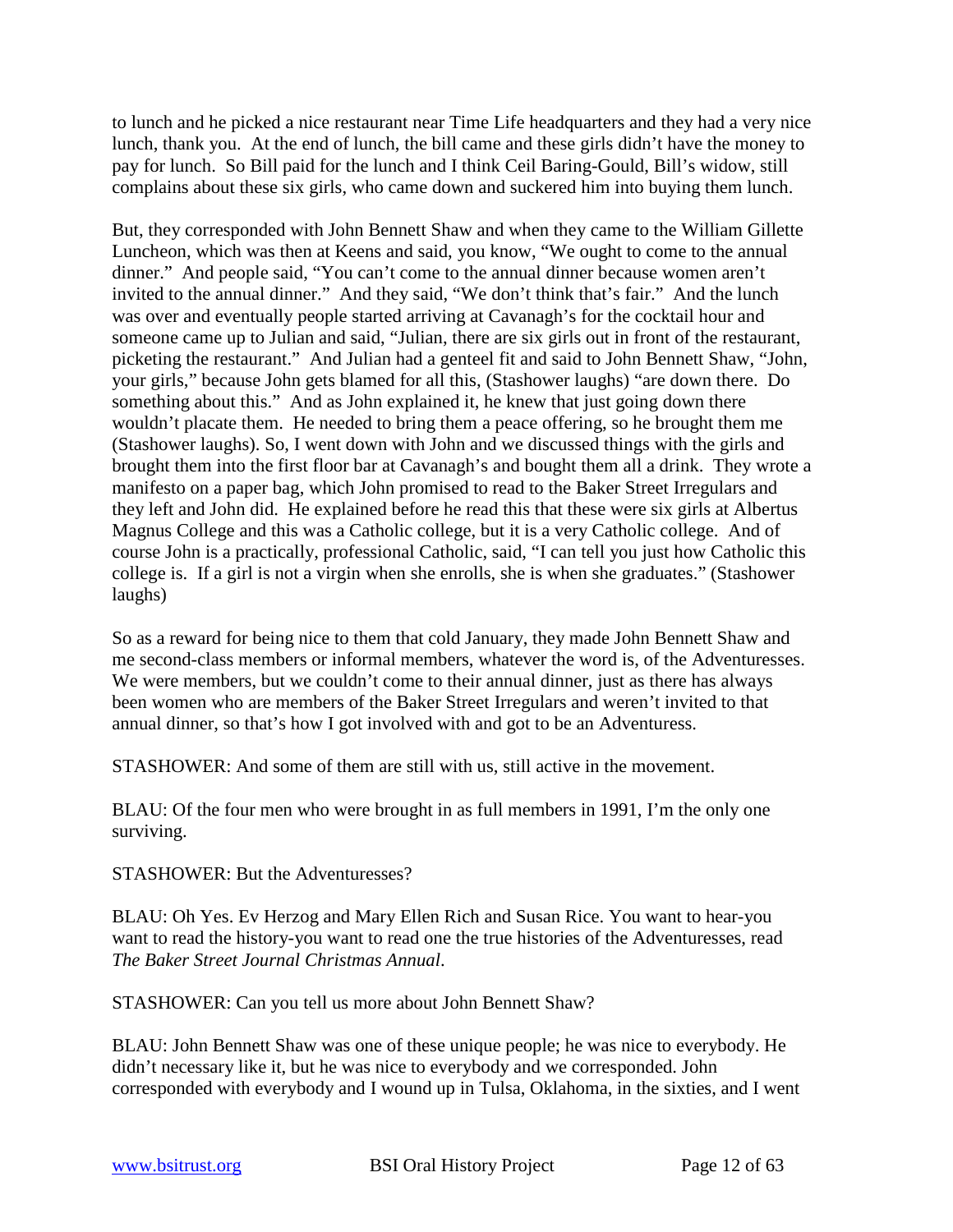to lunch and he picked a nice restaurant near Time Life headquarters and they had a very nice lunch, thank you. At the end of lunch, the bill came and these girls didn't have the money to pay for lunch. So Bill paid for the lunch and I think Ceil Baring-Gould, Bill's widow, still complains about these six girls, who came down and suckered him into buying them lunch.

But, they corresponded with John Bennett Shaw and when they came to the William Gillette Luncheon, which was then at Keens and said, you know, "We ought to come to the annual dinner." And people said, "You can't come to the annual dinner because women aren't invited to the annual dinner." And they said, "We don't think that's fair." And the lunch was over and eventually people started arriving at Cavanagh's for the cocktail hour and someone came up to Julian and said, "Julian, there are six girls out in front of the restaurant, picketing the restaurant." And Julian had a genteel fit and said to John Bennett Shaw, "John, your girls," because John gets blamed for all this, (Stashower laughs) "are down there. Do something about this." And as John explained it, he knew that just going down there wouldn't placate them. He needed to bring them a peace offering, so he brought them me (Stashower laughs). So, I went down with John and we discussed things with the girls and brought them into the first floor bar at Cavanagh's and bought them all a drink. They wrote a manifesto on a paper bag, which John promised to read to the Baker Street Irregulars and they left and John did. He explained before he read this that these were six girls at Albertus Magnus College and this was a Catholic college, but it is a very Catholic college. And of course John is a practically, professional Catholic, said, "I can tell you just how Catholic this college is. If a girl is not a virgin when she enrolls, she is when she graduates." (Stashower laughs)

So as a reward for being nice to them that cold January, they made John Bennett Shaw and me second-class members or informal members, whatever the word is, of the Adventuresses. We were members, but we couldn't come to their annual dinner, just as there has always been women who are members of the Baker Street Irregulars and weren't invited to that annual dinner, so that's how I got involved with and got to be an Adventuress.

STASHOWER: And some of them are still with us, still active in the movement.

BLAU: Of the four men who were brought in as full members in 1991, I'm the only one surviving.

STASHOWER: But the Adventuresses?

BLAU: Oh Yes. Ev Herzog and Mary Ellen Rich and Susan Rice. You want to hear-you want to read the history-you want to read one the true histories of the Adventuresses, read *The Baker Street Journal Christmas Annual*.

STASHOWER: Can you tell us more about John Bennett Shaw?

BLAU: John Bennett Shaw was one of these unique people; he was nice to everybody. He didn't necessary like it, but he was nice to everybody and we corresponded. John corresponded with everybody and I wound up in Tulsa, Oklahoma, in the sixties, and I went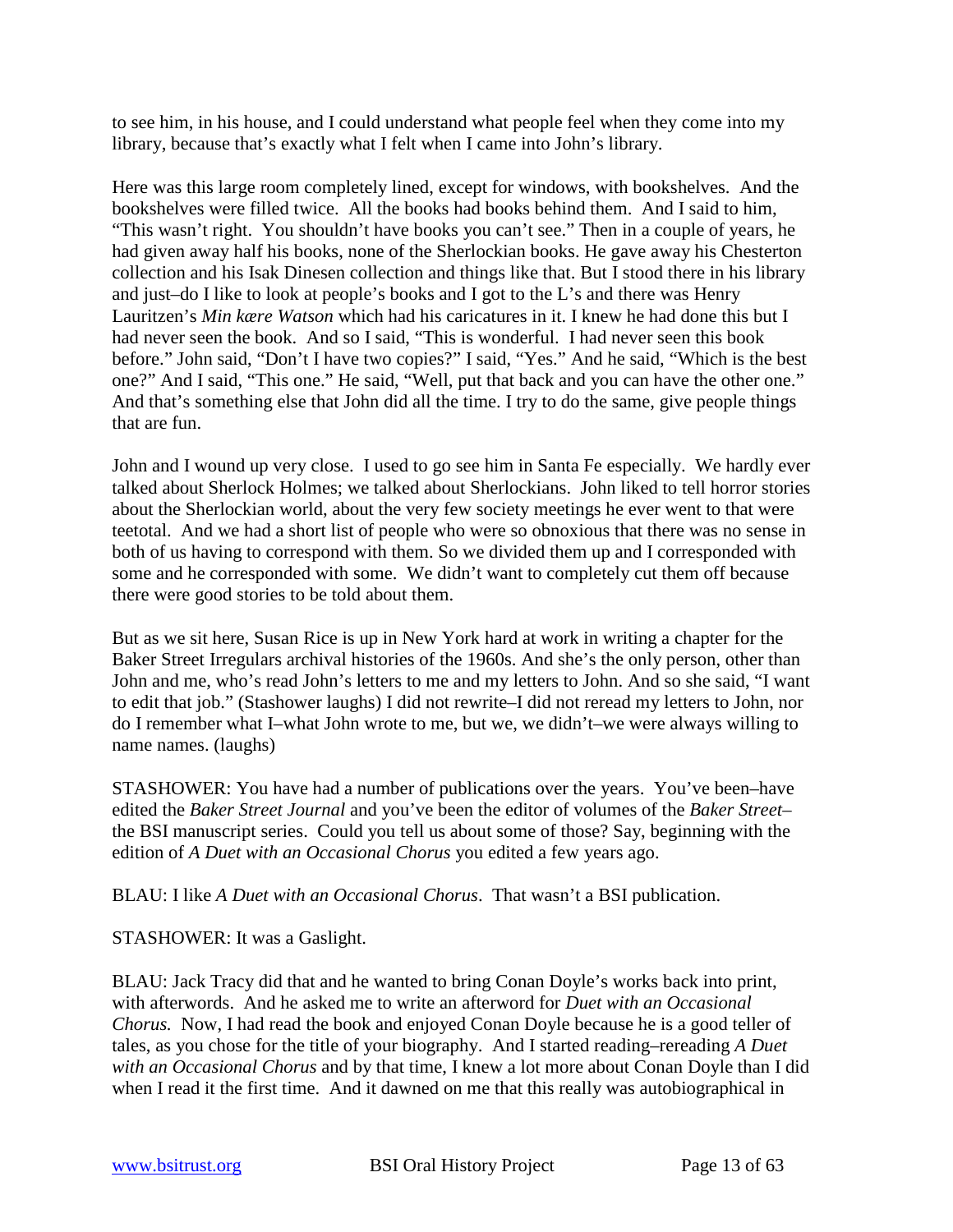to see him, in his house, and I could understand what people feel when they come into my library, because that's exactly what I felt when I came into John's library.

Here was this large room completely lined, except for windows, with bookshelves. And the bookshelves were filled twice. All the books had books behind them. And I said to him, "This wasn't right. You shouldn't have books you can't see." Then in a couple of years, he had given away half his books, none of the Sherlockian books. He gave away his Chesterton collection and his Isak Dinesen collection and things like that. But I stood there in his library and just–do I like to look at people's books and I got to the L's and there was Henry Lauritzen's *Min kære Watson* which had his caricatures in it. I knew he had done this but I had never seen the book. And so I said, "This is wonderful. I had never seen this book before." John said, "Don't I have two copies?" I said, "Yes." And he said, "Which is the best one?" And I said, "This one." He said, "Well, put that back and you can have the other one." And that's something else that John did all the time. I try to do the same, give people things that are fun.

John and I wound up very close. I used to go see him in Santa Fe especially. We hardly ever talked about Sherlock Holmes; we talked about Sherlockians. John liked to tell horror stories about the Sherlockian world, about the very few society meetings he ever went to that were teetotal. And we had a short list of people who were so obnoxious that there was no sense in both of us having to correspond with them. So we divided them up and I corresponded with some and he corresponded with some. We didn't want to completely cut them off because there were good stories to be told about them.

But as we sit here, Susan Rice is up in New York hard at work in writing a chapter for the Baker Street Irregulars archival histories of the 1960s. And she's the only person, other than John and me, who's read John's letters to me and my letters to John. And so she said, "I want to edit that job." (Stashower laughs) I did not rewrite–I did not reread my letters to John, nor do I remember what I–what John wrote to me, but we, we didn't–we were always willing to name names. (laughs)

STASHOWER: You have had a number of publications over the years. You've been–have edited the *Baker Street Journal* and you've been the editor of volumes of the *Baker Street*– the BSI manuscript series. Could you tell us about some of those? Say, beginning with the edition of *A Duet with an Occasional Chorus* you edited a few years ago.

BLAU: I like *A Duet with an Occasional Chorus*. That wasn't a BSI publication.

STASHOWER: It was a Gaslight.

BLAU: Jack Tracy did that and he wanted to bring Conan Doyle's works back into print, with afterwords. And he asked me to write an afterword for *Duet with an Occasional Chorus.* Now, I had read the book and enjoyed Conan Doyle because he is a good teller of tales, as you chose for the title of your biography. And I started reading–rereading *A Duet with an Occasional Chorus* and by that time, I knew a lot more about Conan Doyle than I did when I read it the first time. And it dawned on me that this really was autobiographical in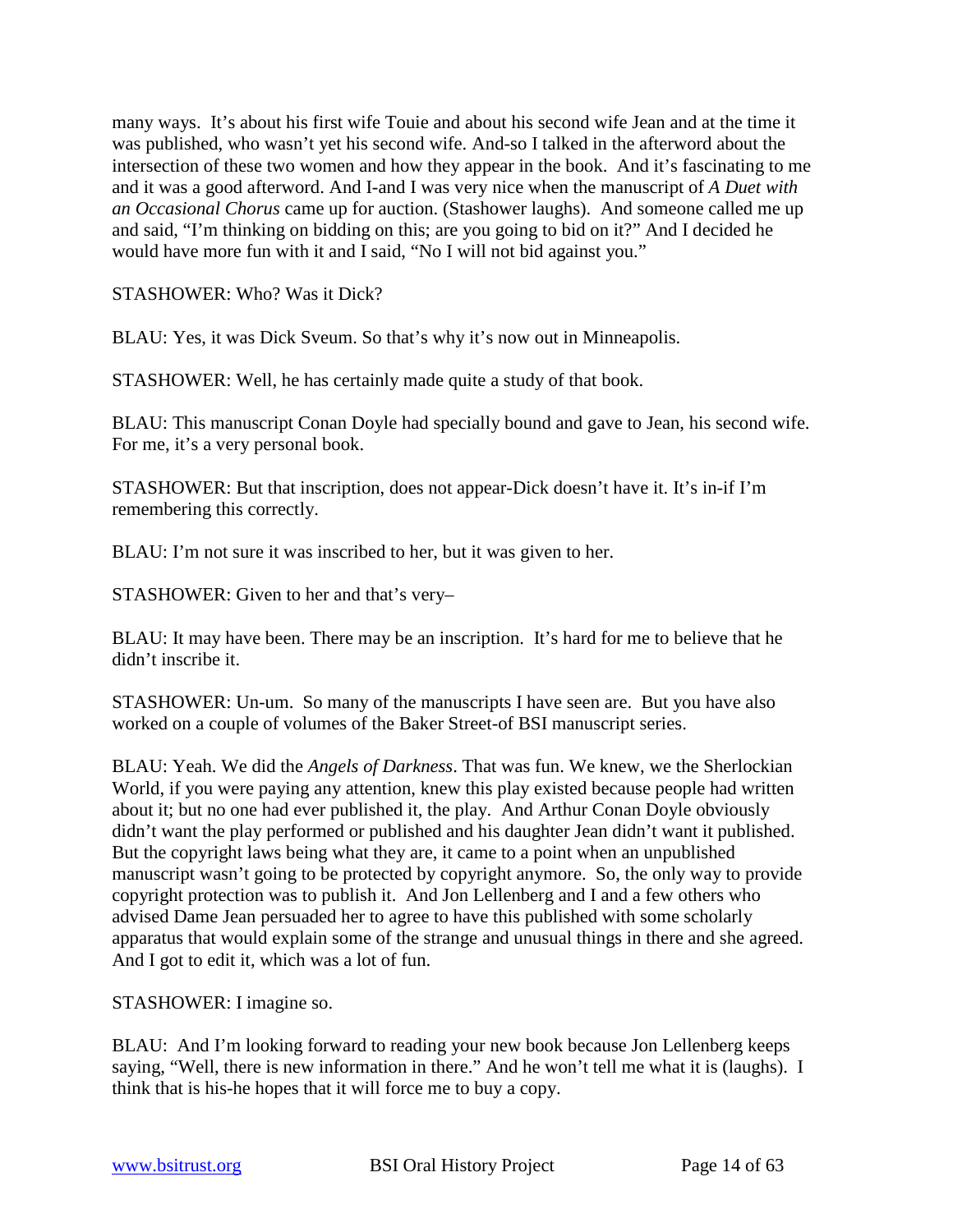many ways. It's about his first wife Touie and about his second wife Jean and at the time it was published, who wasn't yet his second wife. And-so I talked in the afterword about the intersection of these two women and how they appear in the book. And it's fascinating to me and it was a good afterword. And I-and I was very nice when the manuscript of *A Duet with an Occasional Chorus* came up for auction. (Stashower laughs). And someone called me up and said, "I'm thinking on bidding on this; are you going to bid on it?" And I decided he would have more fun with it and I said, "No I will not bid against you."

STASHOWER: Who? Was it Dick?

BLAU: Yes, it was Dick Sveum. So that's why it's now out in Minneapolis.

STASHOWER: Well, he has certainly made quite a study of that book.

BLAU: This manuscript Conan Doyle had specially bound and gave to Jean, his second wife. For me, it's a very personal book.

STASHOWER: But that inscription, does not appear-Dick doesn't have it. It's in-if I'm remembering this correctly.

BLAU: I'm not sure it was inscribed to her, but it was given to her.

STASHOWER: Given to her and that's very–

BLAU: It may have been. There may be an inscription. It's hard for me to believe that he didn't inscribe it.

STASHOWER: Un-um. So many of the manuscripts I have seen are. But you have also worked on a couple of volumes of the Baker Street-of BSI manuscript series.

BLAU: Yeah. We did the *Angels of Darkness*. That was fun. We knew, we the Sherlockian World, if you were paying any attention, knew this play existed because people had written about it; but no one had ever published it, the play. And Arthur Conan Doyle obviously didn't want the play performed or published and his daughter Jean didn't want it published. But the copyright laws being what they are, it came to a point when an unpublished manuscript wasn't going to be protected by copyright anymore. So, the only way to provide copyright protection was to publish it. And Jon Lellenberg and I and a few others who advised Dame Jean persuaded her to agree to have this published with some scholarly apparatus that would explain some of the strange and unusual things in there and she agreed. And I got to edit it, which was a lot of fun.

STASHOWER: I imagine so.

BLAU: And I'm looking forward to reading your new book because Jon Lellenberg keeps saying, "Well, there is new information in there." And he won't tell me what it is (laughs). I think that is his-he hopes that it will force me to buy a copy.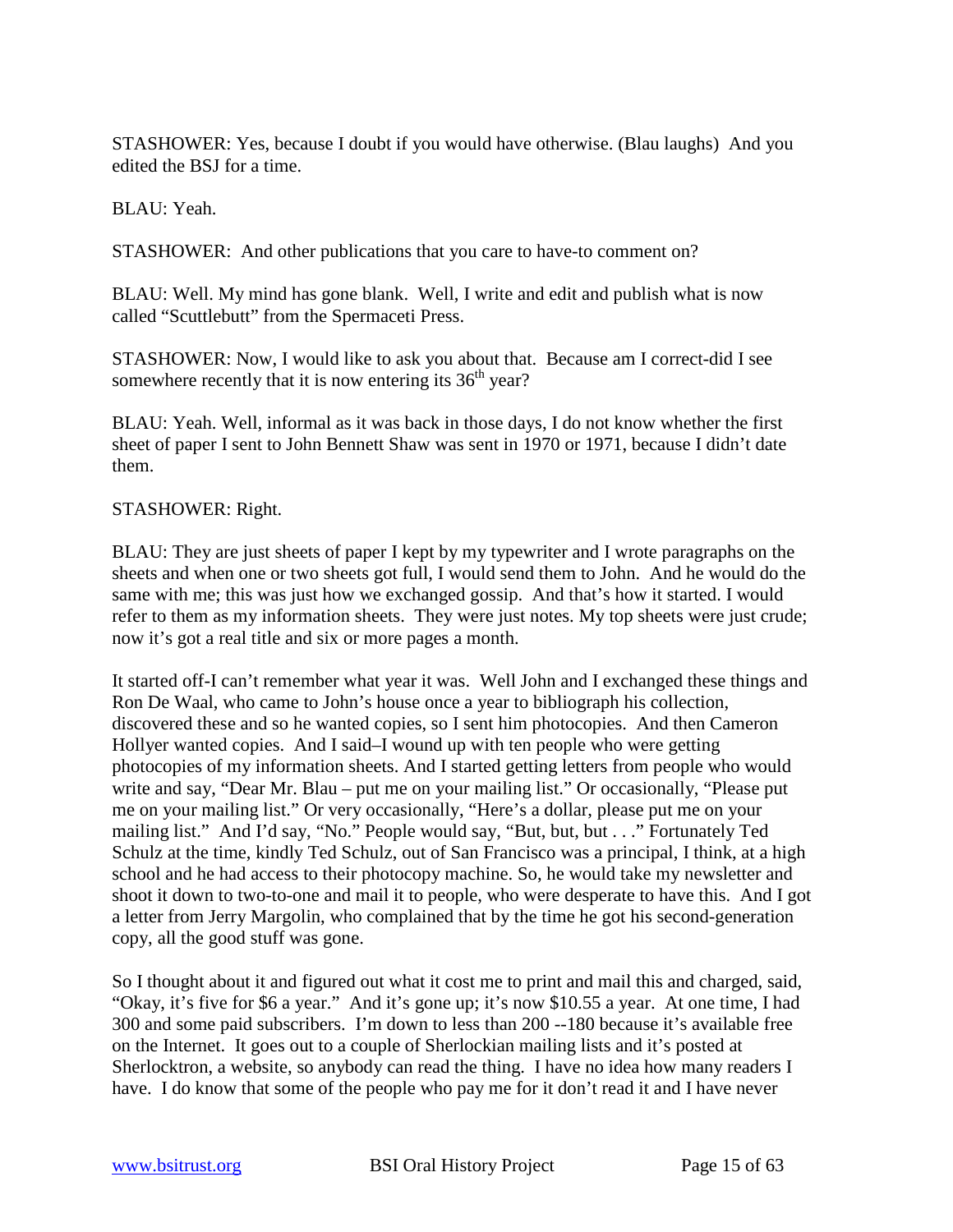STASHOWER: Yes, because I doubt if you would have otherwise. (Blau laughs) And you edited the BSJ for a time.

BLAU: Yeah.

STASHOWER: And other publications that you care to have-to comment on?

BLAU: Well. My mind has gone blank. Well, I write and edit and publish what is now called "Scuttlebutt" from the Spermaceti Press.

STASHOWER: Now, I would like to ask you about that. Because am I correct-did I see somewhere recently that it is now entering its  $36<sup>th</sup>$  year?

BLAU: Yeah. Well, informal as it was back in those days, I do not know whether the first sheet of paper I sent to John Bennett Shaw was sent in 1970 or 1971, because I didn't date them.

# STASHOWER: Right.

BLAU: They are just sheets of paper I kept by my typewriter and I wrote paragraphs on the sheets and when one or two sheets got full, I would send them to John. And he would do the same with me; this was just how we exchanged gossip. And that's how it started. I would refer to them as my information sheets. They were just notes. My top sheets were just crude; now it's got a real title and six or more pages a month.

It started off-I can't remember what year it was. Well John and I exchanged these things and Ron De Waal, who came to John's house once a year to bibliograph his collection, discovered these and so he wanted copies, so I sent him photocopies. And then Cameron Hollyer wanted copies. And I said–I wound up with ten people who were getting photocopies of my information sheets. And I started getting letters from people who would write and say, "Dear Mr. Blau – put me on your mailing list." Or occasionally, "Please put me on your mailing list." Or very occasionally, "Here's a dollar, please put me on your mailing list." And I'd say, "No." People would say, "But, but, but . . ." Fortunately Ted Schulz at the time, kindly Ted Schulz, out of San Francisco was a principal, I think, at a high school and he had access to their photocopy machine. So, he would take my newsletter and shoot it down to two-to-one and mail it to people, who were desperate to have this. And I got a letter from Jerry Margolin, who complained that by the time he got his second-generation copy, all the good stuff was gone.

So I thought about it and figured out what it cost me to print and mail this and charged, said, "Okay, it's five for \$6 a year." And it's gone up; it's now \$10.55 a year. At one time, I had 300 and some paid subscribers. I'm down to less than 200 --180 because it's available free on the Internet. It goes out to a couple of Sherlockian mailing lists and it's posted at Sherlocktron, a website, so anybody can read the thing. I have no idea how many readers I have. I do know that some of the people who pay me for it don't read it and I have never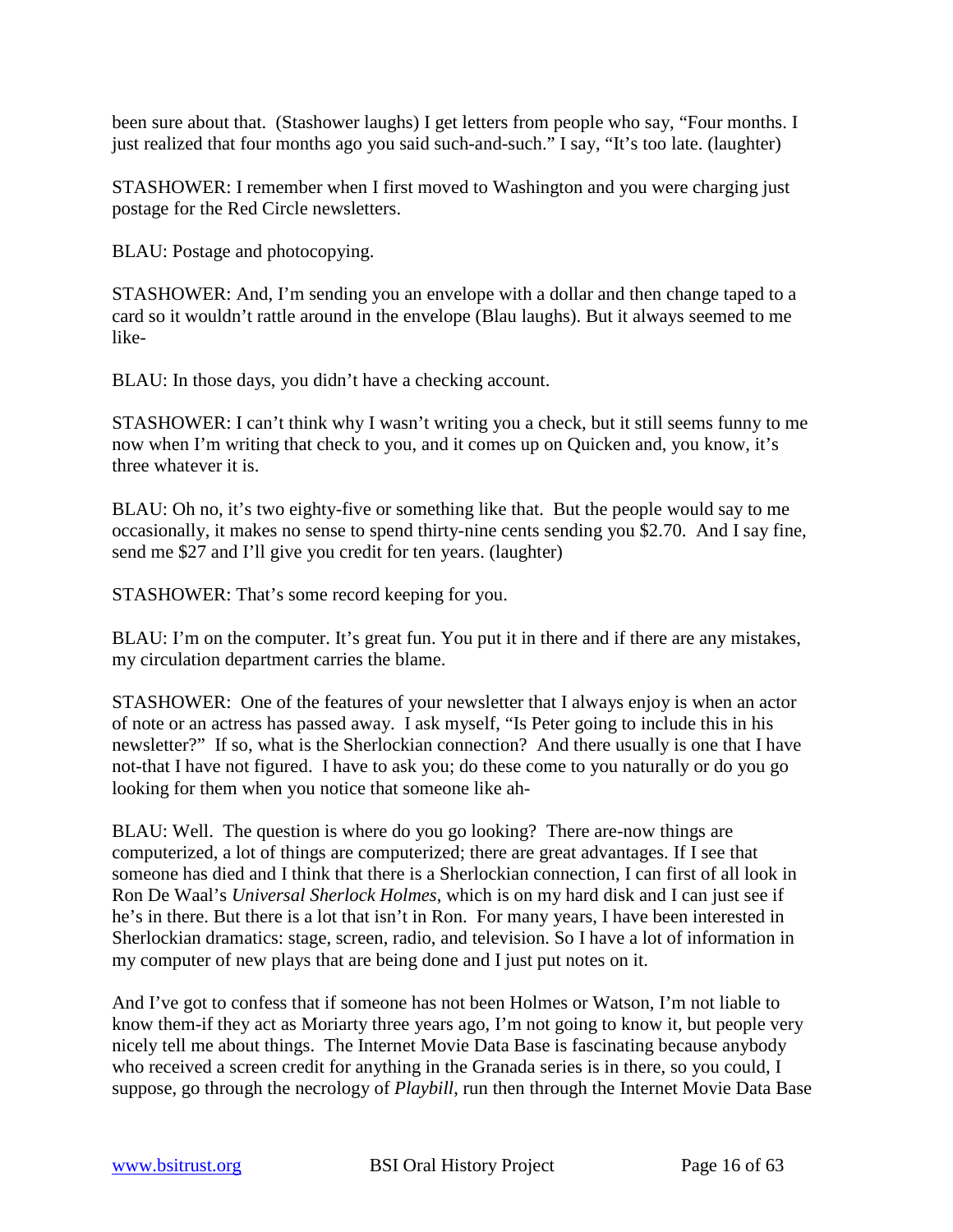been sure about that. (Stashower laughs) I get letters from people who say, "Four months. I just realized that four months ago you said such-and-such." I say, "It's too late. (laughter)

STASHOWER: I remember when I first moved to Washington and you were charging just postage for the Red Circle newsletters.

BLAU: Postage and photocopying.

STASHOWER: And, I'm sending you an envelope with a dollar and then change taped to a card so it wouldn't rattle around in the envelope (Blau laughs). But it always seemed to me like-

BLAU: In those days, you didn't have a checking account.

STASHOWER: I can't think why I wasn't writing you a check, but it still seems funny to me now when I'm writing that check to you, and it comes up on Quicken and, you know, it's three whatever it is.

BLAU: Oh no, it's two eighty-five or something like that. But the people would say to me occasionally, it makes no sense to spend thirty-nine cents sending you \$2.70. And I say fine, send me \$27 and I'll give you credit for ten years. (laughter)

STASHOWER: That's some record keeping for you.

BLAU: I'm on the computer. It's great fun. You put it in there and if there are any mistakes, my circulation department carries the blame.

STASHOWER: One of the features of your newsletter that I always enjoy is when an actor of note or an actress has passed away. I ask myself, "Is Peter going to include this in his newsletter?" If so, what is the Sherlockian connection? And there usually is one that I have not-that I have not figured. I have to ask you; do these come to you naturally or do you go looking for them when you notice that someone like ah-

BLAU: Well. The question is where do you go looking? There are-now things are computerized, a lot of things are computerized; there are great advantages. If I see that someone has died and I think that there is a Sherlockian connection, I can first of all look in Ron De Waal's *Universal Sherlock Holmes*, which is on my hard disk and I can just see if he's in there. But there is a lot that isn't in Ron. For many years, I have been interested in Sherlockian dramatics: stage, screen, radio, and television. So I have a lot of information in my computer of new plays that are being done and I just put notes on it.

And I've got to confess that if someone has not been Holmes or Watson, I'm not liable to know them-if they act as Moriarty three years ago, I'm not going to know it, but people very nicely tell me about things. The Internet Movie Data Base is fascinating because anybody who received a screen credit for anything in the Granada series is in there, so you could, I suppose, go through the necrology of *Playbill*, run then through the Internet Movie Data Base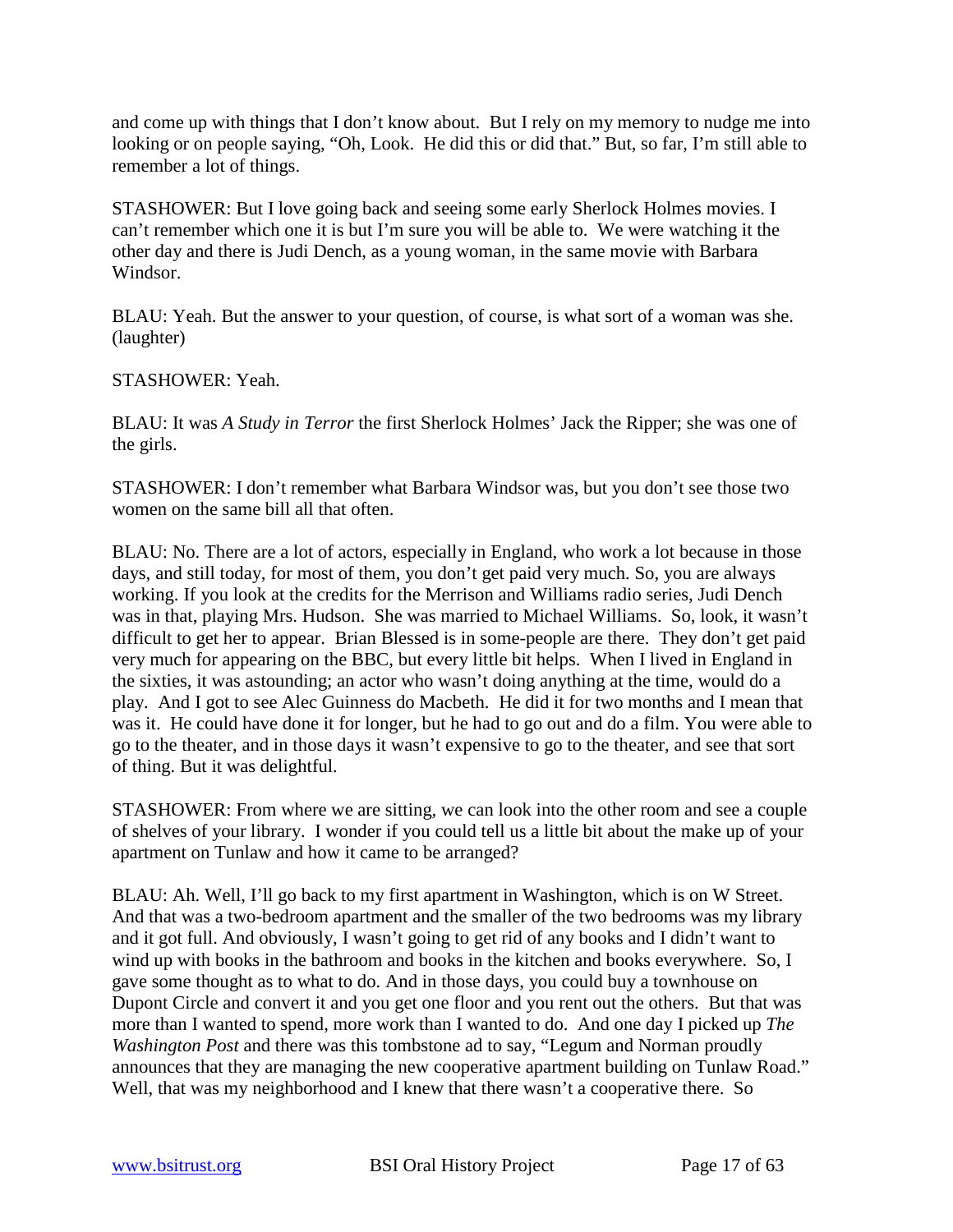and come up with things that I don't know about. But I rely on my memory to nudge me into looking or on people saying, "Oh, Look. He did this or did that." But, so far, I'm still able to remember a lot of things.

STASHOWER: But I love going back and seeing some early Sherlock Holmes movies. I can't remember which one it is but I'm sure you will be able to. We were watching it the other day and there is Judi Dench, as a young woman, in the same movie with Barbara Windsor.

BLAU: Yeah. But the answer to your question, of course, is what sort of a woman was she. (laughter)

STASHOWER: Yeah.

BLAU: It was *A Study in Terror* the first Sherlock Holmes' Jack the Ripper; she was one of the girls.

STASHOWER: I don't remember what Barbara Windsor was, but you don't see those two women on the same bill all that often.

BLAU: No. There are a lot of actors, especially in England, who work a lot because in those days, and still today, for most of them, you don't get paid very much. So, you are always working. If you look at the credits for the Merrison and Williams radio series, Judi Dench was in that, playing Mrs. Hudson. She was married to Michael Williams. So, look, it wasn't difficult to get her to appear. Brian Blessed is in some-people are there. They don't get paid very much for appearing on the BBC, but every little bit helps. When I lived in England in the sixties, it was astounding; an actor who wasn't doing anything at the time, would do a play. And I got to see Alec Guinness do Macbeth. He did it for two months and I mean that was it. He could have done it for longer, but he had to go out and do a film. You were able to go to the theater, and in those days it wasn't expensive to go to the theater, and see that sort of thing. But it was delightful.

STASHOWER: From where we are sitting, we can look into the other room and see a couple of shelves of your library. I wonder if you could tell us a little bit about the make up of your apartment on Tunlaw and how it came to be arranged?

BLAU: Ah. Well, I'll go back to my first apartment in Washington, which is on W Street. And that was a two-bedroom apartment and the smaller of the two bedrooms was my library and it got full. And obviously, I wasn't going to get rid of any books and I didn't want to wind up with books in the bathroom and books in the kitchen and books everywhere. So, I gave some thought as to what to do. And in those days, you could buy a townhouse on Dupont Circle and convert it and you get one floor and you rent out the others. But that was more than I wanted to spend, more work than I wanted to do. And one day I picked up *The Washington Post* and there was this tombstone ad to say, "Legum and Norman proudly announces that they are managing the new cooperative apartment building on Tunlaw Road." Well, that was my neighborhood and I knew that there wasn't a cooperative there. So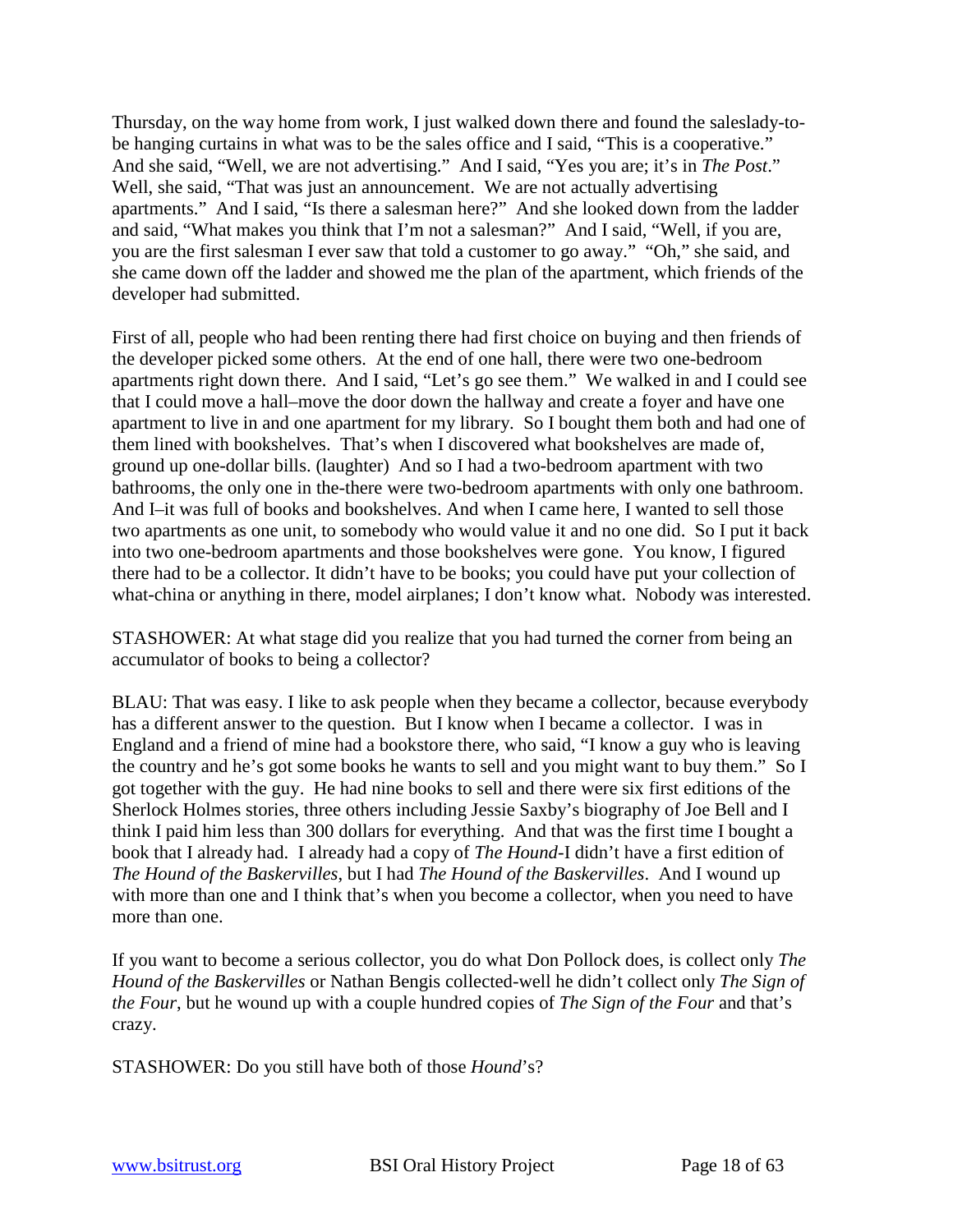Thursday, on the way home from work, I just walked down there and found the saleslady-tobe hanging curtains in what was to be the sales office and I said, "This is a cooperative." And she said, "Well, we are not advertising." And I said, "Yes you are; it's in *The Post*." Well, she said, "That was just an announcement. We are not actually advertising apartments." And I said, "Is there a salesman here?" And she looked down from the ladder and said, "What makes you think that I'm not a salesman?" And I said, "Well, if you are, you are the first salesman I ever saw that told a customer to go away." "Oh," she said, and she came down off the ladder and showed me the plan of the apartment, which friends of the developer had submitted.

First of all, people who had been renting there had first choice on buying and then friends of the developer picked some others. At the end of one hall, there were two one-bedroom apartments right down there. And I said, "Let's go see them." We walked in and I could see that I could move a hall–move the door down the hallway and create a foyer and have one apartment to live in and one apartment for my library. So I bought them both and had one of them lined with bookshelves. That's when I discovered what bookshelves are made of, ground up one-dollar bills. (laughter) And so I had a two-bedroom apartment with two bathrooms, the only one in the-there were two-bedroom apartments with only one bathroom. And I–it was full of books and bookshelves. And when I came here, I wanted to sell those two apartments as one unit, to somebody who would value it and no one did. So I put it back into two one-bedroom apartments and those bookshelves were gone. You know, I figured there had to be a collector. It didn't have to be books; you could have put your collection of what-china or anything in there, model airplanes; I don't know what. Nobody was interested.

STASHOWER: At what stage did you realize that you had turned the corner from being an accumulator of books to being a collector?

BLAU: That was easy. I like to ask people when they became a collector, because everybody has a different answer to the question. But I know when I became a collector. I was in England and a friend of mine had a bookstore there, who said, "I know a guy who is leaving the country and he's got some books he wants to sell and you might want to buy them." So I got together with the guy. He had nine books to sell and there were six first editions of the Sherlock Holmes stories, three others including Jessie Saxby's biography of Joe Bell and I think I paid him less than 300 dollars for everything. And that was the first time I bought a book that I already had. I already had a copy of *The Hound*-I didn't have a first edition of *The Hound of the Baskervilles*, but I had *The Hound of the Baskervilles*. And I wound up with more than one and I think that's when you become a collector, when you need to have more than one.

If you want to become a serious collector, you do what Don Pollock does, is collect only *The Hound of the Baskervilles* or Nathan Bengis collected-well he didn't collect only *The Sign of the Four*, but he wound up with a couple hundred copies of *The Sign of the Four* and that's crazy.

STASHOWER: Do you still have both of those *Hound*'s?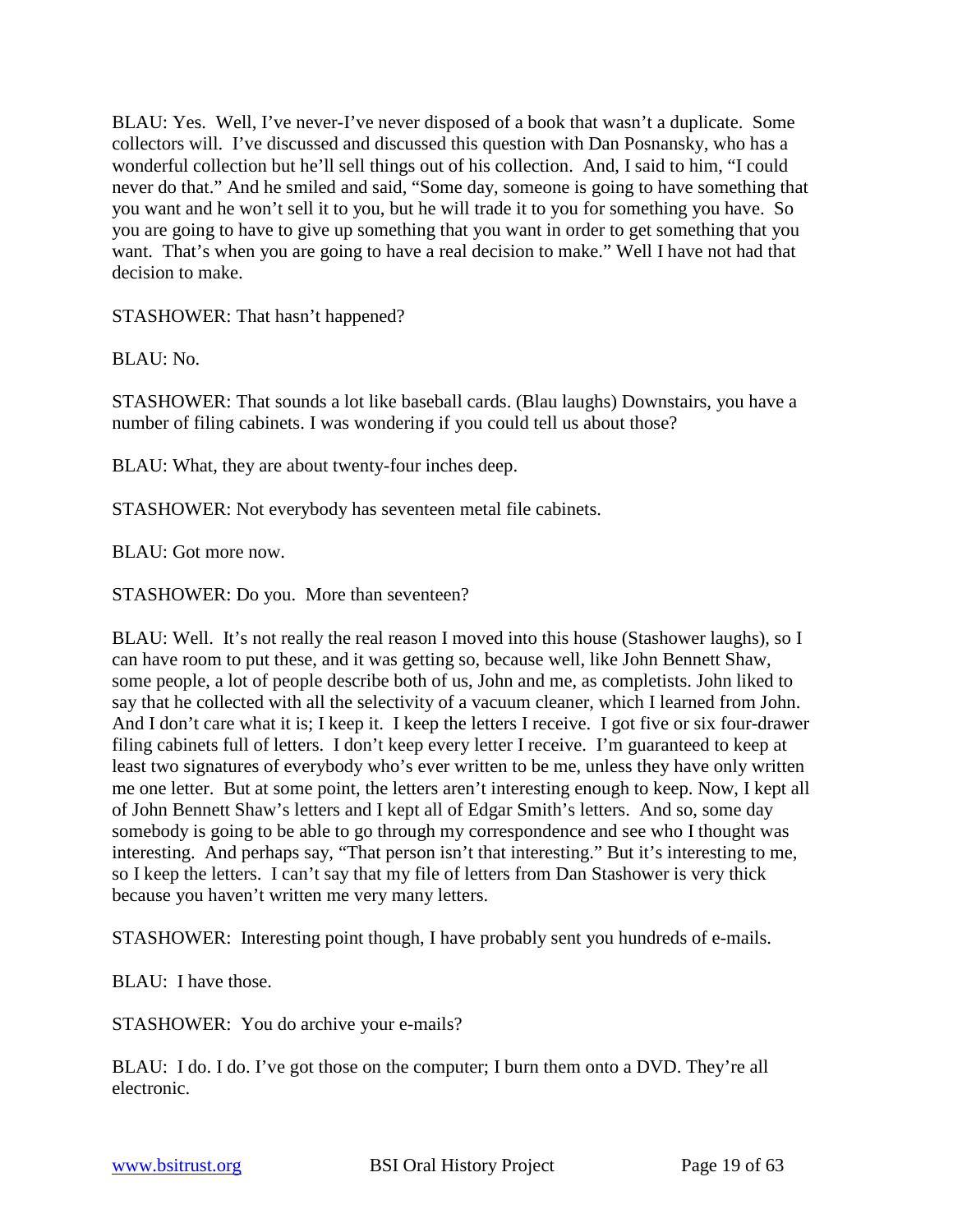BLAU: Yes. Well, I've never-I've never disposed of a book that wasn't a duplicate. Some collectors will. I've discussed and discussed this question with Dan Posnansky, who has a wonderful collection but he'll sell things out of his collection. And, I said to him, "I could never do that." And he smiled and said, "Some day, someone is going to have something that you want and he won't sell it to you, but he will trade it to you for something you have. So you are going to have to give up something that you want in order to get something that you want. That's when you are going to have a real decision to make." Well I have not had that decision to make.

STASHOWER: That hasn't happened?

BLAU: No.

STASHOWER: That sounds a lot like baseball cards. (Blau laughs) Downstairs, you have a number of filing cabinets. I was wondering if you could tell us about those?

BLAU: What, they are about twenty-four inches deep.

STASHOWER: Not everybody has seventeen metal file cabinets.

BLAU: Got more now.

STASHOWER: Do you. More than seventeen?

BLAU: Well. It's not really the real reason I moved into this house (Stashower laughs), so I can have room to put these, and it was getting so, because well, like John Bennett Shaw, some people, a lot of people describe both of us, John and me, as completists. John liked to say that he collected with all the selectivity of a vacuum cleaner, which I learned from John. And I don't care what it is; I keep it. I keep the letters I receive. I got five or six four-drawer filing cabinets full of letters. I don't keep every letter I receive. I'm guaranteed to keep at least two signatures of everybody who's ever written to be me, unless they have only written me one letter. But at some point, the letters aren't interesting enough to keep. Now, I kept all of John Bennett Shaw's letters and I kept all of Edgar Smith's letters. And so, some day somebody is going to be able to go through my correspondence and see who I thought was interesting. And perhaps say, "That person isn't that interesting." But it's interesting to me, so I keep the letters. I can't say that my file of letters from Dan Stashower is very thick because you haven't written me very many letters.

STASHOWER: Interesting point though, I have probably sent you hundreds of e-mails.

BLAU: I have those.

STASHOWER: You do archive your e-mails?

BLAU: I do. I do. I've got those on the computer; I burn them onto a DVD. They're all electronic.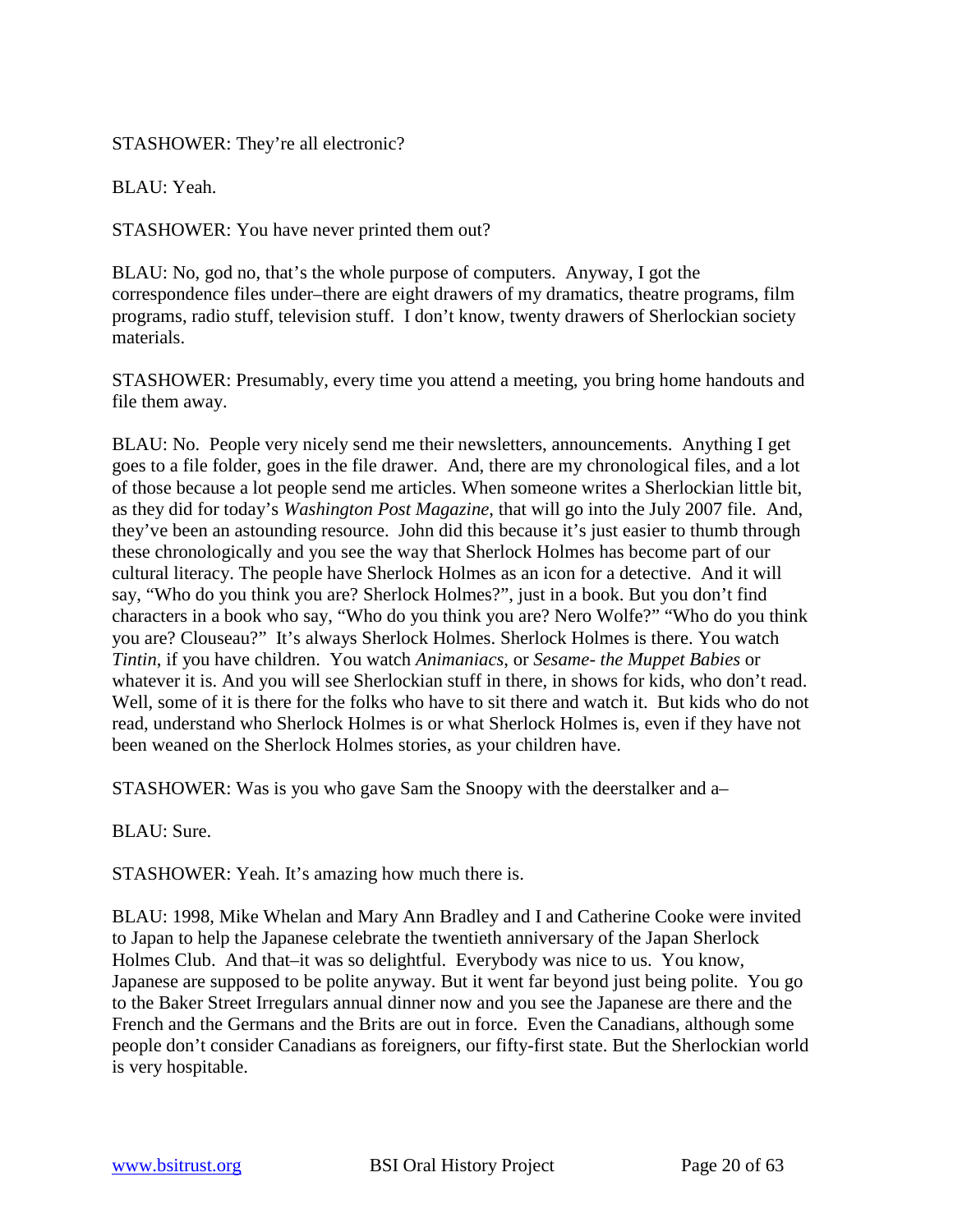# STASHOWER: They're all electronic?

BLAU: Yeah.

STASHOWER: You have never printed them out?

BLAU: No, god no, that's the whole purpose of computers. Anyway, I got the correspondence files under–there are eight drawers of my dramatics, theatre programs, film programs, radio stuff, television stuff. I don't know, twenty drawers of Sherlockian society materials.

STASHOWER: Presumably, every time you attend a meeting, you bring home handouts and file them away.

BLAU: No. People very nicely send me their newsletters, announcements. Anything I get goes to a file folder, goes in the file drawer. And, there are my chronological files, and a lot of those because a lot people send me articles. When someone writes a Sherlockian little bit, as they did for today's *Washington Post Magazine*, that will go into the July 2007 file. And, they've been an astounding resource. John did this because it's just easier to thumb through these chronologically and you see the way that Sherlock Holmes has become part of our cultural literacy. The people have Sherlock Holmes as an icon for a detective. And it will say, "Who do you think you are? Sherlock Holmes?", just in a book. But you don't find characters in a book who say, "Who do you think you are? Nero Wolfe?" "Who do you think you are? Clouseau?" It's always Sherlock Holmes. Sherlock Holmes is there. You watch *Tintin*, if you have children. You watch *Animaniacs*, or *Sesame- the Muppet Babies* or whatever it is. And you will see Sherlockian stuff in there, in shows for kids, who don't read. Well, some of it is there for the folks who have to sit there and watch it. But kids who do not read, understand who Sherlock Holmes is or what Sherlock Holmes is, even if they have not been weaned on the Sherlock Holmes stories, as your children have.

STASHOWER: Was is you who gave Sam the Snoopy with the deerstalker and a–

BLAU: Sure.

STASHOWER: Yeah. It's amazing how much there is.

BLAU: 1998, Mike Whelan and Mary Ann Bradley and I and Catherine Cooke were invited to Japan to help the Japanese celebrate the twentieth anniversary of the Japan Sherlock Holmes Club. And that–it was so delightful. Everybody was nice to us. You know, Japanese are supposed to be polite anyway. But it went far beyond just being polite. You go to the Baker Street Irregulars annual dinner now and you see the Japanese are there and the French and the Germans and the Brits are out in force. Even the Canadians, although some people don't consider Canadians as foreigners, our fifty-first state. But the Sherlockian world is very hospitable.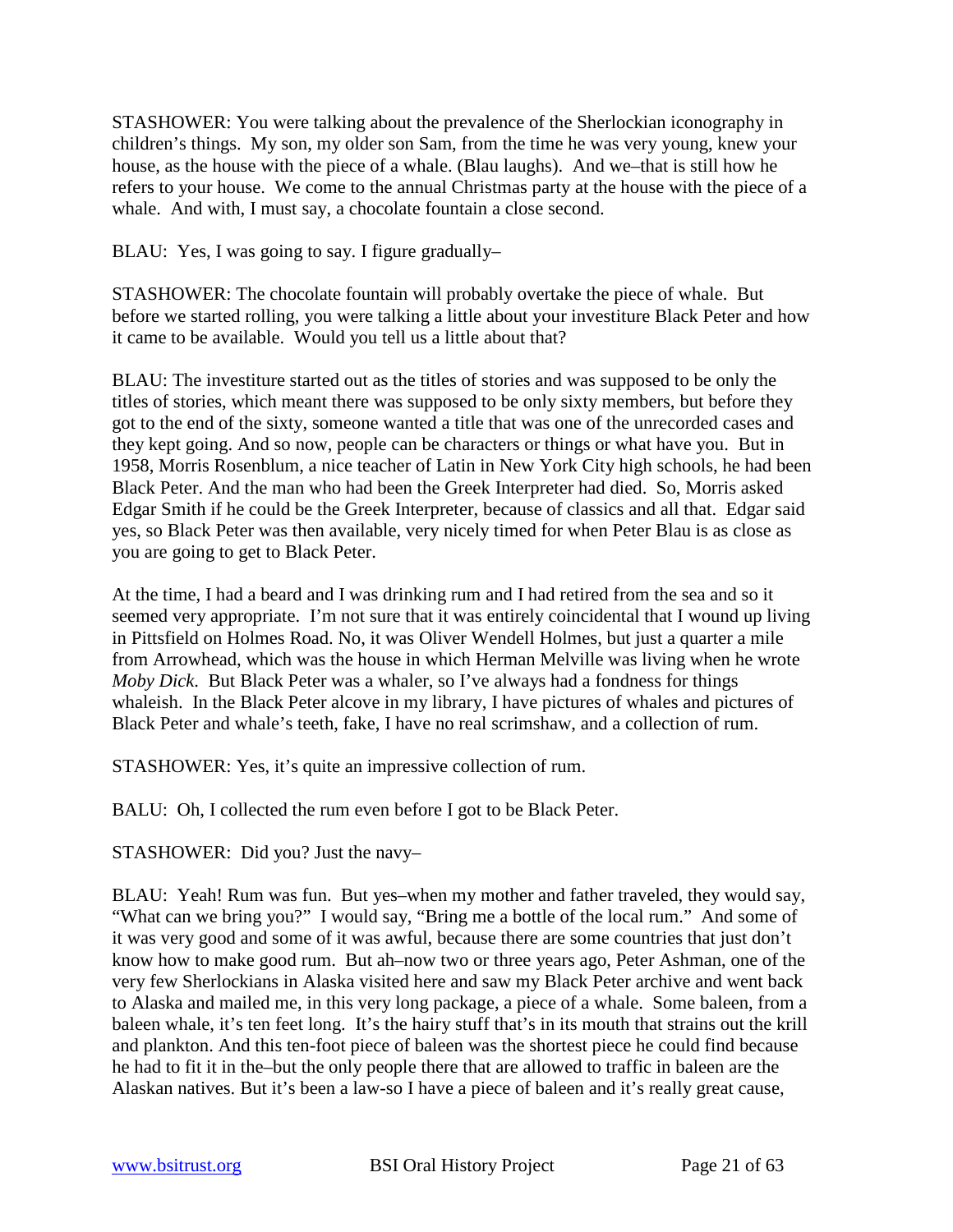STASHOWER: You were talking about the prevalence of the Sherlockian iconography in children's things. My son, my older son Sam, from the time he was very young, knew your house, as the house with the piece of a whale. (Blau laughs). And we–that is still how he refers to your house. We come to the annual Christmas party at the house with the piece of a whale. And with, I must say, a chocolate fountain a close second.

BLAU: Yes, I was going to say. I figure gradually–

STASHOWER: The chocolate fountain will probably overtake the piece of whale. But before we started rolling, you were talking a little about your investiture Black Peter and how it came to be available. Would you tell us a little about that?

BLAU: The investiture started out as the titles of stories and was supposed to be only the titles of stories, which meant there was supposed to be only sixty members, but before they got to the end of the sixty, someone wanted a title that was one of the unrecorded cases and they kept going. And so now, people can be characters or things or what have you. But in 1958, Morris Rosenblum, a nice teacher of Latin in New York City high schools, he had been Black Peter. And the man who had been the Greek Interpreter had died. So, Morris asked Edgar Smith if he could be the Greek Interpreter, because of classics and all that. Edgar said yes, so Black Peter was then available, very nicely timed for when Peter Blau is as close as you are going to get to Black Peter.

At the time, I had a beard and I was drinking rum and I had retired from the sea and so it seemed very appropriate. I'm not sure that it was entirely coincidental that I wound up living in Pittsfield on Holmes Road. No, it was Oliver Wendell Holmes, but just a quarter a mile from Arrowhead, which was the house in which Herman Melville was living when he wrote *Moby Dick*. But Black Peter was a whaler, so I've always had a fondness for things whaleish. In the Black Peter alcove in my library, I have pictures of whales and pictures of Black Peter and whale's teeth, fake, I have no real scrimshaw, and a collection of rum.

STASHOWER: Yes, it's quite an impressive collection of rum.

BALU: Oh, I collected the rum even before I got to be Black Peter.

STASHOWER: Did you? Just the navy–

BLAU: Yeah! Rum was fun. But yes–when my mother and father traveled, they would say, "What can we bring you?" I would say, "Bring me a bottle of the local rum." And some of it was very good and some of it was awful, because there are some countries that just don't know how to make good rum. But ah–now two or three years ago, Peter Ashman, one of the very few Sherlockians in Alaska visited here and saw my Black Peter archive and went back to Alaska and mailed me, in this very long package, a piece of a whale. Some baleen, from a baleen whale, it's ten feet long. It's the hairy stuff that's in its mouth that strains out the krill and plankton. And this ten-foot piece of baleen was the shortest piece he could find because he had to fit it in the–but the only people there that are allowed to traffic in baleen are the Alaskan natives. But it's been a law-so I have a piece of baleen and it's really great cause,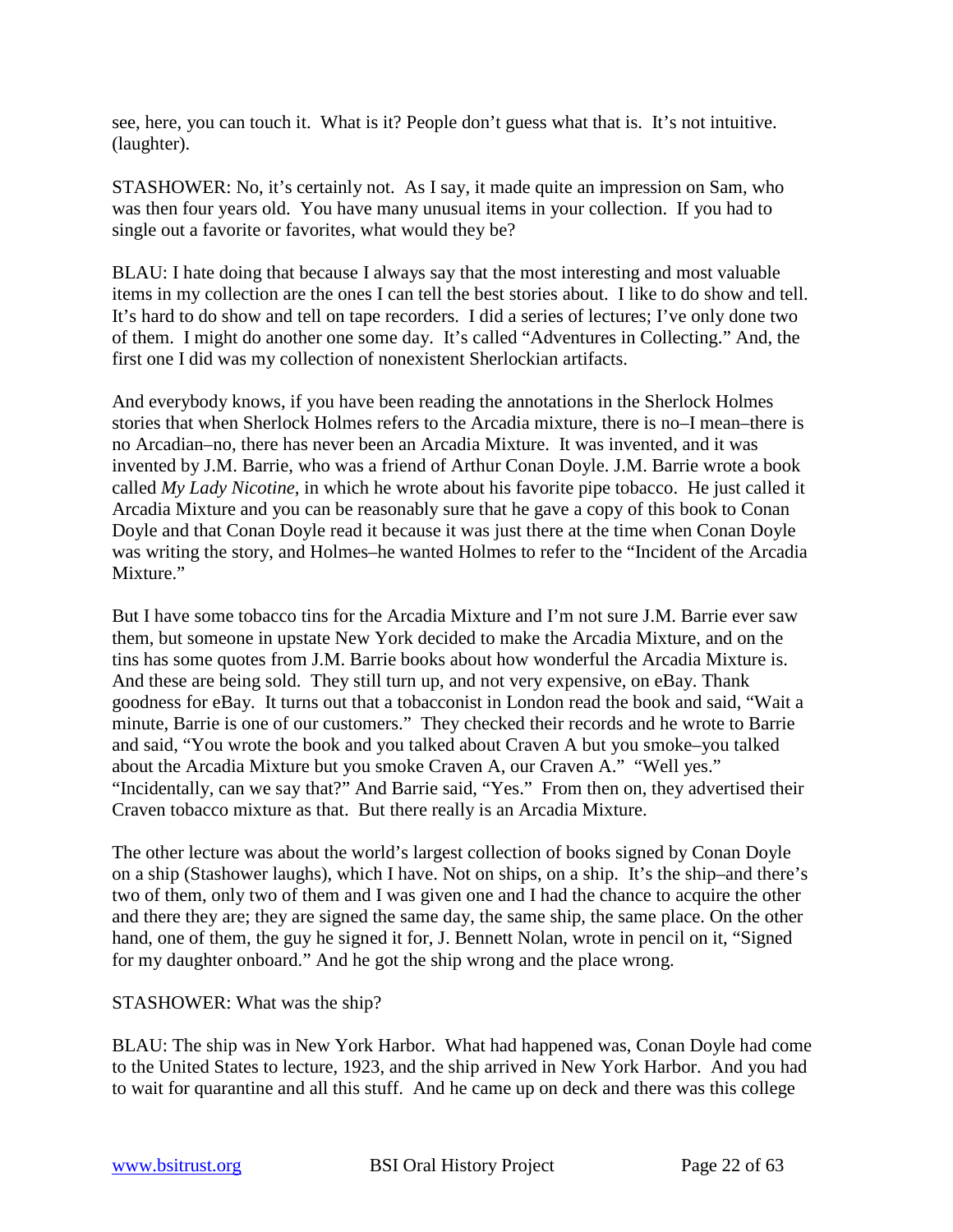see, here, you can touch it. What is it? People don't guess what that is. It's not intuitive. (laughter).

STASHOWER: No, it's certainly not. As I say, it made quite an impression on Sam, who was then four years old. You have many unusual items in your collection. If you had to single out a favorite or favorites, what would they be?

BLAU: I hate doing that because I always say that the most interesting and most valuable items in my collection are the ones I can tell the best stories about. I like to do show and tell. It's hard to do show and tell on tape recorders. I did a series of lectures; I've only done two of them. I might do another one some day. It's called "Adventures in Collecting." And, the first one I did was my collection of nonexistent Sherlockian artifacts.

And everybody knows, if you have been reading the annotations in the Sherlock Holmes stories that when Sherlock Holmes refers to the Arcadia mixture, there is no–I mean–there is no Arcadian–no, there has never been an Arcadia Mixture. It was invented, and it was invented by J.M. Barrie, who was a friend of Arthur Conan Doyle. J.M. Barrie wrote a book called *My Lady Nicotine*, in which he wrote about his favorite pipe tobacco. He just called it Arcadia Mixture and you can be reasonably sure that he gave a copy of this book to Conan Doyle and that Conan Doyle read it because it was just there at the time when Conan Doyle was writing the story, and Holmes–he wanted Holmes to refer to the "Incident of the Arcadia" Mixture."

But I have some tobacco tins for the Arcadia Mixture and I'm not sure J.M. Barrie ever saw them, but someone in upstate New York decided to make the Arcadia Mixture, and on the tins has some quotes from J.M. Barrie books about how wonderful the Arcadia Mixture is. And these are being sold. They still turn up, and not very expensive, on eBay. Thank goodness for eBay. It turns out that a tobacconist in London read the book and said, "Wait a minute, Barrie is one of our customers." They checked their records and he wrote to Barrie and said, "You wrote the book and you talked about Craven A but you smoke–you talked about the Arcadia Mixture but you smoke Craven A, our Craven A." "Well yes." "Incidentally, can we say that?" And Barrie said, "Yes." From then on, they advertised their Craven tobacco mixture as that. But there really is an Arcadia Mixture.

The other lecture was about the world's largest collection of books signed by Conan Doyle on a ship (Stashower laughs), which I have. Not on ships, on a ship. It's the ship–and there's two of them, only two of them and I was given one and I had the chance to acquire the other and there they are; they are signed the same day, the same ship, the same place. On the other hand, one of them, the guy he signed it for, J. Bennett Nolan, wrote in pencil on it, "Signed for my daughter onboard." And he got the ship wrong and the place wrong.

#### STASHOWER: What was the ship?

BLAU: The ship was in New York Harbor. What had happened was, Conan Doyle had come to the United States to lecture, 1923, and the ship arrived in New York Harbor. And you had to wait for quarantine and all this stuff. And he came up on deck and there was this college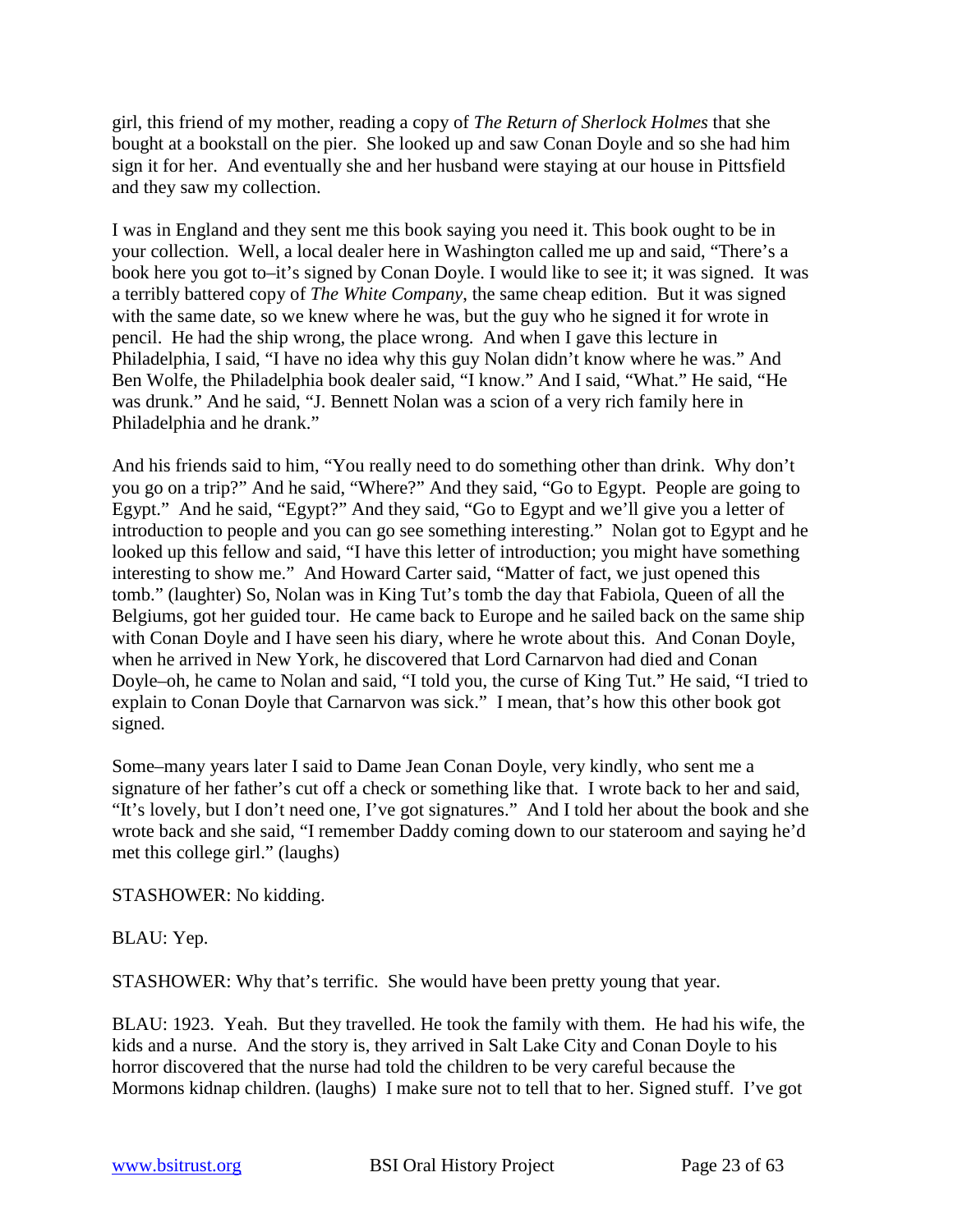girl, this friend of my mother, reading a copy of *The Return of Sherlock Holmes* that she bought at a bookstall on the pier. She looked up and saw Conan Doyle and so she had him sign it for her. And eventually she and her husband were staying at our house in Pittsfield and they saw my collection.

I was in England and they sent me this book saying you need it. This book ought to be in your collection. Well, a local dealer here in Washington called me up and said, "There's a book here you got to–it's signed by Conan Doyle. I would like to see it; it was signed. It was a terribly battered copy of *The White Company*, the same cheap edition. But it was signed with the same date, so we knew where he was, but the guy who he signed it for wrote in pencil. He had the ship wrong, the place wrong. And when I gave this lecture in Philadelphia, I said, "I have no idea why this guy Nolan didn't know where he was." And Ben Wolfe, the Philadelphia book dealer said, "I know." And I said, "What." He said, "He was drunk." And he said, "J. Bennett Nolan was a scion of a very rich family here in Philadelphia and he drank."

And his friends said to him, "You really need to do something other than drink. Why don't you go on a trip?" And he said, "Where?" And they said, "Go to Egypt. People are going to Egypt." And he said, "Egypt?" And they said, "Go to Egypt and we'll give you a letter of introduction to people and you can go see something interesting." Nolan got to Egypt and he looked up this fellow and said, "I have this letter of introduction; you might have something interesting to show me." And Howard Carter said, "Matter of fact, we just opened this tomb." (laughter) So, Nolan was in King Tut's tomb the day that Fabiola, Queen of all the Belgiums, got her guided tour. He came back to Europe and he sailed back on the same ship with Conan Doyle and I have seen his diary, where he wrote about this. And Conan Doyle, when he arrived in New York, he discovered that Lord Carnarvon had died and Conan Doyle–oh, he came to Nolan and said, "I told you, the curse of King Tut." He said, "I tried to explain to Conan Doyle that Carnarvon was sick." I mean, that's how this other book got signed.

Some–many years later I said to Dame Jean Conan Doyle, very kindly, who sent me a signature of her father's cut off a check or something like that. I wrote back to her and said, "It's lovely, but I don't need one, I've got signatures." And I told her about the book and she wrote back and she said, "I remember Daddy coming down to our stateroom and saying he'd met this college girl." (laughs)

STASHOWER: No kidding.

BLAU: Yep.

STASHOWER: Why that's terrific. She would have been pretty young that year.

BLAU: 1923. Yeah. But they travelled. He took the family with them. He had his wife, the kids and a nurse. And the story is, they arrived in Salt Lake City and Conan Doyle to his horror discovered that the nurse had told the children to be very careful because the Mormons kidnap children. (laughs) I make sure not to tell that to her. Signed stuff. I've got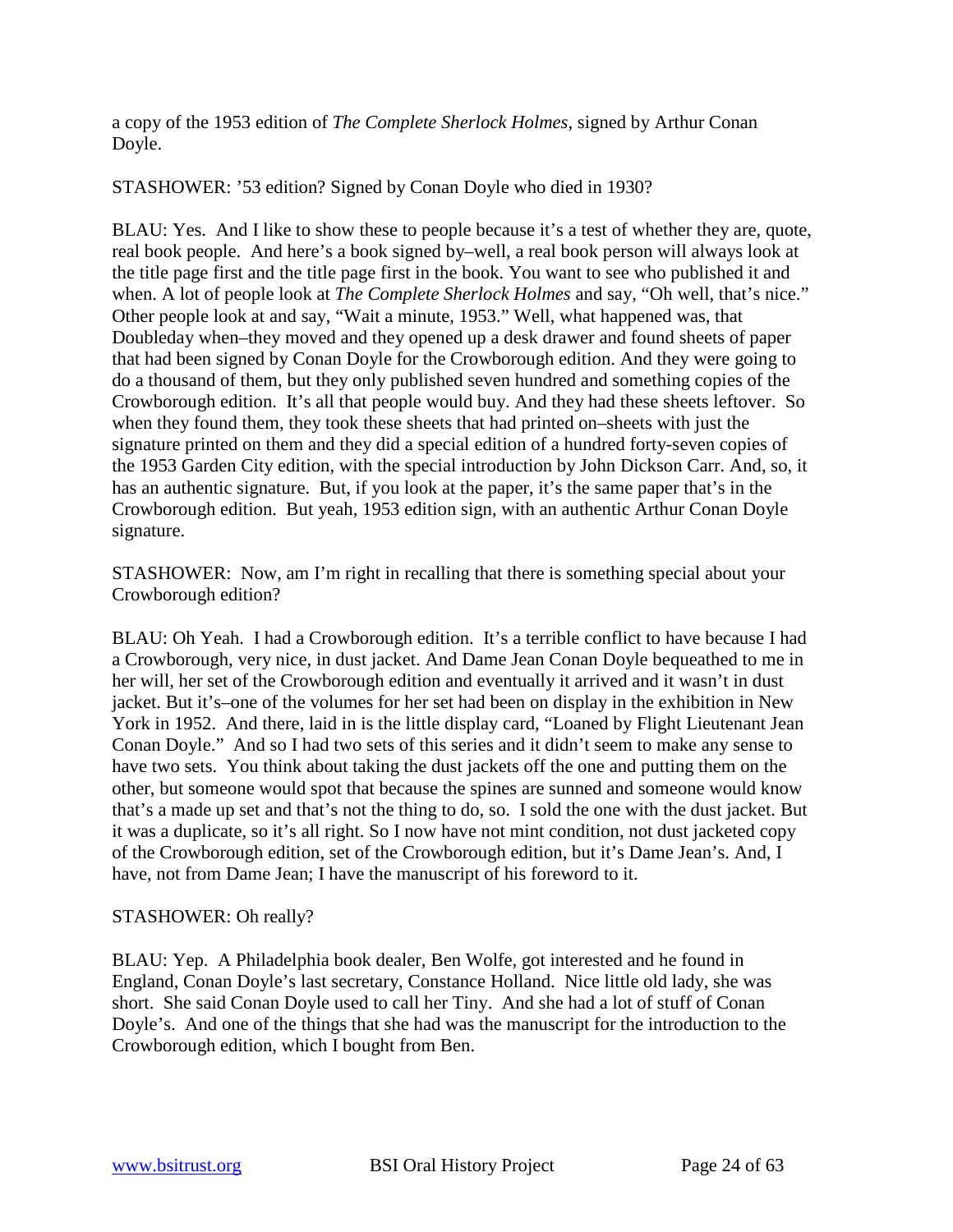a copy of the 1953 edition of *The Complete Sherlock Holmes,* signed by Arthur Conan Doyle.

STASHOWER: '53 edition? Signed by Conan Doyle who died in 1930?

BLAU: Yes. And I like to show these to people because it's a test of whether they are, quote, real book people. And here's a book signed by–well, a real book person will always look at the title page first and the title page first in the book. You want to see who published it and when. A lot of people look at *The Complete Sherlock Holmes* and say, "Oh well, that's nice." Other people look at and say, "Wait a minute, 1953." Well, what happened was, that Doubleday when–they moved and they opened up a desk drawer and found sheets of paper that had been signed by Conan Doyle for the Crowborough edition. And they were going to do a thousand of them, but they only published seven hundred and something copies of the Crowborough edition. It's all that people would buy. And they had these sheets leftover. So when they found them, they took these sheets that had printed on–sheets with just the signature printed on them and they did a special edition of a hundred forty-seven copies of the 1953 Garden City edition, with the special introduction by John Dickson Carr. And, so, it has an authentic signature. But, if you look at the paper, it's the same paper that's in the Crowborough edition. But yeah, 1953 edition sign, with an authentic Arthur Conan Doyle signature.

STASHOWER: Now, am I'm right in recalling that there is something special about your Crowborough edition?

BLAU: Oh Yeah. I had a Crowborough edition. It's a terrible conflict to have because I had a Crowborough, very nice, in dust jacket. And Dame Jean Conan Doyle bequeathed to me in her will, her set of the Crowborough edition and eventually it arrived and it wasn't in dust jacket. But it's–one of the volumes for her set had been on display in the exhibition in New York in 1952. And there, laid in is the little display card, "Loaned by Flight Lieutenant Jean Conan Doyle." And so I had two sets of this series and it didn't seem to make any sense to have two sets. You think about taking the dust jackets off the one and putting them on the other, but someone would spot that because the spines are sunned and someone would know that's a made up set and that's not the thing to do, so. I sold the one with the dust jacket. But it was a duplicate, so it's all right. So I now have not mint condition, not dust jacketed copy of the Crowborough edition, set of the Crowborough edition, but it's Dame Jean's. And, I have, not from Dame Jean; I have the manuscript of his foreword to it.

# STASHOWER: Oh really?

BLAU: Yep. A Philadelphia book dealer, Ben Wolfe, got interested and he found in England, Conan Doyle's last secretary, Constance Holland. Nice little old lady, she was short. She said Conan Doyle used to call her Tiny. And she had a lot of stuff of Conan Doyle's. And one of the things that she had was the manuscript for the introduction to the Crowborough edition, which I bought from Ben.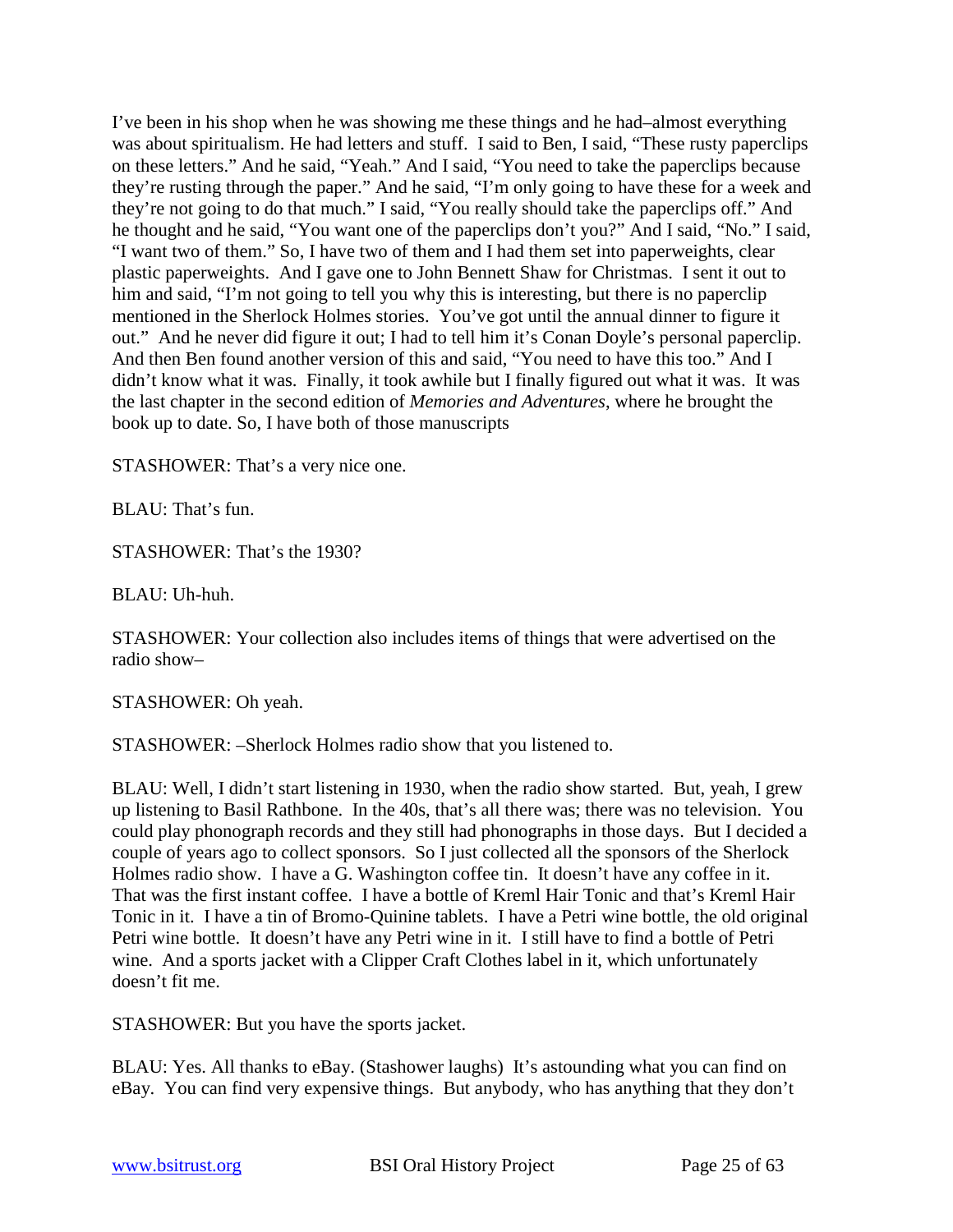I've been in his shop when he was showing me these things and he had–almost everything was about spiritualism. He had letters and stuff. I said to Ben, I said, "These rusty paperclips on these letters." And he said, "Yeah." And I said, "You need to take the paperclips because they're rusting through the paper." And he said, "I'm only going to have these for a week and they're not going to do that much." I said, "You really should take the paperclips off." And he thought and he said, "You want one of the paperclips don't you?" And I said, "No." I said, "I want two of them." So, I have two of them and I had them set into paperweights, clear plastic paperweights. And I gave one to John Bennett Shaw for Christmas. I sent it out to him and said, "I'm not going to tell you why this is interesting, but there is no paperclip mentioned in the Sherlock Holmes stories. You've got until the annual dinner to figure it out." And he never did figure it out; I had to tell him it's Conan Doyle's personal paperclip. And then Ben found another version of this and said, "You need to have this too." And I didn't know what it was. Finally, it took awhile but I finally figured out what it was. It was the last chapter in the second edition of *Memories and Adventures*, where he brought the book up to date. So, I have both of those manuscripts

STASHOWER: That's a very nice one.

BLAU: That's fun.

STASHOWER: That's the 1930?

BLAU: Uh-huh.

STASHOWER: Your collection also includes items of things that were advertised on the radio show–

STASHOWER: Oh yeah.

STASHOWER: –Sherlock Holmes radio show that you listened to.

BLAU: Well, I didn't start listening in 1930, when the radio show started. But, yeah, I grew up listening to Basil Rathbone. In the 40s, that's all there was; there was no television. You could play phonograph records and they still had phonographs in those days. But I decided a couple of years ago to collect sponsors. So I just collected all the sponsors of the Sherlock Holmes radio show. I have a G. Washington coffee tin. It doesn't have any coffee in it. That was the first instant coffee. I have a bottle of Kreml Hair Tonic and that's Kreml Hair Tonic in it. I have a tin of Bromo-Quinine tablets. I have a Petri wine bottle, the old original Petri wine bottle. It doesn't have any Petri wine in it. I still have to find a bottle of Petri wine. And a sports jacket with a Clipper Craft Clothes label in it, which unfortunately doesn't fit me.

STASHOWER: But you have the sports jacket.

BLAU: Yes. All thanks to eBay. (Stashower laughs) It's astounding what you can find on eBay. You can find very expensive things. But anybody, who has anything that they don't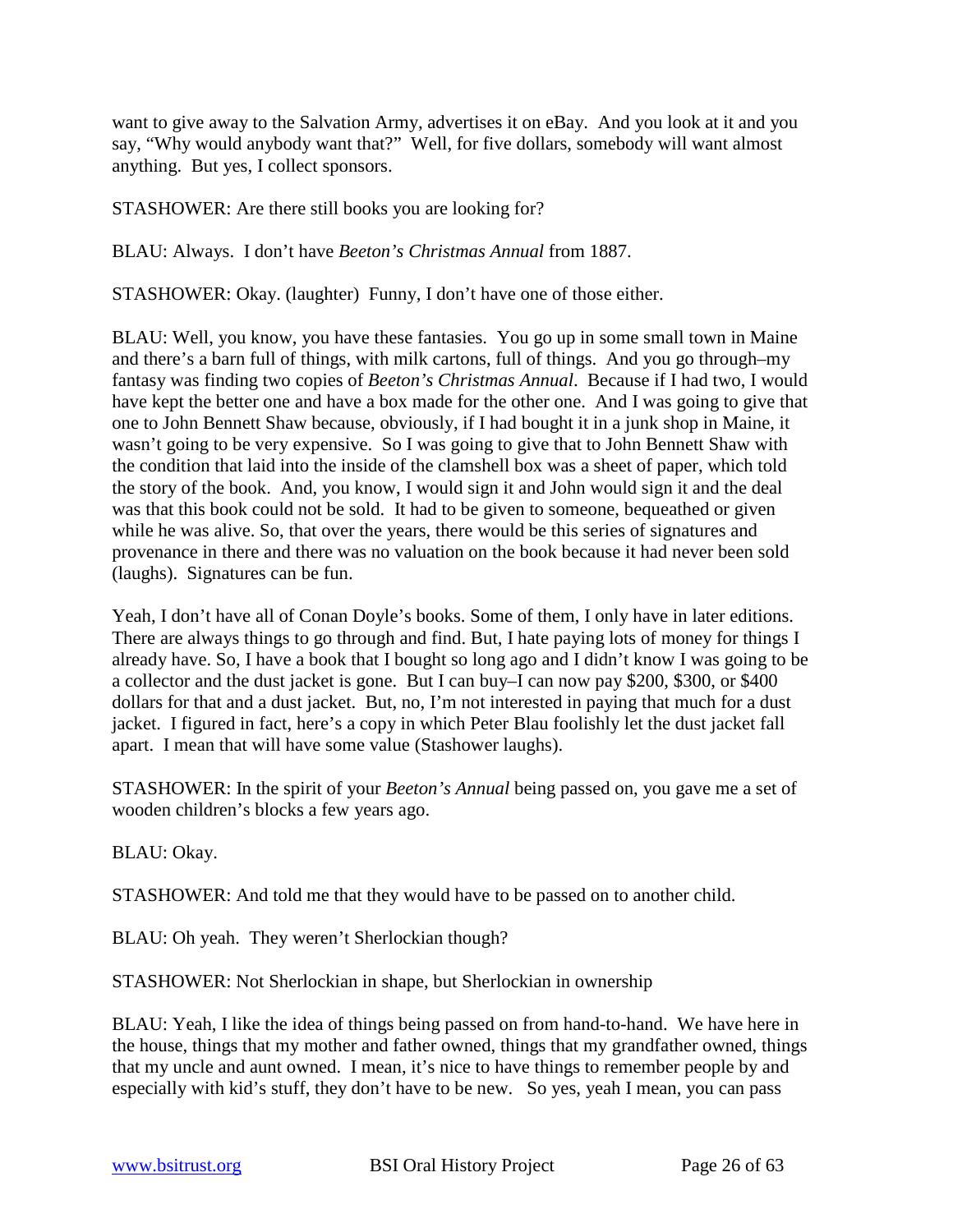want to give away to the Salvation Army, advertises it on eBay. And you look at it and you say, "Why would anybody want that?" Well, for five dollars, somebody will want almost anything. But yes, I collect sponsors.

STASHOWER: Are there still books you are looking for?

BLAU: Always. I don't have *Beeton's Christmas Annual* from 1887.

STASHOWER: Okay. (laughter) Funny, I don't have one of those either.

BLAU: Well, you know, you have these fantasies. You go up in some small town in Maine and there's a barn full of things, with milk cartons, full of things. And you go through–my fantasy was finding two copies of *Beeton's Christmas Annual*. Because if I had two, I would have kept the better one and have a box made for the other one. And I was going to give that one to John Bennett Shaw because, obviously, if I had bought it in a junk shop in Maine, it wasn't going to be very expensive. So I was going to give that to John Bennett Shaw with the condition that laid into the inside of the clamshell box was a sheet of paper, which told the story of the book. And, you know, I would sign it and John would sign it and the deal was that this book could not be sold. It had to be given to someone, bequeathed or given while he was alive. So, that over the years, there would be this series of signatures and provenance in there and there was no valuation on the book because it had never been sold (laughs). Signatures can be fun.

Yeah, I don't have all of Conan Doyle's books. Some of them, I only have in later editions. There are always things to go through and find. But, I hate paying lots of money for things I already have. So, I have a book that I bought so long ago and I didn't know I was going to be a collector and the dust jacket is gone. But I can buy–I can now pay \$200, \$300, or \$400 dollars for that and a dust jacket. But, no, I'm not interested in paying that much for a dust jacket. I figured in fact, here's a copy in which Peter Blau foolishly let the dust jacket fall apart. I mean that will have some value (Stashower laughs).

STASHOWER: In the spirit of your *Beeton's Annual* being passed on, you gave me a set of wooden children's blocks a few years ago.

BLAU: Okay.

STASHOWER: And told me that they would have to be passed on to another child.

BLAU: Oh yeah. They weren't Sherlockian though?

STASHOWER: Not Sherlockian in shape, but Sherlockian in ownership

BLAU: Yeah, I like the idea of things being passed on from hand-to-hand. We have here in the house, things that my mother and father owned, things that my grandfather owned, things that my uncle and aunt owned. I mean, it's nice to have things to remember people by and especially with kid's stuff, they don't have to be new. So yes, yeah I mean, you can pass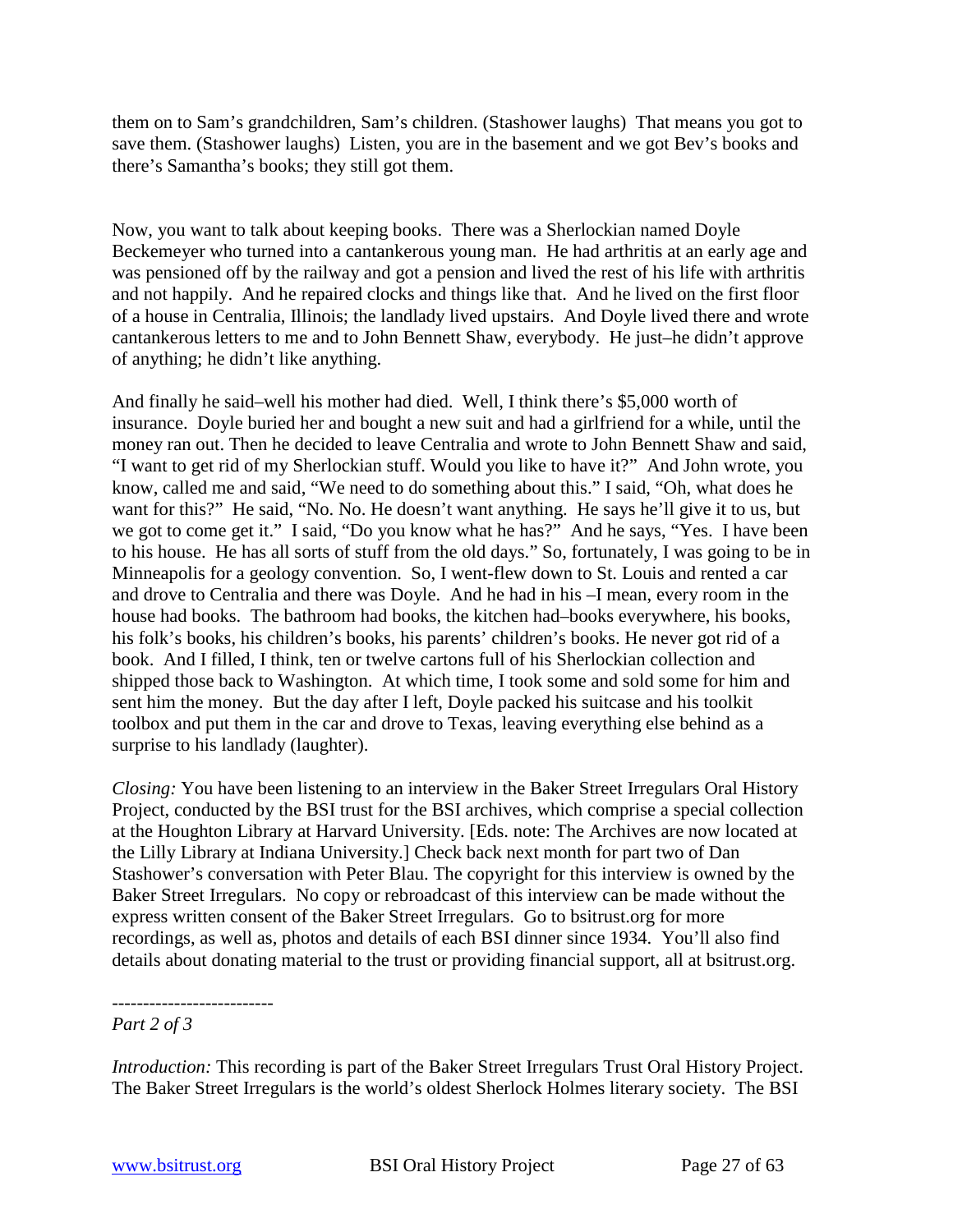them on to Sam's grandchildren, Sam's children. (Stashower laughs) That means you got to save them. (Stashower laughs) Listen, you are in the basement and we got Bev's books and there's Samantha's books; they still got them.

Now, you want to talk about keeping books. There was a Sherlockian named Doyle Beckemeyer who turned into a cantankerous young man. He had arthritis at an early age and was pensioned off by the railway and got a pension and lived the rest of his life with arthritis and not happily. And he repaired clocks and things like that. And he lived on the first floor of a house in Centralia, Illinois; the landlady lived upstairs. And Doyle lived there and wrote cantankerous letters to me and to John Bennett Shaw, everybody. He just–he didn't approve of anything; he didn't like anything.

And finally he said–well his mother had died. Well, I think there's \$5,000 worth of insurance. Doyle buried her and bought a new suit and had a girlfriend for a while, until the money ran out. Then he decided to leave Centralia and wrote to John Bennett Shaw and said, "I want to get rid of my Sherlockian stuff. Would you like to have it?" And John wrote, you know, called me and said, "We need to do something about this." I said, "Oh, what does he want for this?" He said, "No. No. He doesn't want anything. He says he'll give it to us, but we got to come get it." I said, "Do you know what he has?" And he says, "Yes. I have been to his house. He has all sorts of stuff from the old days." So, fortunately, I was going to be in Minneapolis for a geology convention. So, I went-flew down to St. Louis and rented a car and drove to Centralia and there was Doyle. And he had in his –I mean, every room in the house had books. The bathroom had books, the kitchen had–books everywhere, his books, his folk's books, his children's books, his parents' children's books. He never got rid of a book. And I filled, I think, ten or twelve cartons full of his Sherlockian collection and shipped those back to Washington. At which time, I took some and sold some for him and sent him the money. But the day after I left, Doyle packed his suitcase and his toolkit toolbox and put them in the car and drove to Texas, leaving everything else behind as a surprise to his landlady (laughter).

*Closing:* You have been listening to an interview in the Baker Street Irregulars Oral History Project, conducted by the BSI trust for the BSI archives, which comprise a special collection at the Houghton Library at Harvard University. [Eds. note: The Archives are now located at the Lilly Library at Indiana University.] Check back next month for part two of Dan Stashower's conversation with Peter Blau. The copyright for this interview is owned by the Baker Street Irregulars. No copy or rebroadcast of this interview can be made without the express written consent of the Baker Street Irregulars. Go to bsitrust.org for more recordings, as well as, photos and details of each BSI dinner since 1934. You'll also find details about donating material to the trust or providing financial support, all at bsitrust.org.

*Introduction:* This recording is part of the Baker Street Irregulars Trust Oral History Project. The Baker Street Irregulars is the world's oldest Sherlock Holmes literary society. The BSI

<sup>--------------------------</sup> *Part 2 of 3*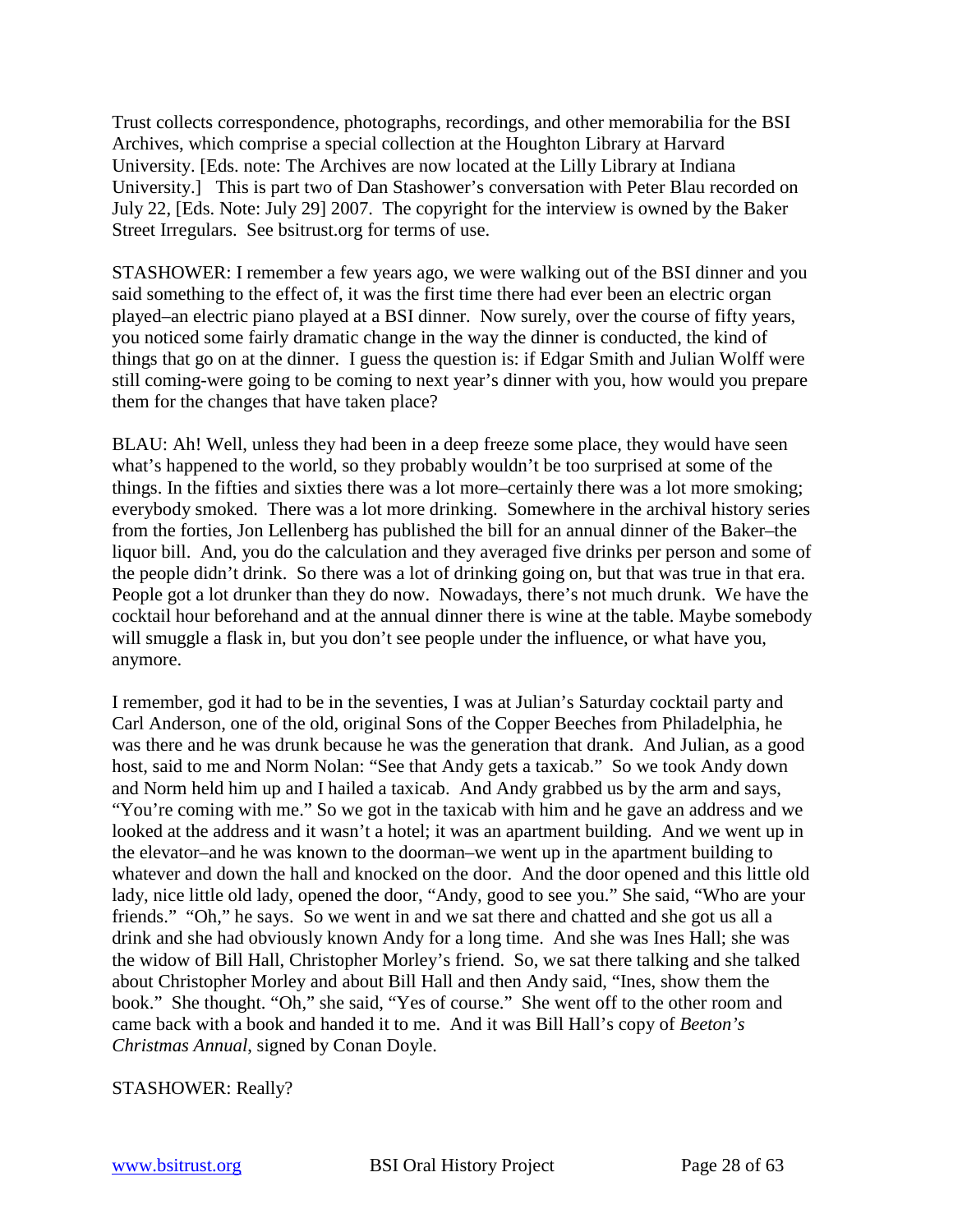Trust collects correspondence, photographs, recordings, and other memorabilia for the BSI Archives, which comprise a special collection at the Houghton Library at Harvard University. [Eds. note: The Archives are now located at the Lilly Library at Indiana University.] This is part two of Dan Stashower's conversation with Peter Blau recorded on July 22, [Eds. Note: July 29] 2007. The copyright for the interview is owned by the Baker Street Irregulars. See bsitrust.org for terms of use.

STASHOWER: I remember a few years ago, we were walking out of the BSI dinner and you said something to the effect of, it was the first time there had ever been an electric organ played–an electric piano played at a BSI dinner. Now surely, over the course of fifty years, you noticed some fairly dramatic change in the way the dinner is conducted, the kind of things that go on at the dinner. I guess the question is: if Edgar Smith and Julian Wolff were still coming-were going to be coming to next year's dinner with you, how would you prepare them for the changes that have taken place?

BLAU: Ah! Well, unless they had been in a deep freeze some place, they would have seen what's happened to the world, so they probably wouldn't be too surprised at some of the things. In the fifties and sixties there was a lot more–certainly there was a lot more smoking; everybody smoked. There was a lot more drinking. Somewhere in the archival history series from the forties, Jon Lellenberg has published the bill for an annual dinner of the Baker–the liquor bill. And, you do the calculation and they averaged five drinks per person and some of the people didn't drink. So there was a lot of drinking going on, but that was true in that era. People got a lot drunker than they do now. Nowadays, there's not much drunk. We have the cocktail hour beforehand and at the annual dinner there is wine at the table. Maybe somebody will smuggle a flask in, but you don't see people under the influence, or what have you, anymore.

I remember, god it had to be in the seventies, I was at Julian's Saturday cocktail party and Carl Anderson, one of the old, original Sons of the Copper Beeches from Philadelphia, he was there and he was drunk because he was the generation that drank. And Julian, as a good host, said to me and Norm Nolan: "See that Andy gets a taxicab." So we took Andy down and Norm held him up and I hailed a taxicab. And Andy grabbed us by the arm and says, "You're coming with me." So we got in the taxicab with him and he gave an address and we looked at the address and it wasn't a hotel; it was an apartment building. And we went up in the elevator–and he was known to the doorman–we went up in the apartment building to whatever and down the hall and knocked on the door. And the door opened and this little old lady, nice little old lady, opened the door, "Andy, good to see you." She said, "Who are your friends." "Oh," he says. So we went in and we sat there and chatted and she got us all a drink and she had obviously known Andy for a long time. And she was Ines Hall; she was the widow of Bill Hall, Christopher Morley's friend. So, we sat there talking and she talked about Christopher Morley and about Bill Hall and then Andy said, "Ines, show them the book." She thought. "Oh," she said, "Yes of course." She went off to the other room and came back with a book and handed it to me. And it was Bill Hall's copy of *Beeton's Christmas Annual*, signed by Conan Doyle.

STASHOWER: Really?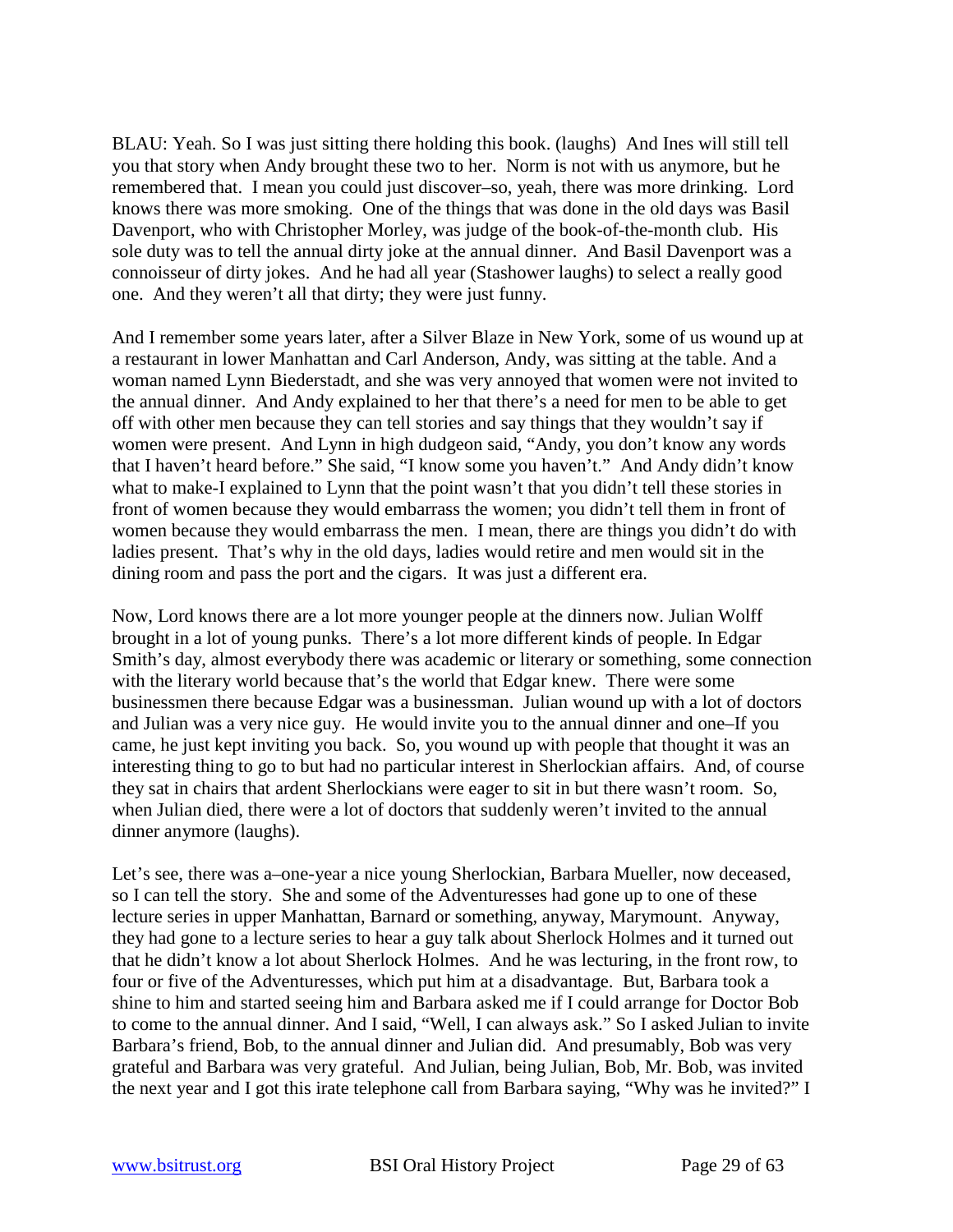BLAU: Yeah. So I was just sitting there holding this book. (laughs) And Ines will still tell you that story when Andy brought these two to her. Norm is not with us anymore, but he remembered that. I mean you could just discover–so, yeah, there was more drinking. Lord knows there was more smoking. One of the things that was done in the old days was Basil Davenport, who with Christopher Morley, was judge of the book-of-the-month club. His sole duty was to tell the annual dirty joke at the annual dinner. And Basil Davenport was a connoisseur of dirty jokes. And he had all year (Stashower laughs) to select a really good one. And they weren't all that dirty; they were just funny.

And I remember some years later, after a Silver Blaze in New York, some of us wound up at a restaurant in lower Manhattan and Carl Anderson, Andy, was sitting at the table. And a woman named Lynn Biederstadt, and she was very annoyed that women were not invited to the annual dinner. And Andy explained to her that there's a need for men to be able to get off with other men because they can tell stories and say things that they wouldn't say if women were present. And Lynn in high dudgeon said, "Andy, you don't know any words that I haven't heard before." She said, "I know some you haven't." And Andy didn't know what to make-I explained to Lynn that the point wasn't that you didn't tell these stories in front of women because they would embarrass the women; you didn't tell them in front of women because they would embarrass the men. I mean, there are things you didn't do with ladies present. That's why in the old days, ladies would retire and men would sit in the dining room and pass the port and the cigars. It was just a different era.

Now, Lord knows there are a lot more younger people at the dinners now. Julian Wolff brought in a lot of young punks. There's a lot more different kinds of people. In Edgar Smith's day, almost everybody there was academic or literary or something, some connection with the literary world because that's the world that Edgar knew. There were some businessmen there because Edgar was a businessman. Julian wound up with a lot of doctors and Julian was a very nice guy. He would invite you to the annual dinner and one–If you came, he just kept inviting you back. So, you wound up with people that thought it was an interesting thing to go to but had no particular interest in Sherlockian affairs. And, of course they sat in chairs that ardent Sherlockians were eager to sit in but there wasn't room. So, when Julian died, there were a lot of doctors that suddenly weren't invited to the annual dinner anymore (laughs).

Let's see, there was a–one-year a nice young Sherlockian, Barbara Mueller, now deceased, so I can tell the story. She and some of the Adventuresses had gone up to one of these lecture series in upper Manhattan, Barnard or something, anyway, Marymount. Anyway, they had gone to a lecture series to hear a guy talk about Sherlock Holmes and it turned out that he didn't know a lot about Sherlock Holmes. And he was lecturing, in the front row, to four or five of the Adventuresses, which put him at a disadvantage. But, Barbara took a shine to him and started seeing him and Barbara asked me if I could arrange for Doctor Bob to come to the annual dinner. And I said, "Well, I can always ask." So I asked Julian to invite Barbara's friend, Bob, to the annual dinner and Julian did. And presumably, Bob was very grateful and Barbara was very grateful. And Julian, being Julian, Bob, Mr. Bob, was invited the next year and I got this irate telephone call from Barbara saying, "Why was he invited?" I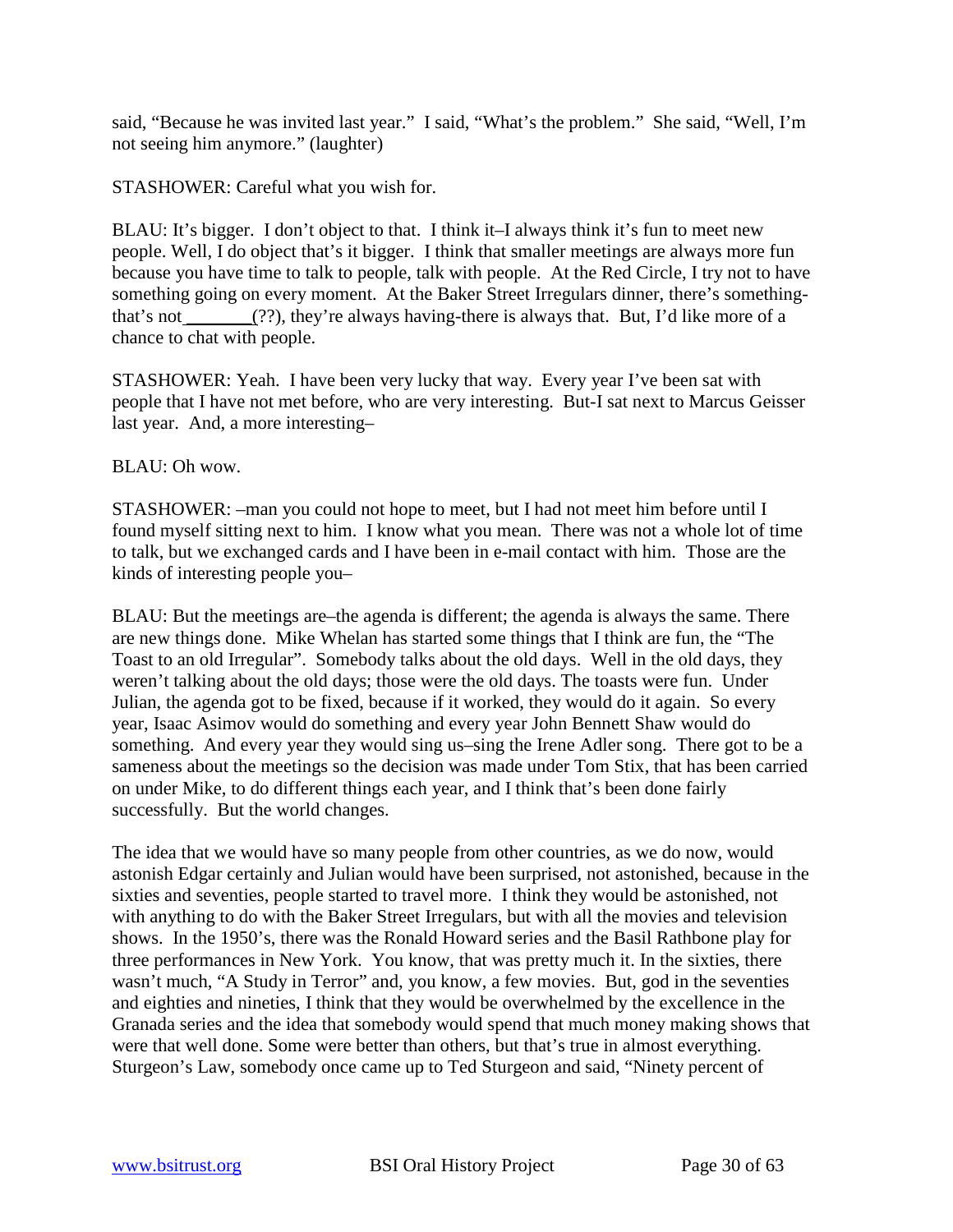said, "Because he was invited last year." I said, "What's the problem." She said, "Well, I'm not seeing him anymore." (laughter)

STASHOWER: Careful what you wish for.

BLAU: It's bigger. I don't object to that. I think it–I always think it's fun to meet new people. Well, I do object that's it bigger. I think that smaller meetings are always more fun because you have time to talk to people, talk with people. At the Red Circle, I try not to have something going on every moment. At the Baker Street Irregulars dinner, there's somethingthat's not  $\frac{1}{\sqrt{2}}$  (??), they're always having-there is always that. But, I'd like more of a chance to chat with people.

STASHOWER: Yeah. I have been very lucky that way. Every year I've been sat with people that I have not met before, who are very interesting. But-I sat next to Marcus Geisser last year. And, a more interesting–

BLAU: Oh wow.

STASHOWER: –man you could not hope to meet, but I had not meet him before until I found myself sitting next to him. I know what you mean. There was not a whole lot of time to talk, but we exchanged cards and I have been in e-mail contact with him. Those are the kinds of interesting people you–

BLAU: But the meetings are–the agenda is different; the agenda is always the same. There are new things done. Mike Whelan has started some things that I think are fun, the "The Toast to an old Irregular". Somebody talks about the old days. Well in the old days, they weren't talking about the old days; those were the old days. The toasts were fun. Under Julian, the agenda got to be fixed, because if it worked, they would do it again. So every year, Isaac Asimov would do something and every year John Bennett Shaw would do something. And every year they would sing us–sing the Irene Adler song. There got to be a sameness about the meetings so the decision was made under Tom Stix, that has been carried on under Mike, to do different things each year, and I think that's been done fairly successfully. But the world changes.

The idea that we would have so many people from other countries, as we do now, would astonish Edgar certainly and Julian would have been surprised, not astonished, because in the sixties and seventies, people started to travel more. I think they would be astonished, not with anything to do with the Baker Street Irregulars, but with all the movies and television shows. In the 1950's, there was the Ronald Howard series and the Basil Rathbone play for three performances in New York. You know, that was pretty much it. In the sixties, there wasn't much, "A Study in Terror" and, you know, a few movies. But, god in the seventies and eighties and nineties, I think that they would be overwhelmed by the excellence in the Granada series and the idea that somebody would spend that much money making shows that were that well done. Some were better than others, but that's true in almost everything. Sturgeon's Law, somebody once came up to Ted Sturgeon and said, "Ninety percent of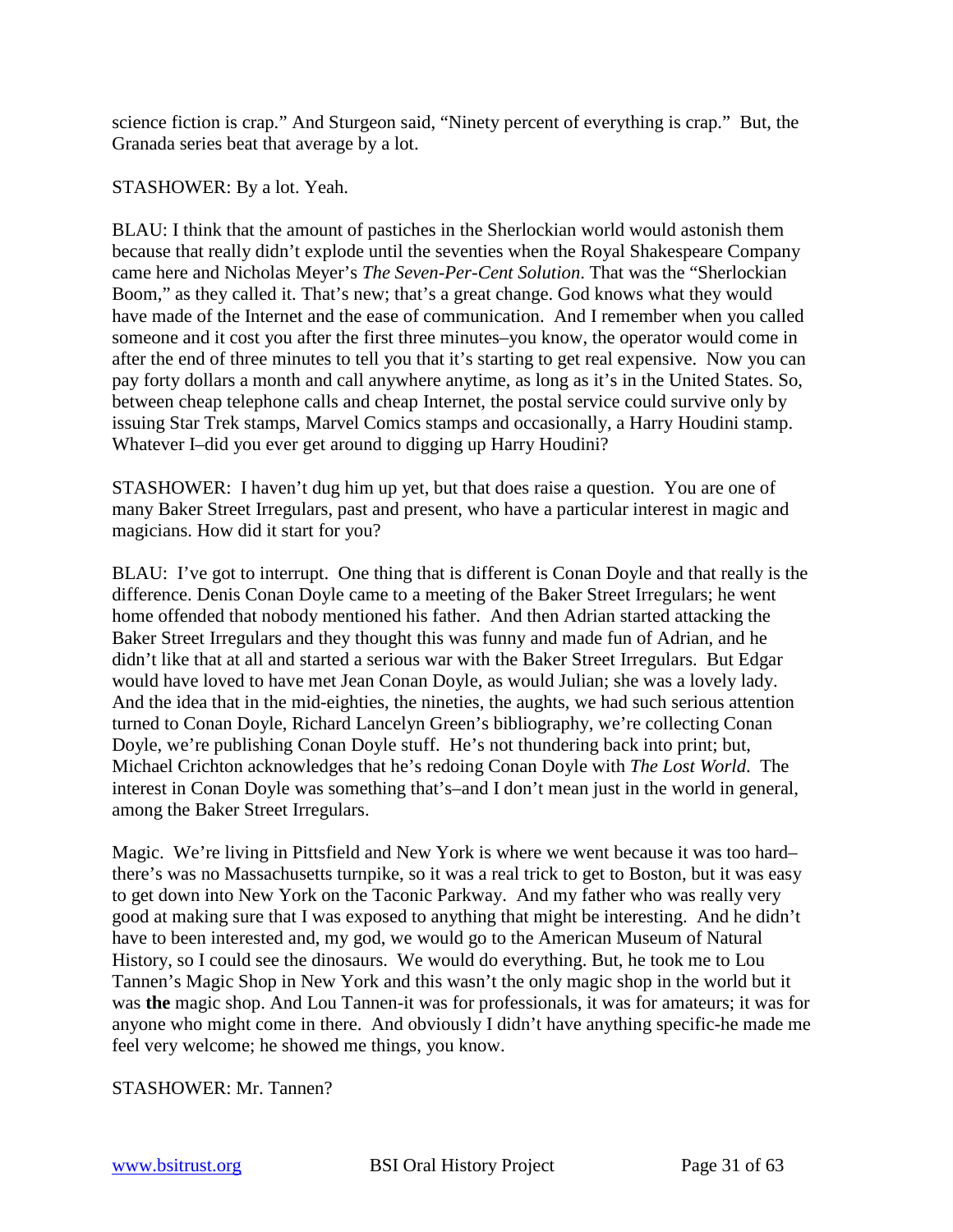science fiction is crap." And Sturgeon said, "Ninety percent of everything is crap." But, the Granada series beat that average by a lot.

STASHOWER: By a lot. Yeah.

BLAU: I think that the amount of pastiches in the Sherlockian world would astonish them because that really didn't explode until the seventies when the Royal Shakespeare Company came here and Nicholas Meyer's *The Seven-Per-Cent Solution*. That was the "Sherlockian Boom," as they called it. That's new; that's a great change. God knows what they would have made of the Internet and the ease of communication. And I remember when you called someone and it cost you after the first three minutes–you know, the operator would come in after the end of three minutes to tell you that it's starting to get real expensive. Now you can pay forty dollars a month and call anywhere anytime, as long as it's in the United States. So, between cheap telephone calls and cheap Internet, the postal service could survive only by issuing Star Trek stamps, Marvel Comics stamps and occasionally, a Harry Houdini stamp. Whatever I–did you ever get around to digging up Harry Houdini?

STASHOWER: I haven't dug him up yet, but that does raise a question. You are one of many Baker Street Irregulars, past and present, who have a particular interest in magic and magicians. How did it start for you?

BLAU: I've got to interrupt. One thing that is different is Conan Doyle and that really is the difference. Denis Conan Doyle came to a meeting of the Baker Street Irregulars; he went home offended that nobody mentioned his father. And then Adrian started attacking the Baker Street Irregulars and they thought this was funny and made fun of Adrian, and he didn't like that at all and started a serious war with the Baker Street Irregulars. But Edgar would have loved to have met Jean Conan Doyle, as would Julian; she was a lovely lady. And the idea that in the mid-eighties, the nineties, the aughts, we had such serious attention turned to Conan Doyle, Richard Lancelyn Green's bibliography, we're collecting Conan Doyle, we're publishing Conan Doyle stuff. He's not thundering back into print; but, Michael Crichton acknowledges that he's redoing Conan Doyle with *The Lost World*. The interest in Conan Doyle was something that's–and I don't mean just in the world in general, among the Baker Street Irregulars.

Magic. We're living in Pittsfield and New York is where we went because it was too hard– there's was no Massachusetts turnpike, so it was a real trick to get to Boston, but it was easy to get down into New York on the Taconic Parkway. And my father who was really very good at making sure that I was exposed to anything that might be interesting. And he didn't have to been interested and, my god, we would go to the American Museum of Natural History, so I could see the dinosaurs. We would do everything. But, he took me to Lou Tannen's Magic Shop in New York and this wasn't the only magic shop in the world but it was **the** magic shop. And Lou Tannen-it was for professionals, it was for amateurs; it was for anyone who might come in there. And obviously I didn't have anything specific-he made me feel very welcome; he showed me things, you know.

STASHOWER: Mr. Tannen?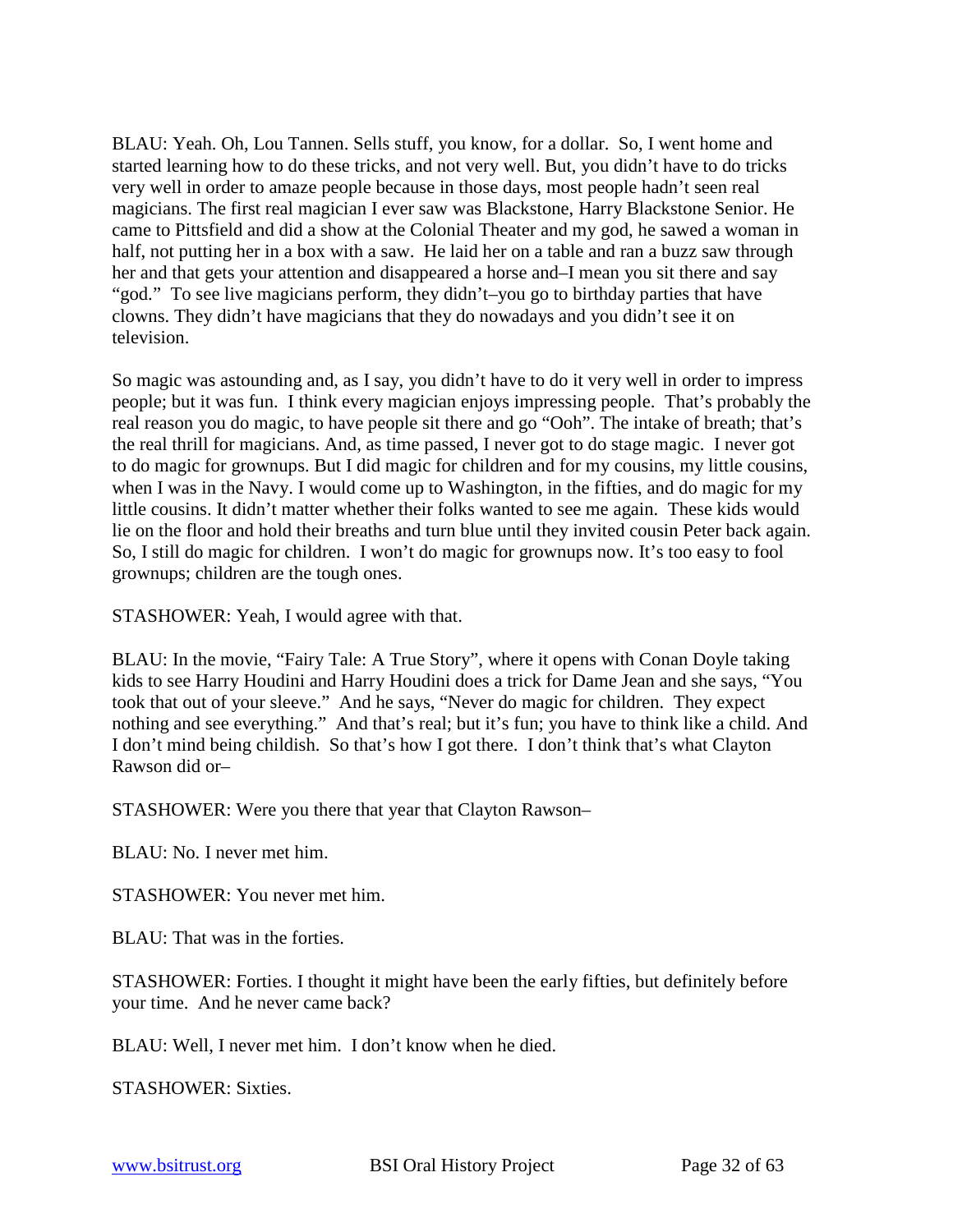BLAU: Yeah. Oh, Lou Tannen. Sells stuff, you know, for a dollar. So, I went home and started learning how to do these tricks, and not very well. But, you didn't have to do tricks very well in order to amaze people because in those days, most people hadn't seen real magicians. The first real magician I ever saw was Blackstone, Harry Blackstone Senior. He came to Pittsfield and did a show at the Colonial Theater and my god, he sawed a woman in half, not putting her in a box with a saw. He laid her on a table and ran a buzz saw through her and that gets your attention and disappeared a horse and–I mean you sit there and say "god." To see live magicians perform, they didn't–you go to birthday parties that have clowns. They didn't have magicians that they do nowadays and you didn't see it on television.

So magic was astounding and, as I say, you didn't have to do it very well in order to impress people; but it was fun. I think every magician enjoys impressing people. That's probably the real reason you do magic, to have people sit there and go "Ooh". The intake of breath; that's the real thrill for magicians. And, as time passed, I never got to do stage magic. I never got to do magic for grownups. But I did magic for children and for my cousins, my little cousins, when I was in the Navy. I would come up to Washington, in the fifties, and do magic for my little cousins. It didn't matter whether their folks wanted to see me again. These kids would lie on the floor and hold their breaths and turn blue until they invited cousin Peter back again. So, I still do magic for children. I won't do magic for grownups now. It's too easy to fool grownups; children are the tough ones.

STASHOWER: Yeah, I would agree with that.

BLAU: In the movie, "Fairy Tale: A True Story", where it opens with Conan Doyle taking kids to see Harry Houdini and Harry Houdini does a trick for Dame Jean and she says, "You took that out of your sleeve." And he says, "Never do magic for children. They expect nothing and see everything." And that's real; but it's fun; you have to think like a child. And I don't mind being childish. So that's how I got there. I don't think that's what Clayton Rawson did or–

STASHOWER: Were you there that year that Clayton Rawson–

BLAU: No. I never met him.

STASHOWER: You never met him.

BLAU: That was in the forties.

STASHOWER: Forties. I thought it might have been the early fifties, but definitely before your time. And he never came back?

BLAU: Well, I never met him. I don't know when he died.

STASHOWER: Sixties.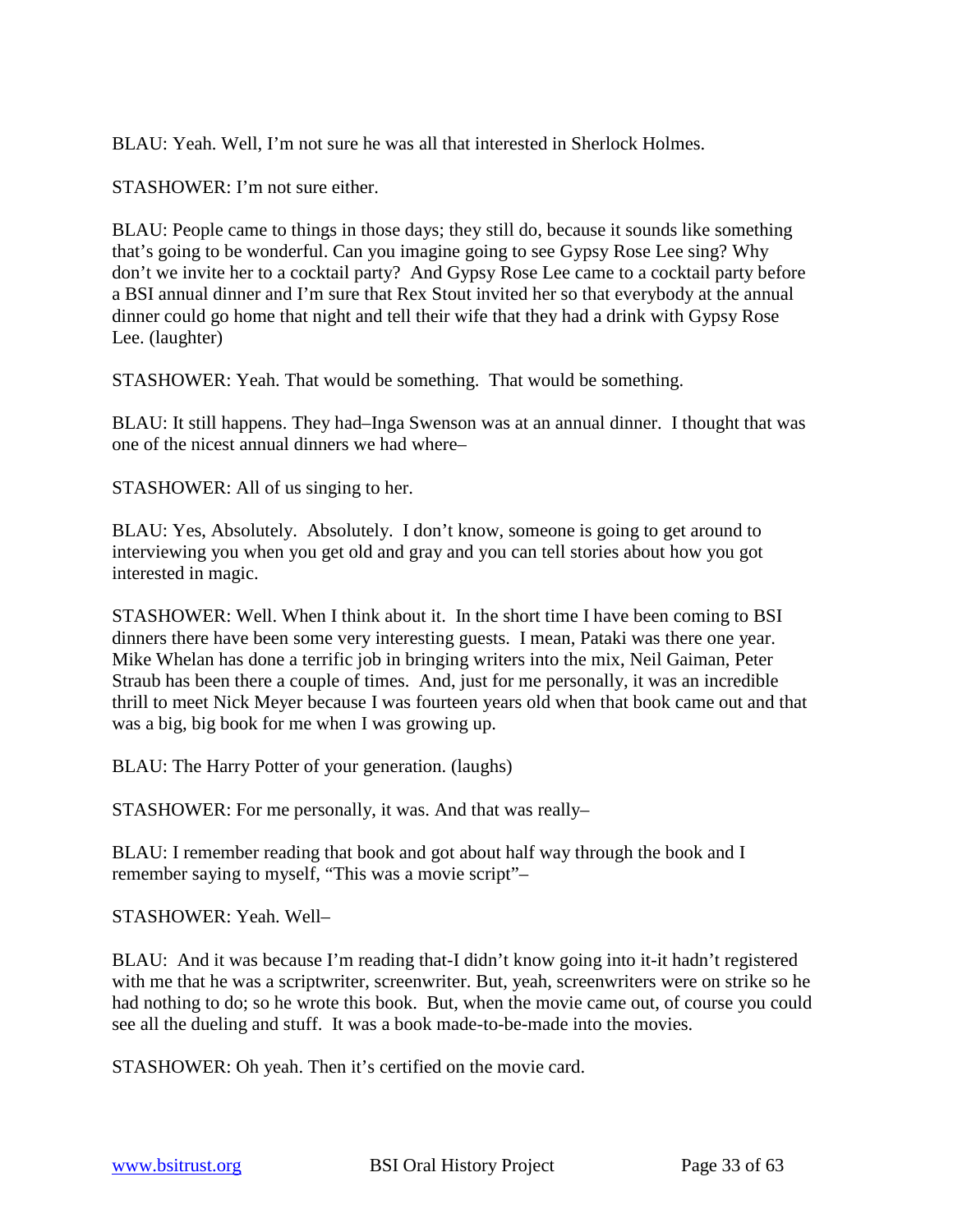BLAU: Yeah. Well, I'm not sure he was all that interested in Sherlock Holmes.

STASHOWER: I'm not sure either.

BLAU: People came to things in those days; they still do, because it sounds like something that's going to be wonderful. Can you imagine going to see Gypsy Rose Lee sing? Why don't we invite her to a cocktail party? And Gypsy Rose Lee came to a cocktail party before a BSI annual dinner and I'm sure that Rex Stout invited her so that everybody at the annual dinner could go home that night and tell their wife that they had a drink with Gypsy Rose Lee. (laughter)

STASHOWER: Yeah. That would be something. That would be something.

BLAU: It still happens. They had–Inga Swenson was at an annual dinner. I thought that was one of the nicest annual dinners we had where–

STASHOWER: All of us singing to her.

BLAU: Yes, Absolutely. Absolutely. I don't know, someone is going to get around to interviewing you when you get old and gray and you can tell stories about how you got interested in magic.

STASHOWER: Well. When I think about it. In the short time I have been coming to BSI dinners there have been some very interesting guests. I mean, Pataki was there one year. Mike Whelan has done a terrific job in bringing writers into the mix, Neil Gaiman, Peter Straub has been there a couple of times. And, just for me personally, it was an incredible thrill to meet Nick Meyer because I was fourteen years old when that book came out and that was a big, big book for me when I was growing up.

BLAU: The Harry Potter of your generation. (laughs)

STASHOWER: For me personally, it was. And that was really–

BLAU: I remember reading that book and got about half way through the book and I remember saying to myself, "This was a movie script"–

STASHOWER: Yeah. Well–

BLAU: And it was because I'm reading that-I didn't know going into it-it hadn't registered with me that he was a scriptwriter, screenwriter. But, yeah, screenwriters were on strike so he had nothing to do; so he wrote this book. But, when the movie came out, of course you could see all the dueling and stuff. It was a book made-to-be-made into the movies.

STASHOWER: Oh yeah. Then it's certified on the movie card.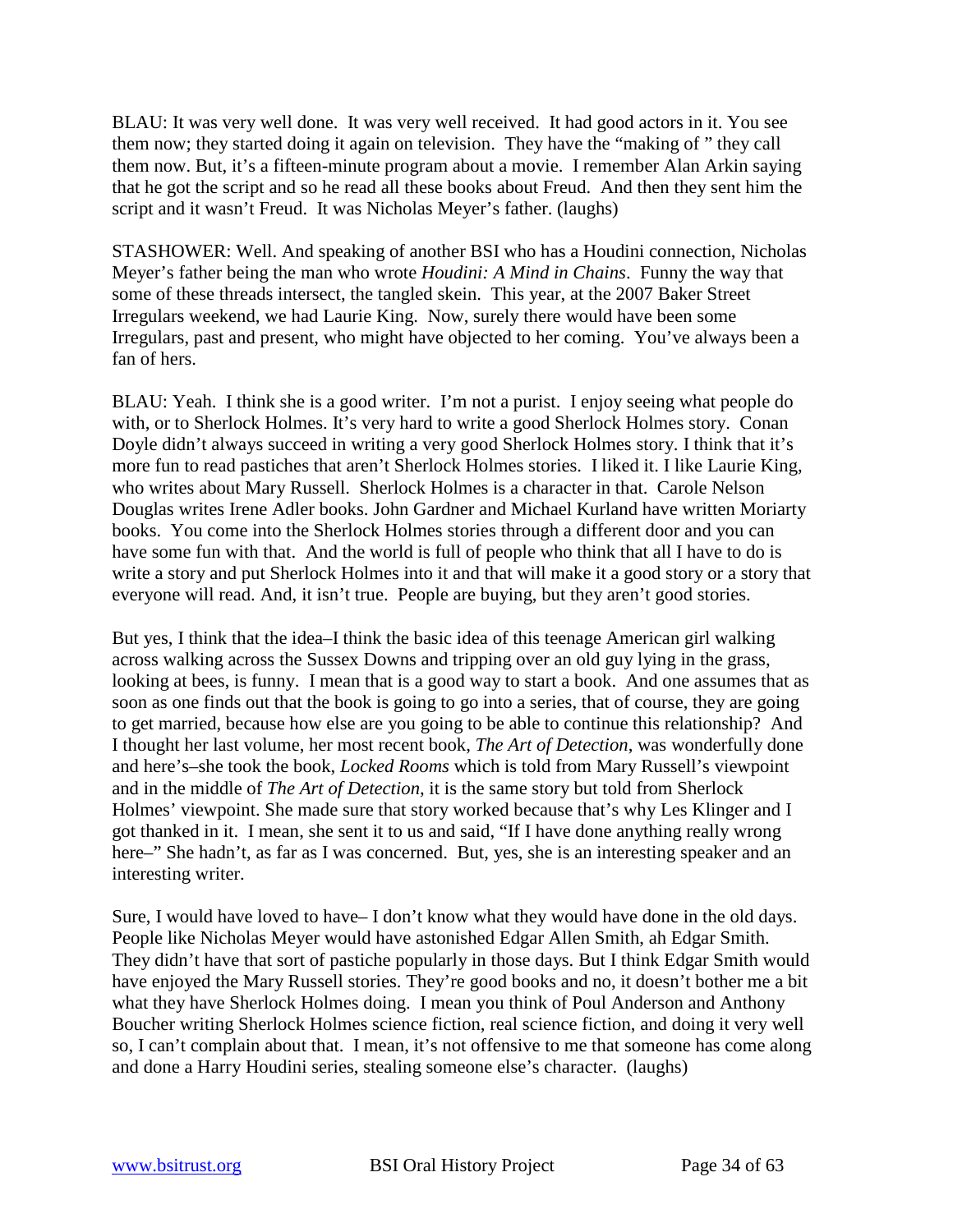BLAU: It was very well done. It was very well received. It had good actors in it. You see them now; they started doing it again on television. They have the "making of " they call them now. But, it's a fifteen-minute program about a movie. I remember Alan Arkin saying that he got the script and so he read all these books about Freud. And then they sent him the script and it wasn't Freud. It was Nicholas Meyer's father. (laughs)

STASHOWER: Well. And speaking of another BSI who has a Houdini connection, Nicholas Meyer's father being the man who wrote *Houdini: A Mind in Chains*. Funny the way that some of these threads intersect, the tangled skein. This year, at the 2007 Baker Street Irregulars weekend, we had Laurie King. Now, surely there would have been some Irregulars, past and present, who might have objected to her coming. You've always been a fan of hers.

BLAU: Yeah. I think she is a good writer. I'm not a purist. I enjoy seeing what people do with, or to Sherlock Holmes. It's very hard to write a good Sherlock Holmes story. Conan Doyle didn't always succeed in writing a very good Sherlock Holmes story. I think that it's more fun to read pastiches that aren't Sherlock Holmes stories. I liked it. I like Laurie King, who writes about Mary Russell. Sherlock Holmes is a character in that. Carole Nelson Douglas writes Irene Adler books. John Gardner and Michael Kurland have written Moriarty books. You come into the Sherlock Holmes stories through a different door and you can have some fun with that. And the world is full of people who think that all I have to do is write a story and put Sherlock Holmes into it and that will make it a good story or a story that everyone will read. And, it isn't true. People are buying, but they aren't good stories.

But yes, I think that the idea–I think the basic idea of this teenage American girl walking across walking across the Sussex Downs and tripping over an old guy lying in the grass, looking at bees, is funny. I mean that is a good way to start a book. And one assumes that as soon as one finds out that the book is going to go into a series, that of course, they are going to get married, because how else are you going to be able to continue this relationship? And I thought her last volume, her most recent book, *The Art of Detection*, was wonderfully done and here's–she took the book, *Locked Rooms* which is told from Mary Russell's viewpoint and in the middle of *The Art of Detection*, it is the same story but told from Sherlock Holmes' viewpoint. She made sure that story worked because that's why Les Klinger and I got thanked in it. I mean, she sent it to us and said, "If I have done anything really wrong here–" She hadn't, as far as I was concerned. But, yes, she is an interesting speaker and an interesting writer.

Sure, I would have loved to have– I don't know what they would have done in the old days. People like Nicholas Meyer would have astonished Edgar Allen Smith, ah Edgar Smith. They didn't have that sort of pastiche popularly in those days. But I think Edgar Smith would have enjoyed the Mary Russell stories. They're good books and no, it doesn't bother me a bit what they have Sherlock Holmes doing. I mean you think of Poul Anderson and Anthony Boucher writing Sherlock Holmes science fiction, real science fiction, and doing it very well so, I can't complain about that. I mean, it's not offensive to me that someone has come along and done a Harry Houdini series, stealing someone else's character. (laughs)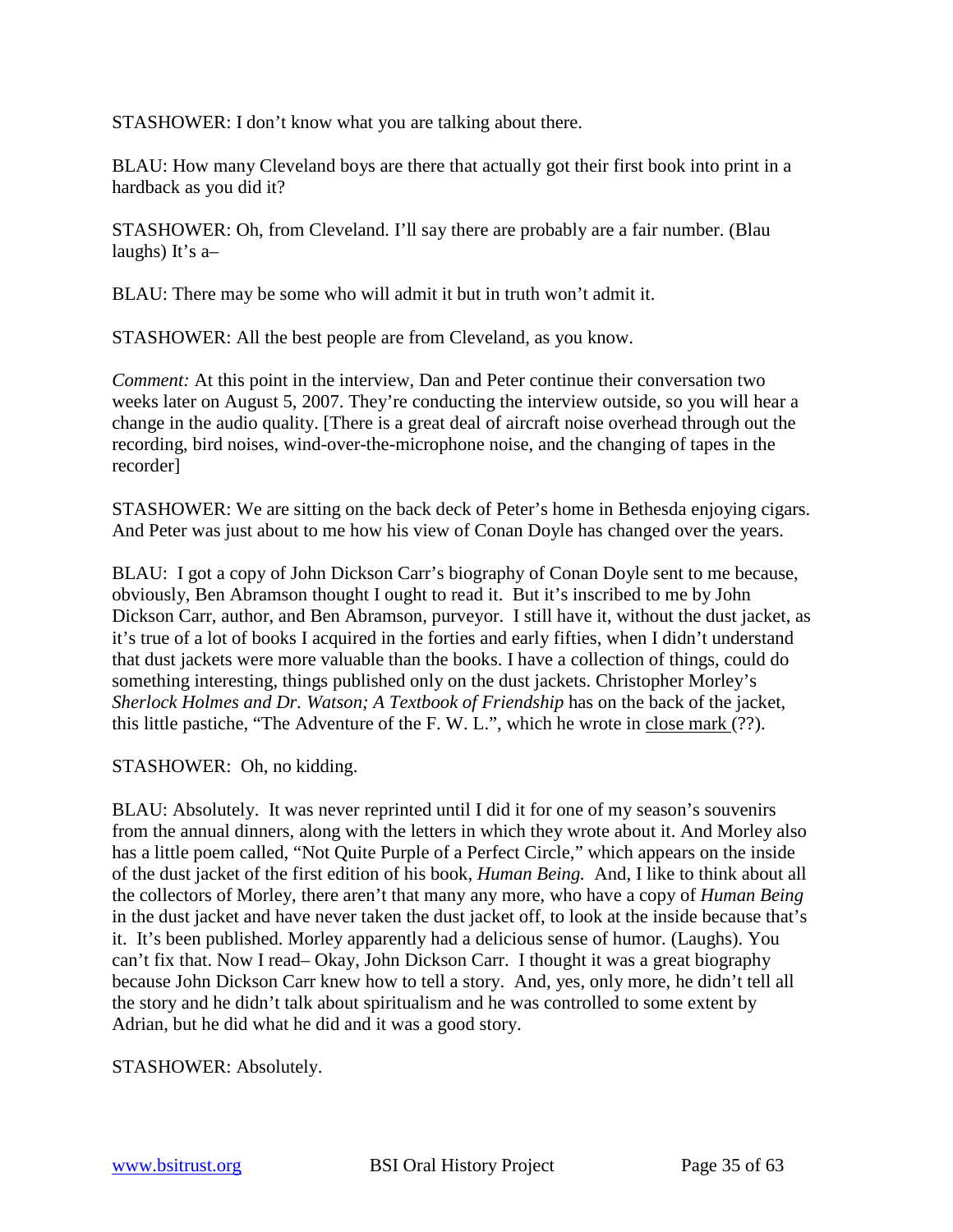STASHOWER: I don't know what you are talking about there.

BLAU: How many Cleveland boys are there that actually got their first book into print in a hardback as you did it?

STASHOWER: Oh, from Cleveland. I'll say there are probably are a fair number. (Blau laughs) It's a–

BLAU: There may be some who will admit it but in truth won't admit it.

STASHOWER: All the best people are from Cleveland, as you know.

*Comment:* At this point in the interview, Dan and Peter continue their conversation two weeks later on August 5, 2007. They're conducting the interview outside, so you will hear a change in the audio quality. [There is a great deal of aircraft noise overhead through out the recording, bird noises, wind-over-the-microphone noise, and the changing of tapes in the recorder]

STASHOWER: We are sitting on the back deck of Peter's home in Bethesda enjoying cigars. And Peter was just about to me how his view of Conan Doyle has changed over the years.

BLAU: I got a copy of John Dickson Carr's biography of Conan Doyle sent to me because, obviously, Ben Abramson thought I ought to read it. But it's inscribed to me by John Dickson Carr, author, and Ben Abramson, purveyor. I still have it, without the dust jacket, as it's true of a lot of books I acquired in the forties and early fifties, when I didn't understand that dust jackets were more valuable than the books. I have a collection of things, could do something interesting, things published only on the dust jackets. Christopher Morley's *Sherlock Holmes and Dr. Watson; A Textbook of Friendship* has on the back of the jacket, this little pastiche, "The Adventure of the F. W. L.", which he wrote in close mark (??).

STASHOWER: Oh, no kidding.

BLAU: Absolutely. It was never reprinted until I did it for one of my season's souvenirs from the annual dinners, along with the letters in which they wrote about it. And Morley also has a little poem called, "Not Quite Purple of a Perfect Circle," which appears on the inside of the dust jacket of the first edition of his book, *Human Being.* And, I like to think about all the collectors of Morley, there aren't that many any more, who have a copy of *Human Being* in the dust jacket and have never taken the dust jacket off, to look at the inside because that's it. It's been published. Morley apparently had a delicious sense of humor. (Laughs). You can't fix that. Now I read– Okay, John Dickson Carr. I thought it was a great biography because John Dickson Carr knew how to tell a story. And, yes, only more, he didn't tell all the story and he didn't talk about spiritualism and he was controlled to some extent by Adrian, but he did what he did and it was a good story.

STASHOWER: Absolutely.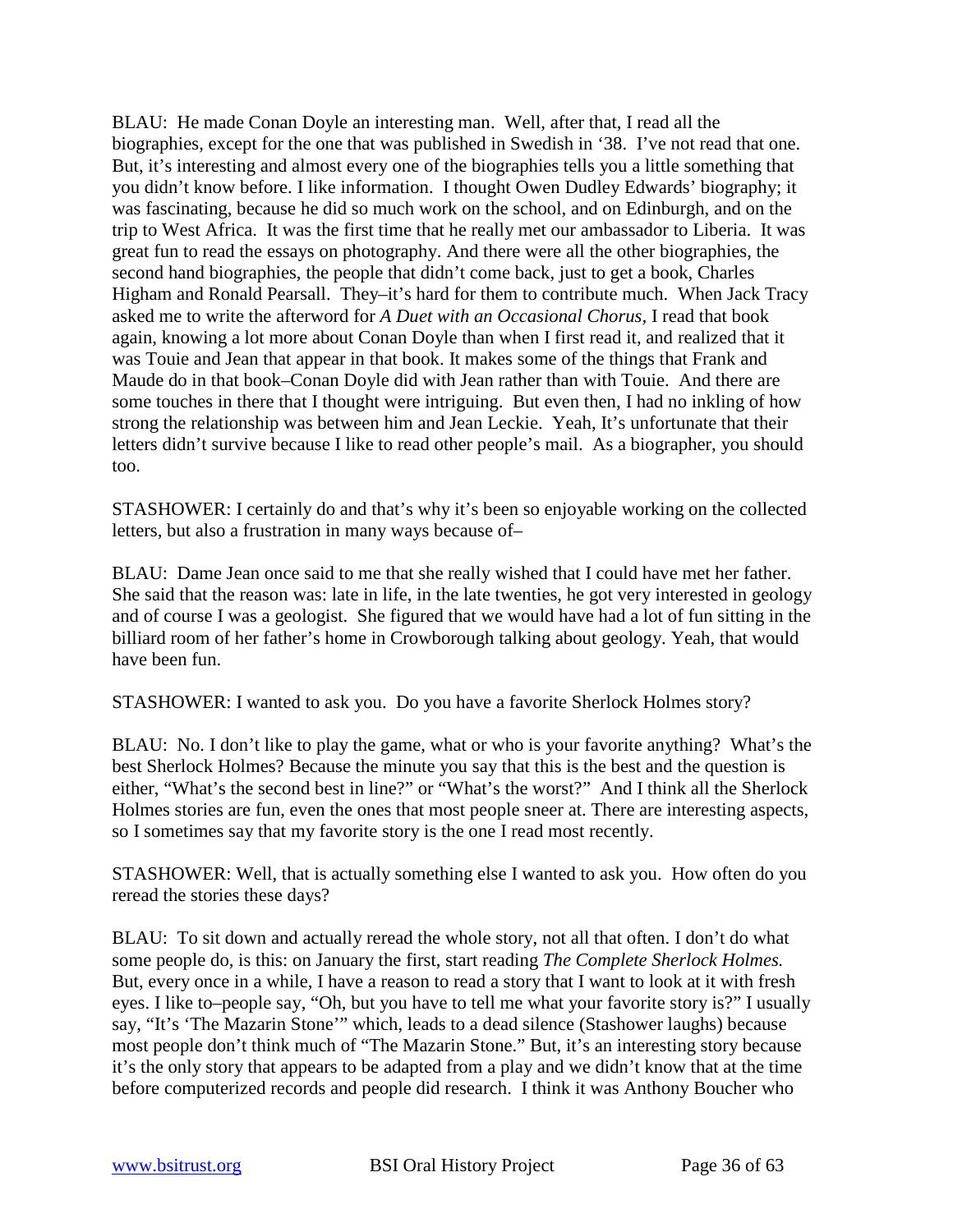BLAU: He made Conan Doyle an interesting man. Well, after that, I read all the biographies, except for the one that was published in Swedish in '38. I've not read that one. But, it's interesting and almost every one of the biographies tells you a little something that you didn't know before. I like information. I thought Owen Dudley Edwards' biography; it was fascinating, because he did so much work on the school, and on Edinburgh, and on the trip to West Africa. It was the first time that he really met our ambassador to Liberia. It was great fun to read the essays on photography. And there were all the other biographies, the second hand biographies, the people that didn't come back, just to get a book, Charles Higham and Ronald Pearsall. They–it's hard for them to contribute much. When Jack Tracy asked me to write the afterword for *A Duet with an Occasional Chorus,* I read that book again, knowing a lot more about Conan Doyle than when I first read it, and realized that it was Touie and Jean that appear in that book. It makes some of the things that Frank and Maude do in that book–Conan Doyle did with Jean rather than with Touie. And there are some touches in there that I thought were intriguing. But even then, I had no inkling of how strong the relationship was between him and Jean Leckie. Yeah, It's unfortunate that their letters didn't survive because I like to read other people's mail. As a biographer, you should too.

STASHOWER: I certainly do and that's why it's been so enjoyable working on the collected letters*,* but also a frustration in many ways because of–

BLAU: Dame Jean once said to me that she really wished that I could have met her father. She said that the reason was: late in life, in the late twenties, he got very interested in geology and of course I was a geologist. She figured that we would have had a lot of fun sitting in the billiard room of her father's home in Crowborough talking about geology. Yeah, that would have been fun.

STASHOWER: I wanted to ask you. Do you have a favorite Sherlock Holmes story?

BLAU: No. I don't like to play the game, what or who is your favorite anything? What's the best Sherlock Holmes? Because the minute you say that this is the best and the question is either, "What's the second best in line?" or "What's the worst?" And I think all the Sherlock Holmes stories are fun, even the ones that most people sneer at. There are interesting aspects, so I sometimes say that my favorite story is the one I read most recently.

STASHOWER: Well, that is actually something else I wanted to ask you. How often do you reread the stories these days?

BLAU: To sit down and actually reread the whole story, not all that often. I don't do what some people do, is this: on January the first, start reading *The Complete Sherlock Holmes.* But, every once in a while, I have a reason to read a story that I want to look at it with fresh eyes. I like to–people say, "Oh, but you have to tell me what your favorite story is?" I usually say, "It's 'The Mazarin Stone'" which, leads to a dead silence (Stashower laughs) because most people don't think much of "The Mazarin Stone." But, it's an interesting story because it's the only story that appears to be adapted from a play and we didn't know that at the time before computerized records and people did research. I think it was Anthony Boucher who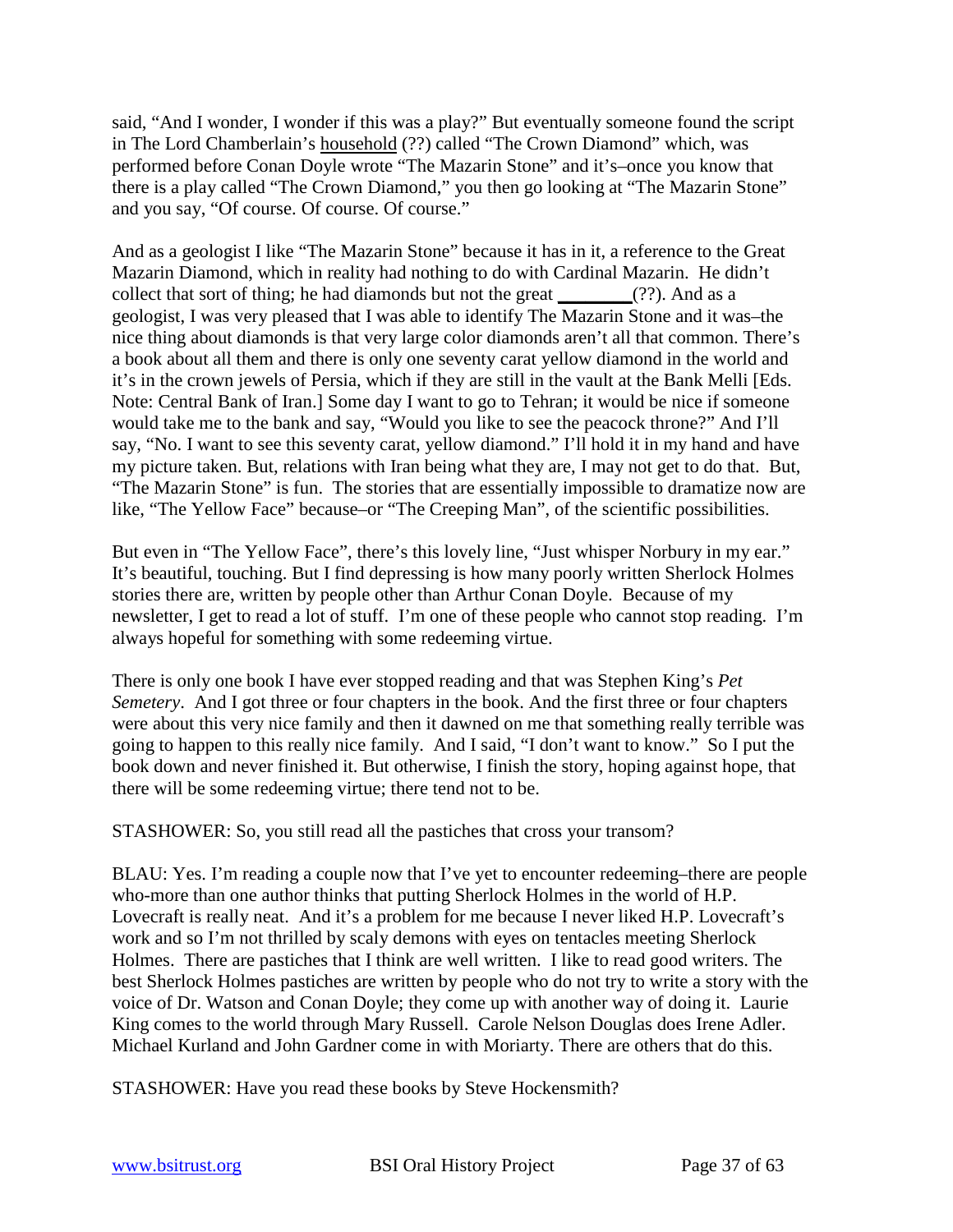said, "And I wonder, I wonder if this was a play?" But eventually someone found the script in The Lord Chamberlain's household (??) called "The Crown Diamond" which, was performed before Conan Doyle wrote "The Mazarin Stone" and it's–once you know that there is a play called "The Crown Diamond," you then go looking at "The Mazarin Stone" and you say, "Of course. Of course. Of course."

And as a geologist I like "The Mazarin Stone" because it has in it, a reference to the Great Mazarin Diamond, which in reality had nothing to do with Cardinal Mazarin. He didn't collect that sort of thing; he had diamonds but not the great  $(?)$ . And as a geologist, I was very pleased that I was able to identify The Mazarin Stone and it was–the nice thing about diamonds is that very large color diamonds aren't all that common. There's a book about all them and there is only one seventy carat yellow diamond in the world and it's in the crown jewels of Persia, which if they are still in the vault at the Bank Melli [Eds. Note: Central Bank of Iran.] Some day I want to go to Tehran; it would be nice if someone would take me to the bank and say, "Would you like to see the peacock throne?" And I'll say, "No. I want to see this seventy carat, yellow diamond." I'll hold it in my hand and have my picture taken. But, relations with Iran being what they are, I may not get to do that. But, "The Mazarin Stone" is fun. The stories that are essentially impossible to dramatize now are like, "The Yellow Face" because–or "The Creeping Man", of the scientific possibilities.

But even in "The Yellow Face", there's this lovely line, "Just whisper Norbury in my ear." It's beautiful, touching. But I find depressing is how many poorly written Sherlock Holmes stories there are, written by people other than Arthur Conan Doyle. Because of my newsletter, I get to read a lot of stuff. I'm one of these people who cannot stop reading. I'm always hopeful for something with some redeeming virtue.

There is only one book I have ever stopped reading and that was Stephen King's *Pet Semetery*. And I got three or four chapters in the book. And the first three or four chapters were about this very nice family and then it dawned on me that something really terrible was going to happen to this really nice family. And I said, "I don't want to know." So I put the book down and never finished it. But otherwise, I finish the story, hoping against hope, that there will be some redeeming virtue; there tend not to be.

STASHOWER: So, you still read all the pastiches that cross your transom?

BLAU: Yes. I'm reading a couple now that I've yet to encounter redeeming–there are people who-more than one author thinks that putting Sherlock Holmes in the world of H.P. Lovecraft is really neat. And it's a problem for me because I never liked H.P. Lovecraft's work and so I'm not thrilled by scaly demons with eyes on tentacles meeting Sherlock Holmes. There are pastiches that I think are well written. I like to read good writers. The best Sherlock Holmes pastiches are written by people who do not try to write a story with the voice of Dr. Watson and Conan Doyle; they come up with another way of doing it. Laurie King comes to the world through Mary Russell. Carole Nelson Douglas does Irene Adler. Michael Kurland and John Gardner come in with Moriarty. There are others that do this.

STASHOWER: Have you read these books by Steve Hockensmith?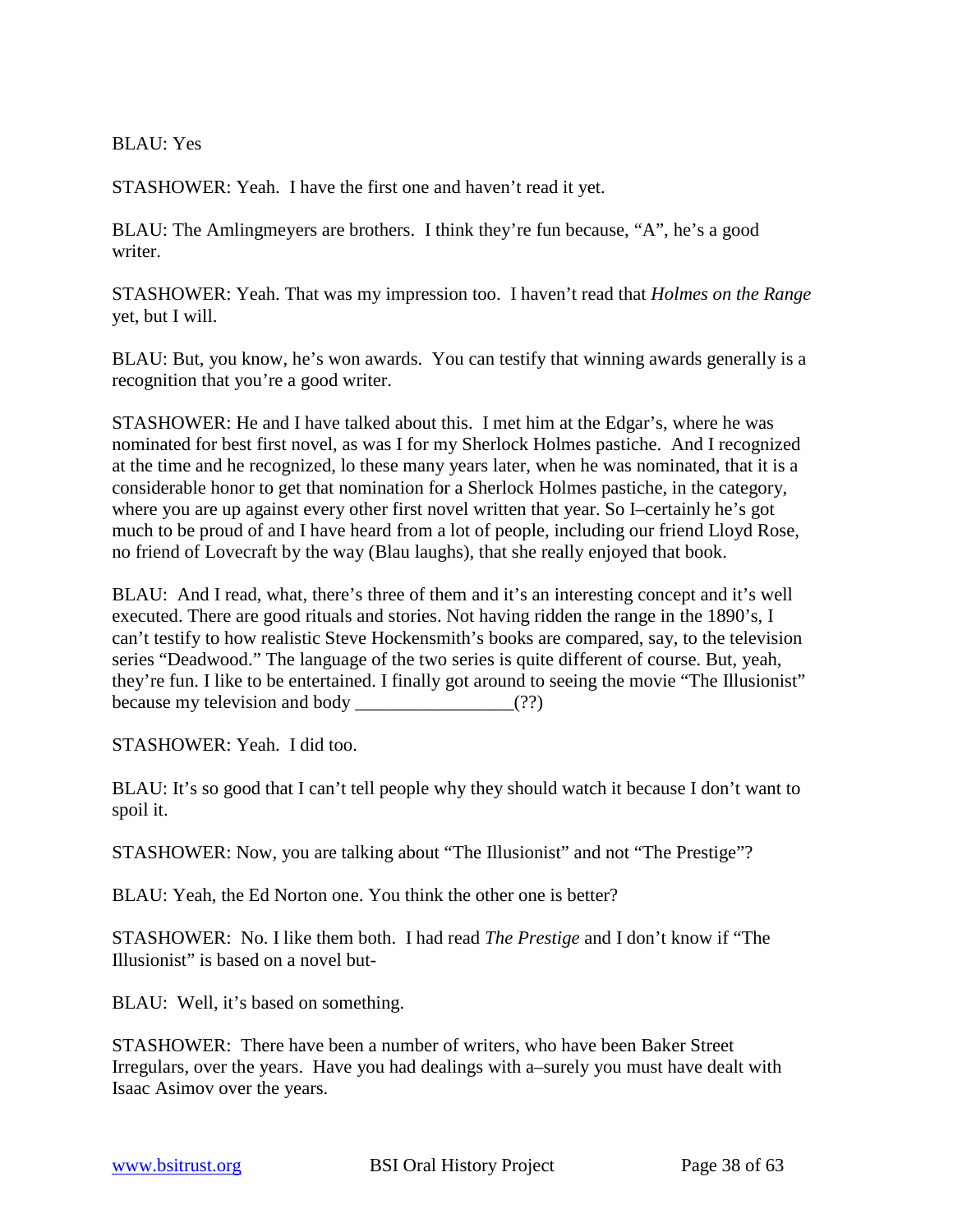BLAU: Yes

STASHOWER: Yeah. I have the first one and haven't read it yet.

BLAU: The Amlingmeyers are brothers. I think they're fun because, "A", he's a good writer.

STASHOWER: Yeah. That was my impression too. I haven't read that *Holmes on the Range* yet, but I will.

BLAU: But, you know, he's won awards. You can testify that winning awards generally is a recognition that you're a good writer.

STASHOWER: He and I have talked about this. I met him at the Edgar's, where he was nominated for best first novel, as was I for my Sherlock Holmes pastiche. And I recognized at the time and he recognized, lo these many years later, when he was nominated, that it is a considerable honor to get that nomination for a Sherlock Holmes pastiche, in the category, where you are up against every other first novel written that year. So I–certainly he's got much to be proud of and I have heard from a lot of people, including our friend Lloyd Rose, no friend of Lovecraft by the way (Blau laughs), that she really enjoyed that book.

BLAU: And I read, what, there's three of them and it's an interesting concept and it's well executed. There are good rituals and stories. Not having ridden the range in the 1890's, I can't testify to how realistic Steve Hockensmith's books are compared, say, to the television series "Deadwood." The language of the two series is quite different of course. But, yeah, they're fun. I like to be entertained. I finally got around to seeing the movie "The Illusionist" because my television and body  $(?)$ 

STASHOWER: Yeah. I did too.

BLAU: It's so good that I can't tell people why they should watch it because I don't want to spoil it.

STASHOWER: Now, you are talking about "The Illusionist" and not "The Prestige"?

BLAU: Yeah, the Ed Norton one. You think the other one is better?

STASHOWER: No. I like them both. I had read *The Prestige* and I don't know if "The Illusionist" is based on a novel but-

BLAU: Well, it's based on something.

STASHOWER: There have been a number of writers, who have been Baker Street Irregulars, over the years. Have you had dealings with a–surely you must have dealt with Isaac Asimov over the years.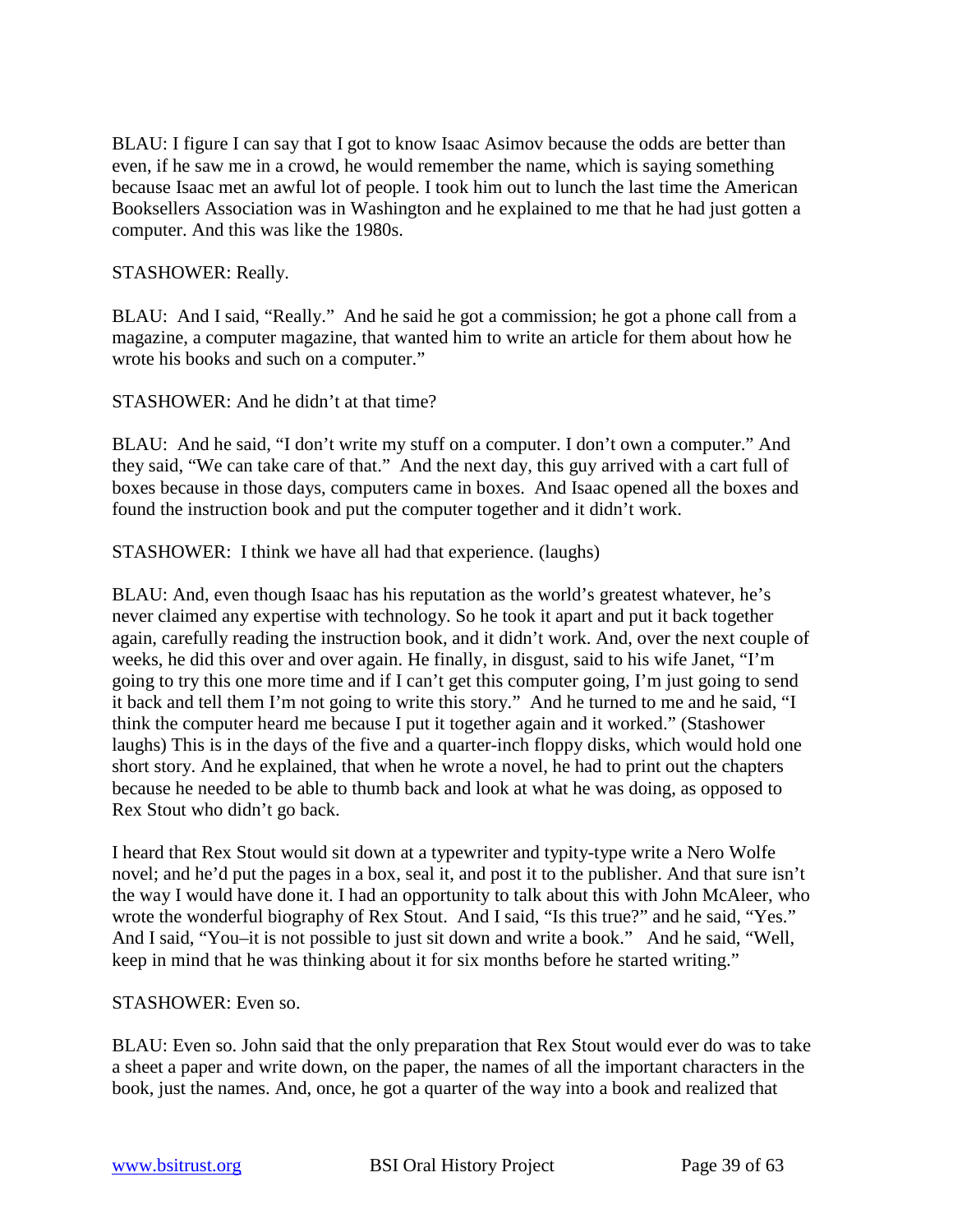BLAU: I figure I can say that I got to know Isaac Asimov because the odds are better than even, if he saw me in a crowd, he would remember the name, which is saying something because Isaac met an awful lot of people. I took him out to lunch the last time the American Booksellers Association was in Washington and he explained to me that he had just gotten a computer. And this was like the 1980s.

#### STASHOWER: Really.

BLAU: And I said, "Really." And he said he got a commission; he got a phone call from a magazine, a computer magazine, that wanted him to write an article for them about how he wrote his books and such on a computer."

STASHOWER: And he didn't at that time?

BLAU: And he said, "I don't write my stuff on a computer. I don't own a computer." And they said, "We can take care of that." And the next day, this guy arrived with a cart full of boxes because in those days, computers came in boxes. And Isaac opened all the boxes and found the instruction book and put the computer together and it didn't work.

STASHOWER: I think we have all had that experience. (laughs)

BLAU: And, even though Isaac has his reputation as the world's greatest whatever, he's never claimed any expertise with technology. So he took it apart and put it back together again, carefully reading the instruction book, and it didn't work. And, over the next couple of weeks, he did this over and over again. He finally, in disgust, said to his wife Janet, "I'm going to try this one more time and if I can't get this computer going, I'm just going to send it back and tell them I'm not going to write this story." And he turned to me and he said, "I think the computer heard me because I put it together again and it worked." (Stashower laughs) This is in the days of the five and a quarter-inch floppy disks, which would hold one short story. And he explained, that when he wrote a novel, he had to print out the chapters because he needed to be able to thumb back and look at what he was doing, as opposed to Rex Stout who didn't go back.

I heard that Rex Stout would sit down at a typewriter and typity-type write a Nero Wolfe novel; and he'd put the pages in a box, seal it, and post it to the publisher. And that sure isn't the way I would have done it. I had an opportunity to talk about this with John McAleer, who wrote the wonderful biography of Rex Stout. And I said, "Is this true?" and he said, "Yes." And I said, "You–it is not possible to just sit down and write a book." And he said, "Well, keep in mind that he was thinking about it for six months before he started writing."

#### STASHOWER: Even so.

BLAU: Even so. John said that the only preparation that Rex Stout would ever do was to take a sheet a paper and write down, on the paper, the names of all the important characters in the book, just the names. And, once, he got a quarter of the way into a book and realized that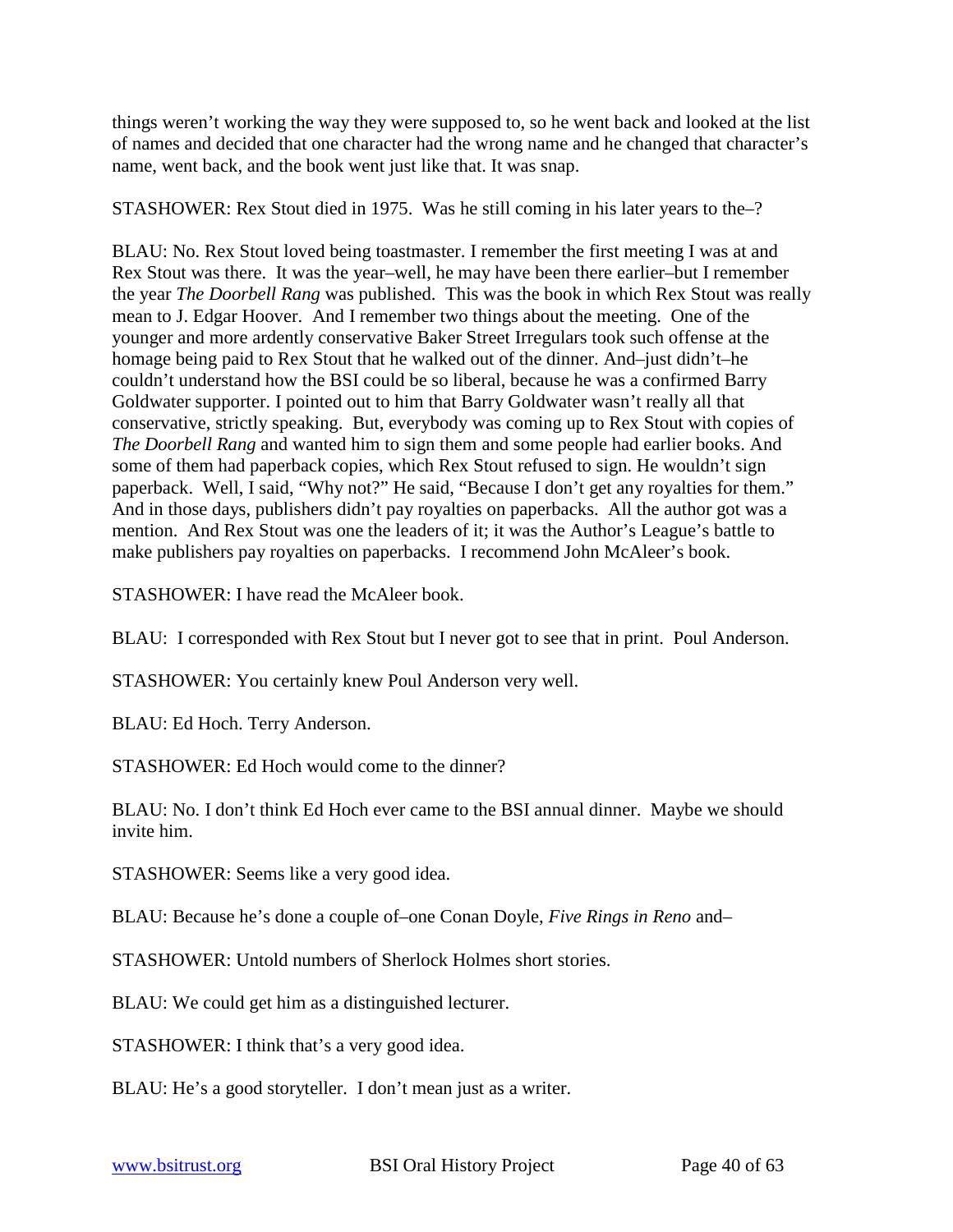things weren't working the way they were supposed to, so he went back and looked at the list of names and decided that one character had the wrong name and he changed that character's name, went back, and the book went just like that. It was snap.

STASHOWER: Rex Stout died in 1975. Was he still coming in his later years to the–?

BLAU: No. Rex Stout loved being toastmaster. I remember the first meeting I was at and Rex Stout was there. It was the year–well, he may have been there earlier–but I remember the year *The Doorbell Rang* was published. This was the book in which Rex Stout was really mean to J. Edgar Hoover. And I remember two things about the meeting. One of the younger and more ardently conservative Baker Street Irregulars took such offense at the homage being paid to Rex Stout that he walked out of the dinner. And–just didn't–he couldn't understand how the BSI could be so liberal, because he was a confirmed Barry Goldwater supporter. I pointed out to him that Barry Goldwater wasn't really all that conservative, strictly speaking. But, everybody was coming up to Rex Stout with copies of *The Doorbell Rang* and wanted him to sign them and some people had earlier books. And some of them had paperback copies, which Rex Stout refused to sign. He wouldn't sign paperback. Well, I said, "Why not?" He said, "Because I don't get any royalties for them." And in those days, publishers didn't pay royalties on paperbacks. All the author got was a mention. And Rex Stout was one the leaders of it; it was the Author's League's battle to make publishers pay royalties on paperbacks. I recommend John McAleer's book.

STASHOWER: I have read the McAleer book.

BLAU: I corresponded with Rex Stout but I never got to see that in print. Poul Anderson.

STASHOWER: You certainly knew Poul Anderson very well.

BLAU: Ed Hoch. Terry Anderson.

STASHOWER: Ed Hoch would come to the dinner?

BLAU: No. I don't think Ed Hoch ever came to the BSI annual dinner. Maybe we should invite him.

STASHOWER: Seems like a very good idea.

BLAU: Because he's done a couple of–one Conan Doyle, *Five Rings in Reno* and–

STASHOWER: Untold numbers of Sherlock Holmes short stories.

BLAU: We could get him as a distinguished lecturer.

STASHOWER: I think that's a very good idea.

BLAU: He's a good storyteller. I don't mean just as a writer.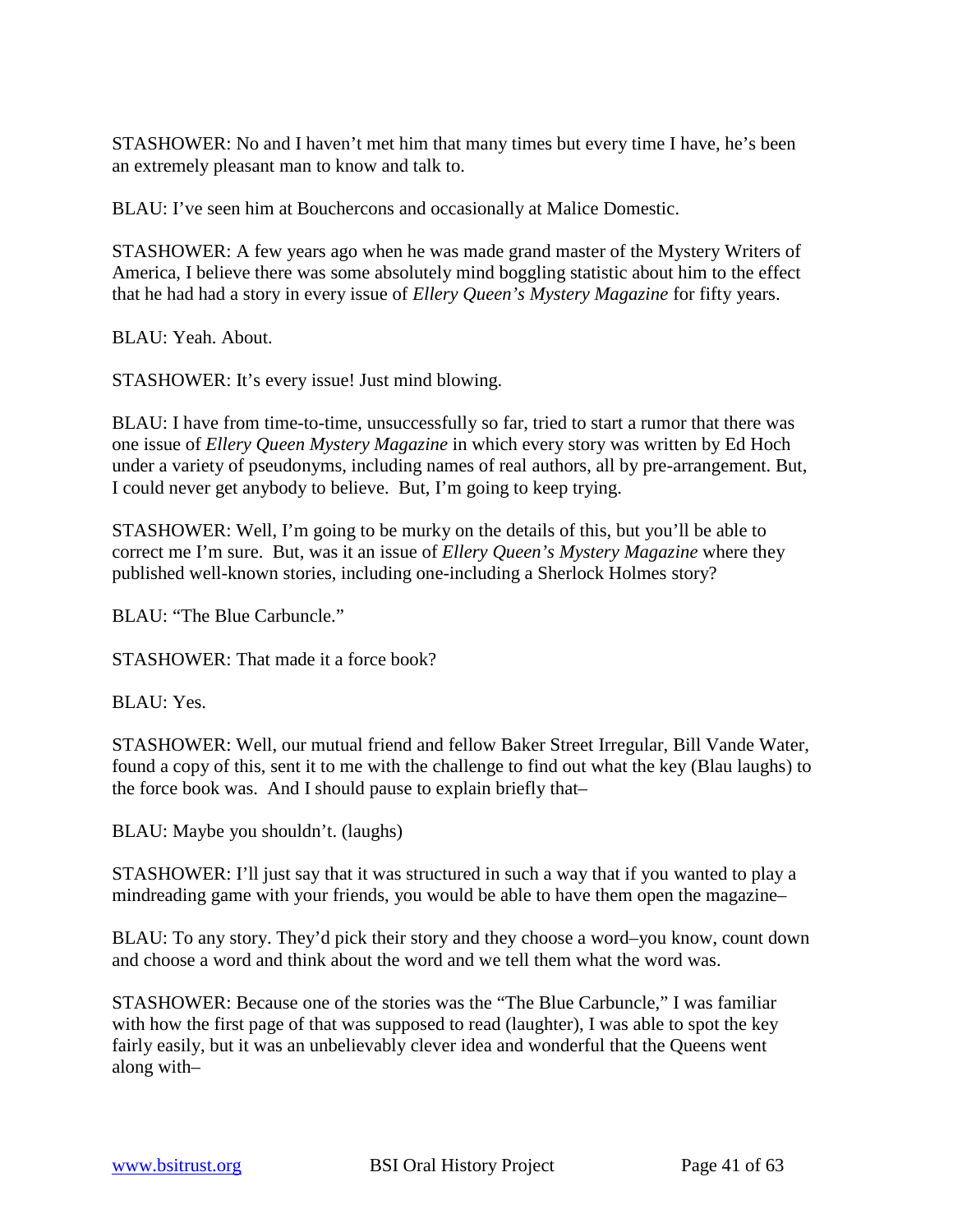STASHOWER: No and I haven't met him that many times but every time I have, he's been an extremely pleasant man to know and talk to.

BLAU: I've seen him at Bouchercons and occasionally at Malice Domestic.

STASHOWER: A few years ago when he was made grand master of the Mystery Writers of America, I believe there was some absolutely mind boggling statistic about him to the effect that he had had a story in every issue of *Ellery Queen's Mystery Magazine* for fifty years.

BLAU: Yeah. About.

STASHOWER: It's every issue! Just mind blowing.

BLAU: I have from time-to-time, unsuccessfully so far, tried to start a rumor that there was one issue of *Ellery Queen Mystery Magazine* in which every story was written by Ed Hoch under a variety of pseudonyms, including names of real authors, all by pre-arrangement. But, I could never get anybody to believe. But, I'm going to keep trying.

STASHOWER: Well, I'm going to be murky on the details of this, but you'll be able to correct me I'm sure. But, was it an issue of *Ellery Queen's Mystery Magazine* where they published well-known stories, including one-including a Sherlock Holmes story?

BLAU: "The Blue Carbuncle."

STASHOWER: That made it a force book?

BLAU: Yes.

STASHOWER: Well, our mutual friend and fellow Baker Street Irregular, Bill Vande Water, found a copy of this, sent it to me with the challenge to find out what the key (Blau laughs) to the force book was. And I should pause to explain briefly that–

BLAU: Maybe you shouldn't. (laughs)

STASHOWER: I'll just say that it was structured in such a way that if you wanted to play a mindreading game with your friends, you would be able to have them open the magazine–

BLAU: To any story. They'd pick their story and they choose a word–you know, count down and choose a word and think about the word and we tell them what the word was.

STASHOWER: Because one of the stories was the "The Blue Carbuncle," I was familiar with how the first page of that was supposed to read (laughter), I was able to spot the key fairly easily, but it was an unbelievably clever idea and wonderful that the Queens went along with–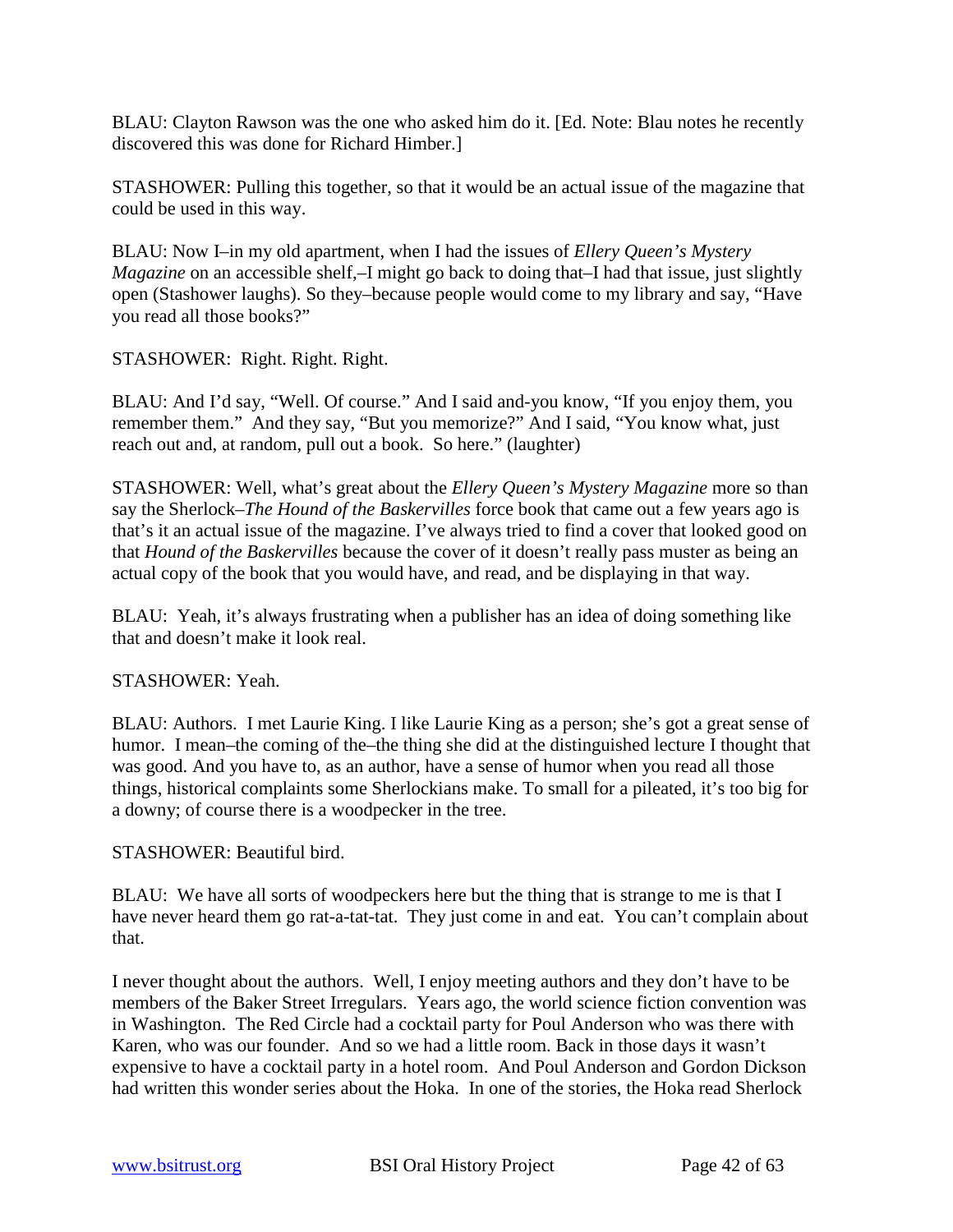BLAU: Clayton Rawson was the one who asked him do it. [Ed. Note: Blau notes he recently discovered this was done for Richard Himber.]

STASHOWER: Pulling this together, so that it would be an actual issue of the magazine that could be used in this way.

BLAU: Now I–in my old apartment, when I had the issues of *Ellery Queen's Mystery Magazine* on an accessible shelf,–I might go back to doing that–I had that issue, just slightly open (Stashower laughs). So they–because people would come to my library and say, "Have you read all those books?"

# STASHOWER: Right. Right. Right.

BLAU: And I'd say, "Well. Of course." And I said and-you know, "If you enjoy them, you remember them." And they say, "But you memorize?" And I said, "You know what, just reach out and, at random, pull out a book. So here." (laughter)

STASHOWER: Well, what's great about the *Ellery Queen's Mystery Magazine* more so than say the Sherlock–*The Hound of the Baskervilles* force book that came out a few years ago is that's it an actual issue of the magazine. I've always tried to find a cover that looked good on that *Hound of the Baskervilles* because the cover of it doesn't really pass muster as being an actual copy of the book that you would have, and read, and be displaying in that way.

BLAU: Yeah, it's always frustrating when a publisher has an idea of doing something like that and doesn't make it look real.

#### STASHOWER: Yeah.

BLAU: Authors. I met Laurie King. I like Laurie King as a person; she's got a great sense of humor. I mean–the coming of the–the thing she did at the distinguished lecture I thought that was good. And you have to, as an author, have a sense of humor when you read all those things, historical complaints some Sherlockians make. To small for a pileated, it's too big for a downy; of course there is a woodpecker in the tree.

#### STASHOWER: Beautiful bird.

BLAU: We have all sorts of woodpeckers here but the thing that is strange to me is that I have never heard them go rat-a-tat-tat. They just come in and eat. You can't complain about that.

I never thought about the authors. Well, I enjoy meeting authors and they don't have to be members of the Baker Street Irregulars. Years ago, the world science fiction convention was in Washington. The Red Circle had a cocktail party for Poul Anderson who was there with Karen, who was our founder. And so we had a little room. Back in those days it wasn't expensive to have a cocktail party in a hotel room. And Poul Anderson and Gordon Dickson had written this wonder series about the Hoka. In one of the stories, the Hoka read Sherlock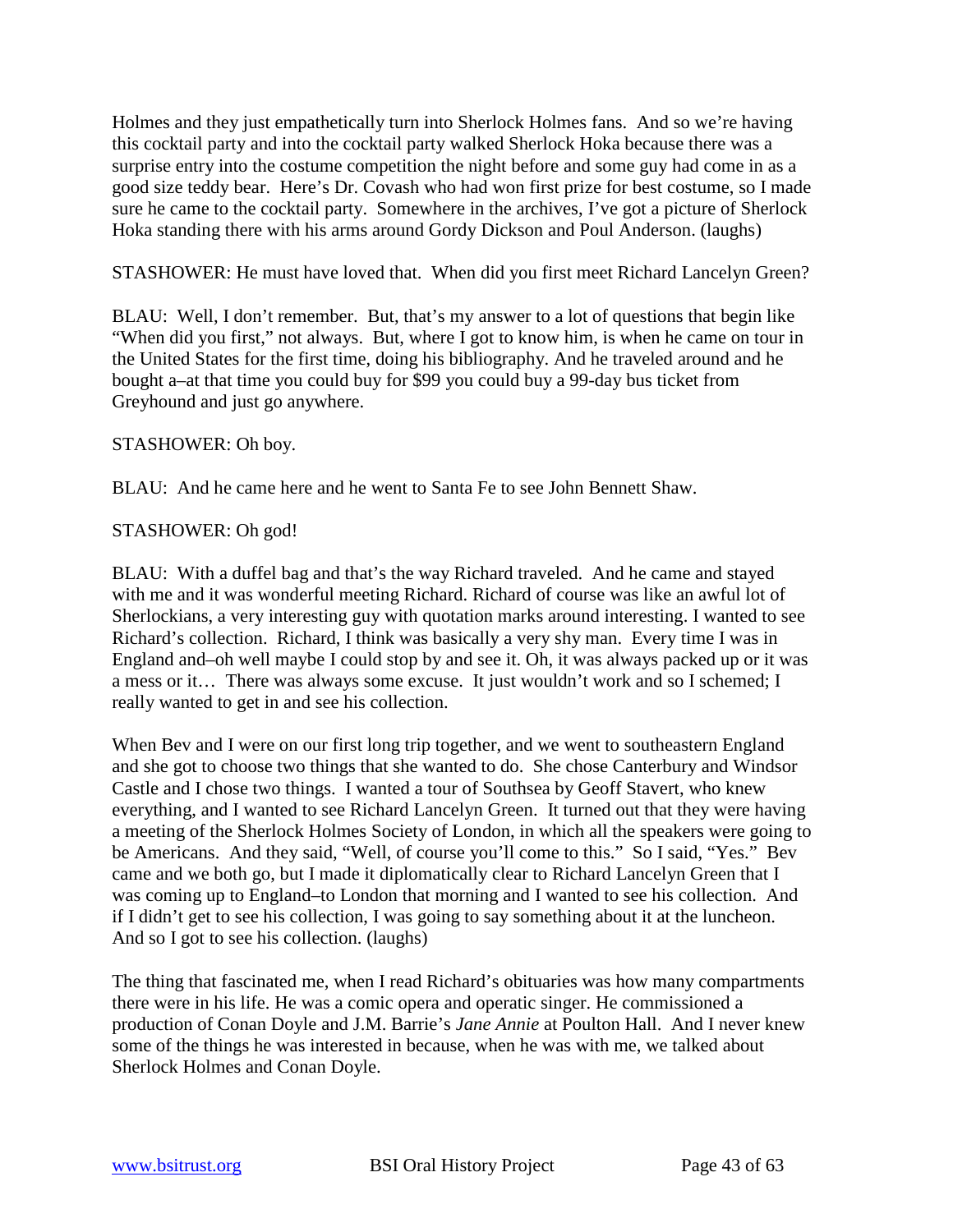Holmes and they just empathetically turn into Sherlock Holmes fans. And so we're having this cocktail party and into the cocktail party walked Sherlock Hoka because there was a surprise entry into the costume competition the night before and some guy had come in as a good size teddy bear. Here's Dr. Covash who had won first prize for best costume, so I made sure he came to the cocktail party. Somewhere in the archives, I've got a picture of Sherlock Hoka standing there with his arms around Gordy Dickson and Poul Anderson. (laughs)

STASHOWER: He must have loved that. When did you first meet Richard Lancelyn Green?

BLAU: Well, I don't remember. But, that's my answer to a lot of questions that begin like "When did you first," not always. But, where I got to know him, is when he came on tour in the United States for the first time, doing his bibliography. And he traveled around and he bought a–at that time you could buy for \$99 you could buy a 99-day bus ticket from Greyhound and just go anywhere.

#### STASHOWER: Oh boy.

BLAU: And he came here and he went to Santa Fe to see John Bennett Shaw.

#### STASHOWER: Oh god!

BLAU: With a duffel bag and that's the way Richard traveled. And he came and stayed with me and it was wonderful meeting Richard. Richard of course was like an awful lot of Sherlockians, a very interesting guy with quotation marks around interesting. I wanted to see Richard's collection. Richard, I think was basically a very shy man. Every time I was in England and–oh well maybe I could stop by and see it. Oh, it was always packed up or it was a mess or it… There was always some excuse. It just wouldn't work and so I schemed; I really wanted to get in and see his collection.

When Bev and I were on our first long trip together, and we went to southeastern England and she got to choose two things that she wanted to do. She chose Canterbury and Windsor Castle and I chose two things. I wanted a tour of Southsea by Geoff Stavert, who knew everything, and I wanted to see Richard Lancelyn Green. It turned out that they were having a meeting of the Sherlock Holmes Society of London, in which all the speakers were going to be Americans. And they said, "Well, of course you'll come to this." So I said, "Yes." Bev came and we both go, but I made it diplomatically clear to Richard Lancelyn Green that I was coming up to England–to London that morning and I wanted to see his collection. And if I didn't get to see his collection, I was going to say something about it at the luncheon. And so I got to see his collection. (laughs)

The thing that fascinated me, when I read Richard's obituaries was how many compartments there were in his life. He was a comic opera and operatic singer. He commissioned a production of Conan Doyle and J.M. Barrie's *Jane Annie* at Poulton Hall. And I never knew some of the things he was interested in because, when he was with me, we talked about Sherlock Holmes and Conan Doyle.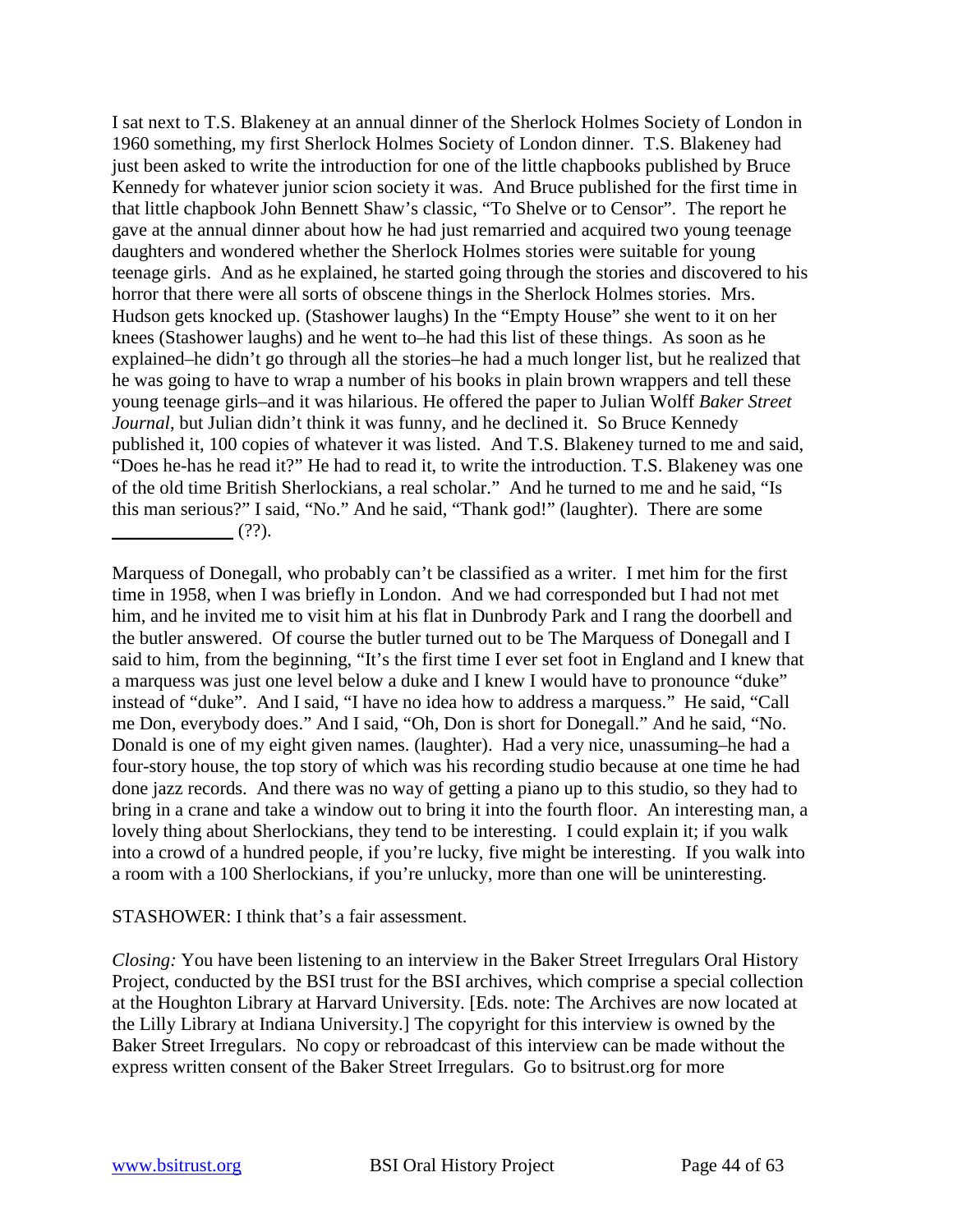I sat next to T.S. Blakeney at an annual dinner of the Sherlock Holmes Society of London in 1960 something, my first Sherlock Holmes Society of London dinner. T.S. Blakeney had just been asked to write the introduction for one of the little chapbooks published by Bruce Kennedy for whatever junior scion society it was. And Bruce published for the first time in that little chapbook John Bennett Shaw's classic, "To Shelve or to Censor". The report he gave at the annual dinner about how he had just remarried and acquired two young teenage daughters and wondered whether the Sherlock Holmes stories were suitable for young teenage girls. And as he explained, he started going through the stories and discovered to his horror that there were all sorts of obscene things in the Sherlock Holmes stories. Mrs. Hudson gets knocked up. (Stashower laughs) In the "Empty House" she went to it on her knees (Stashower laughs) and he went to–he had this list of these things. As soon as he explained–he didn't go through all the stories–he had a much longer list, but he realized that he was going to have to wrap a number of his books in plain brown wrappers and tell these young teenage girls–and it was hilarious. He offered the paper to Julian Wolff *Baker Street Journal*, but Julian didn't think it was funny, and he declined it. So Bruce Kennedy published it, 100 copies of whatever it was listed. And T.S. Blakeney turned to me and said, "Does he-has he read it?" He had to read it, to write the introduction. T.S. Blakeney was one of the old time British Sherlockians, a real scholar." And he turned to me and he said, "Is this man serious?" I said, "No." And he said, "Thank god!" (laughter). There are some  $(?)'.$ 

Marquess of Donegall, who probably can't be classified as a writer. I met him for the first time in 1958, when I was briefly in London. And we had corresponded but I had not met him, and he invited me to visit him at his flat in Dunbrody Park and I rang the doorbell and the butler answered. Of course the butler turned out to be The Marquess of Donegall and I said to him, from the beginning, "It's the first time I ever set foot in England and I knew that a marquess was just one level below a duke and I knew I would have to pronounce "duke" instead of "duke". And I said, "I have no idea how to address a marquess." He said, "Call me Don, everybody does." And I said, "Oh, Don is short for Donegall." And he said, "No. Donald is one of my eight given names. (laughter). Had a very nice, unassuming–he had a four-story house, the top story of which was his recording studio because at one time he had done jazz records. And there was no way of getting a piano up to this studio, so they had to bring in a crane and take a window out to bring it into the fourth floor. An interesting man, a lovely thing about Sherlockians, they tend to be interesting. I could explain it; if you walk into a crowd of a hundred people, if you're lucky, five might be interesting. If you walk into a room with a 100 Sherlockians, if you're unlucky, more than one will be uninteresting.

#### STASHOWER: I think that's a fair assessment.

*Closing:* You have been listening to an interview in the Baker Street Irregulars Oral History Project, conducted by the BSI trust for the BSI archives, which comprise a special collection at the Houghton Library at Harvard University. [Eds. note: The Archives are now located at the Lilly Library at Indiana University.] The copyright for this interview is owned by the Baker Street Irregulars. No copy or rebroadcast of this interview can be made without the express written consent of the Baker Street Irregulars. Go to bsitrust.org for more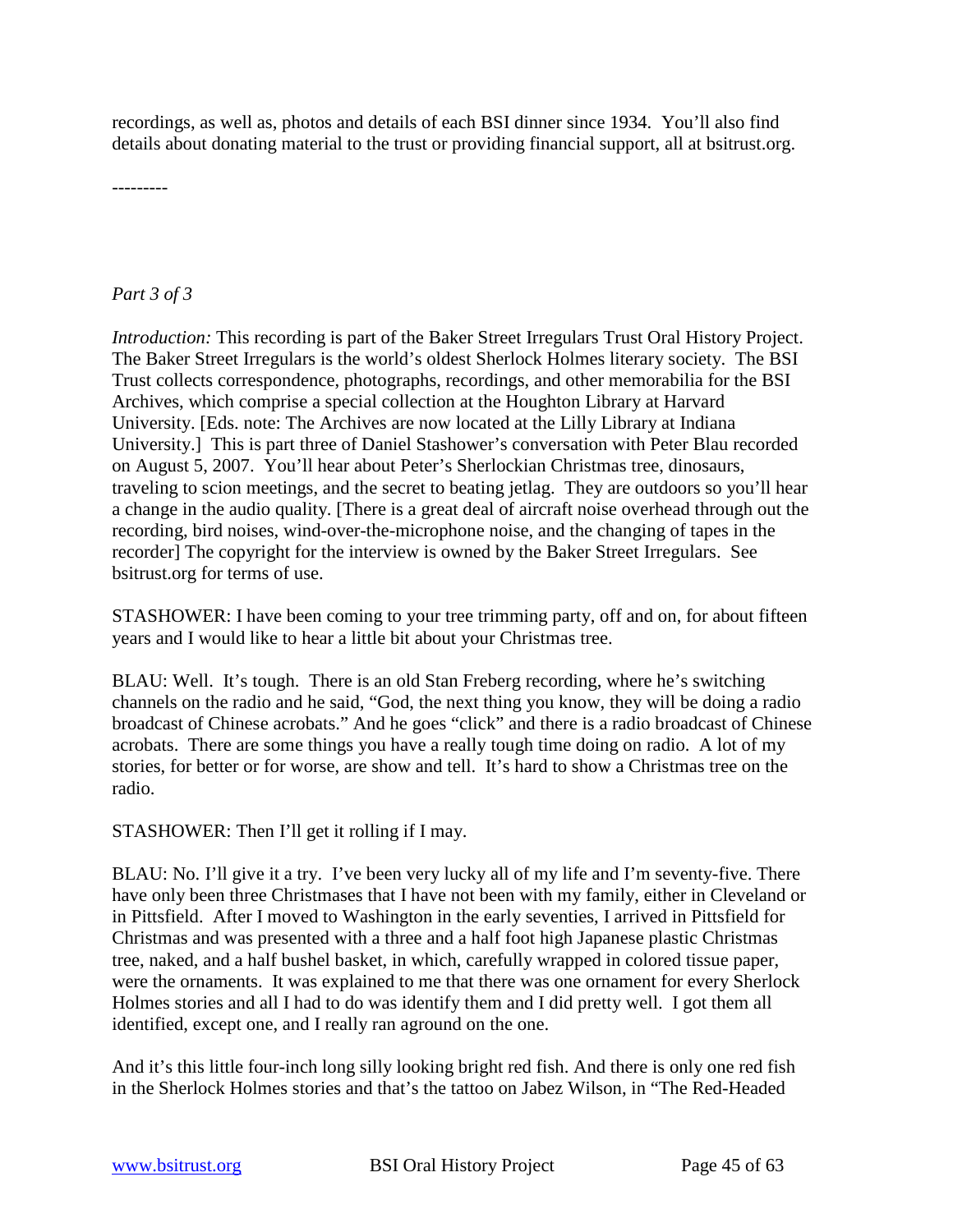recordings, as well as, photos and details of each BSI dinner since 1934. You'll also find details about donating material to the trust or providing financial support, all at bsitrust.org.

---------

# *Part 3 of 3*

*Introduction:* This recording is part of the Baker Street Irregulars Trust Oral History Project. The Baker Street Irregulars is the world's oldest Sherlock Holmes literary society. The BSI Trust collects correspondence, photographs, recordings, and other memorabilia for the BSI Archives, which comprise a special collection at the Houghton Library at Harvard University. [Eds. note: The Archives are now located at the Lilly Library at Indiana University.] This is part three of Daniel Stashower's conversation with Peter Blau recorded on August 5, 2007. You'll hear about Peter's Sherlockian Christmas tree, dinosaurs, traveling to scion meetings, and the secret to beating jetlag. They are outdoors so you'll hear a change in the audio quality. [There is a great deal of aircraft noise overhead through out the recording, bird noises, wind-over-the-microphone noise, and the changing of tapes in the recorder] The copyright for the interview is owned by the Baker Street Irregulars. See bsitrust.org for terms of use.

STASHOWER: I have been coming to your tree trimming party, off and on, for about fifteen years and I would like to hear a little bit about your Christmas tree.

BLAU: Well. It's tough. There is an old Stan Freberg recording, where he's switching channels on the radio and he said, "God, the next thing you know, they will be doing a radio broadcast of Chinese acrobats." And he goes "click" and there is a radio broadcast of Chinese acrobats. There are some things you have a really tough time doing on radio. A lot of my stories, for better or for worse, are show and tell. It's hard to show a Christmas tree on the radio.

STASHOWER: Then I'll get it rolling if I may.

BLAU: No. I'll give it a try. I've been very lucky all of my life and I'm seventy-five. There have only been three Christmases that I have not been with my family, either in Cleveland or in Pittsfield. After I moved to Washington in the early seventies, I arrived in Pittsfield for Christmas and was presented with a three and a half foot high Japanese plastic Christmas tree, naked, and a half bushel basket, in which, carefully wrapped in colored tissue paper, were the ornaments. It was explained to me that there was one ornament for every Sherlock Holmes stories and all I had to do was identify them and I did pretty well. I got them all identified, except one, and I really ran aground on the one.

And it's this little four-inch long silly looking bright red fish. And there is only one red fish in the Sherlock Holmes stories and that's the tattoo on Jabez Wilson, in "The Red-Headed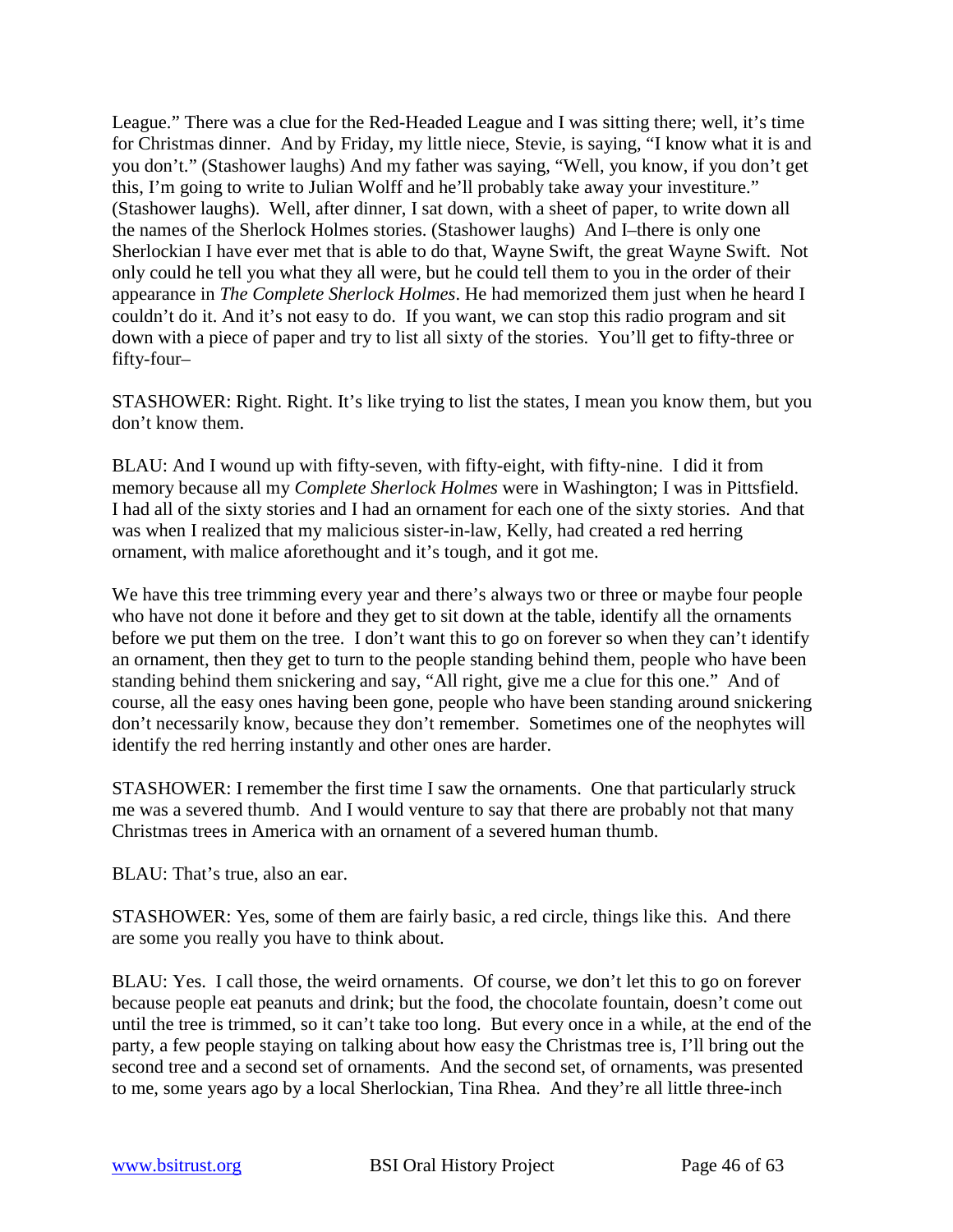League." There was a clue for the Red-Headed League and I was sitting there; well, it's time for Christmas dinner. And by Friday, my little niece, Stevie, is saying, "I know what it is and you don't." (Stashower laughs) And my father was saying, "Well, you know, if you don't get this, I'm going to write to Julian Wolff and he'll probably take away your investiture." (Stashower laughs). Well, after dinner, I sat down, with a sheet of paper, to write down all the names of the Sherlock Holmes stories. (Stashower laughs) And I–there is only one Sherlockian I have ever met that is able to do that, Wayne Swift, the great Wayne Swift. Not only could he tell you what they all were, but he could tell them to you in the order of their appearance in *The Complete Sherlock Holmes*. He had memorized them just when he heard I couldn't do it. And it's not easy to do. If you want, we can stop this radio program and sit down with a piece of paper and try to list all sixty of the stories. You'll get to fifty-three or fifty-four–

STASHOWER: Right. Right. It's like trying to list the states, I mean you know them, but you don't know them.

BLAU: And I wound up with fifty-seven, with fifty-eight, with fifty-nine. I did it from memory because all my *Complete Sherlock Holmes* were in Washington; I was in Pittsfield. I had all of the sixty stories and I had an ornament for each one of the sixty stories. And that was when I realized that my malicious sister-in-law, Kelly, had created a red herring ornament, with malice aforethought and it's tough, and it got me.

We have this tree trimming every year and there's always two or three or maybe four people who have not done it before and they get to sit down at the table, identify all the ornaments before we put them on the tree. I don't want this to go on forever so when they can't identify an ornament, then they get to turn to the people standing behind them, people who have been standing behind them snickering and say, "All right, give me a clue for this one." And of course, all the easy ones having been gone, people who have been standing around snickering don't necessarily know, because they don't remember. Sometimes one of the neophytes will identify the red herring instantly and other ones are harder.

STASHOWER: I remember the first time I saw the ornaments. One that particularly struck me was a severed thumb. And I would venture to say that there are probably not that many Christmas trees in America with an ornament of a severed human thumb.

BLAU: That's true, also an ear.

STASHOWER: Yes, some of them are fairly basic, a red circle, things like this. And there are some you really you have to think about.

BLAU: Yes. I call those, the weird ornaments. Of course, we don't let this to go on forever because people eat peanuts and drink; but the food, the chocolate fountain, doesn't come out until the tree is trimmed, so it can't take too long. But every once in a while, at the end of the party, a few people staying on talking about how easy the Christmas tree is, I'll bring out the second tree and a second set of ornaments. And the second set, of ornaments, was presented to me, some years ago by a local Sherlockian, Tina Rhea. And they're all little three-inch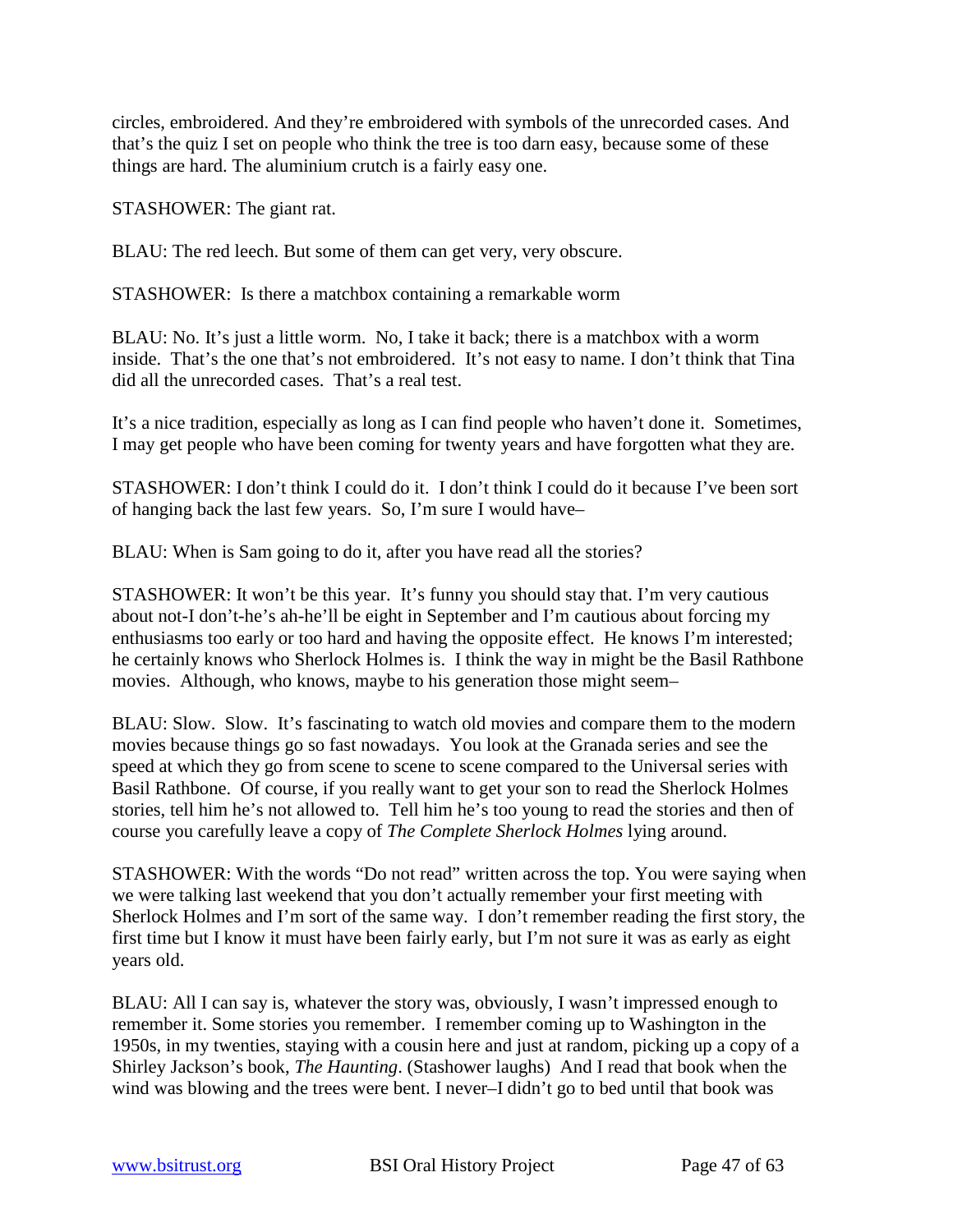circles, embroidered. And they're embroidered with symbols of the unrecorded cases. And that's the quiz I set on people who think the tree is too darn easy, because some of these things are hard. The aluminium crutch is a fairly easy one.

STASHOWER: The giant rat.

BLAU: The red leech. But some of them can get very, very obscure.

STASHOWER: Is there a matchbox containing a remarkable worm

BLAU: No. It's just a little worm. No, I take it back; there is a matchbox with a worm inside. That's the one that's not embroidered. It's not easy to name. I don't think that Tina did all the unrecorded cases. That's a real test.

It's a nice tradition, especially as long as I can find people who haven't done it. Sometimes, I may get people who have been coming for twenty years and have forgotten what they are.

STASHOWER: I don't think I could do it. I don't think I could do it because I've been sort of hanging back the last few years. So, I'm sure I would have–

BLAU: When is Sam going to do it, after you have read all the stories?

STASHOWER: It won't be this year. It's funny you should stay that. I'm very cautious about not-I don't-he's ah-he'll be eight in September and I'm cautious about forcing my enthusiasms too early or too hard and having the opposite effect. He knows I'm interested; he certainly knows who Sherlock Holmes is. I think the way in might be the Basil Rathbone movies. Although, who knows, maybe to his generation those might seem–

BLAU: Slow. Slow. It's fascinating to watch old movies and compare them to the modern movies because things go so fast nowadays. You look at the Granada series and see the speed at which they go from scene to scene to scene compared to the Universal series with Basil Rathbone. Of course, if you really want to get your son to read the Sherlock Holmes stories, tell him he's not allowed to. Tell him he's too young to read the stories and then of course you carefully leave a copy of *The Complete Sherlock Holmes* lying around.

STASHOWER: With the words "Do not read" written across the top. You were saying when we were talking last weekend that you don't actually remember your first meeting with Sherlock Holmes and I'm sort of the same way. I don't remember reading the first story, the first time but I know it must have been fairly early, but I'm not sure it was as early as eight years old.

BLAU: All I can say is, whatever the story was, obviously, I wasn't impressed enough to remember it. Some stories you remember. I remember coming up to Washington in the 1950s, in my twenties, staying with a cousin here and just at random, picking up a copy of a Shirley Jackson's book, *The Haunting*. (Stashower laughs) And I read that book when the wind was blowing and the trees were bent. I never–I didn't go to bed until that book was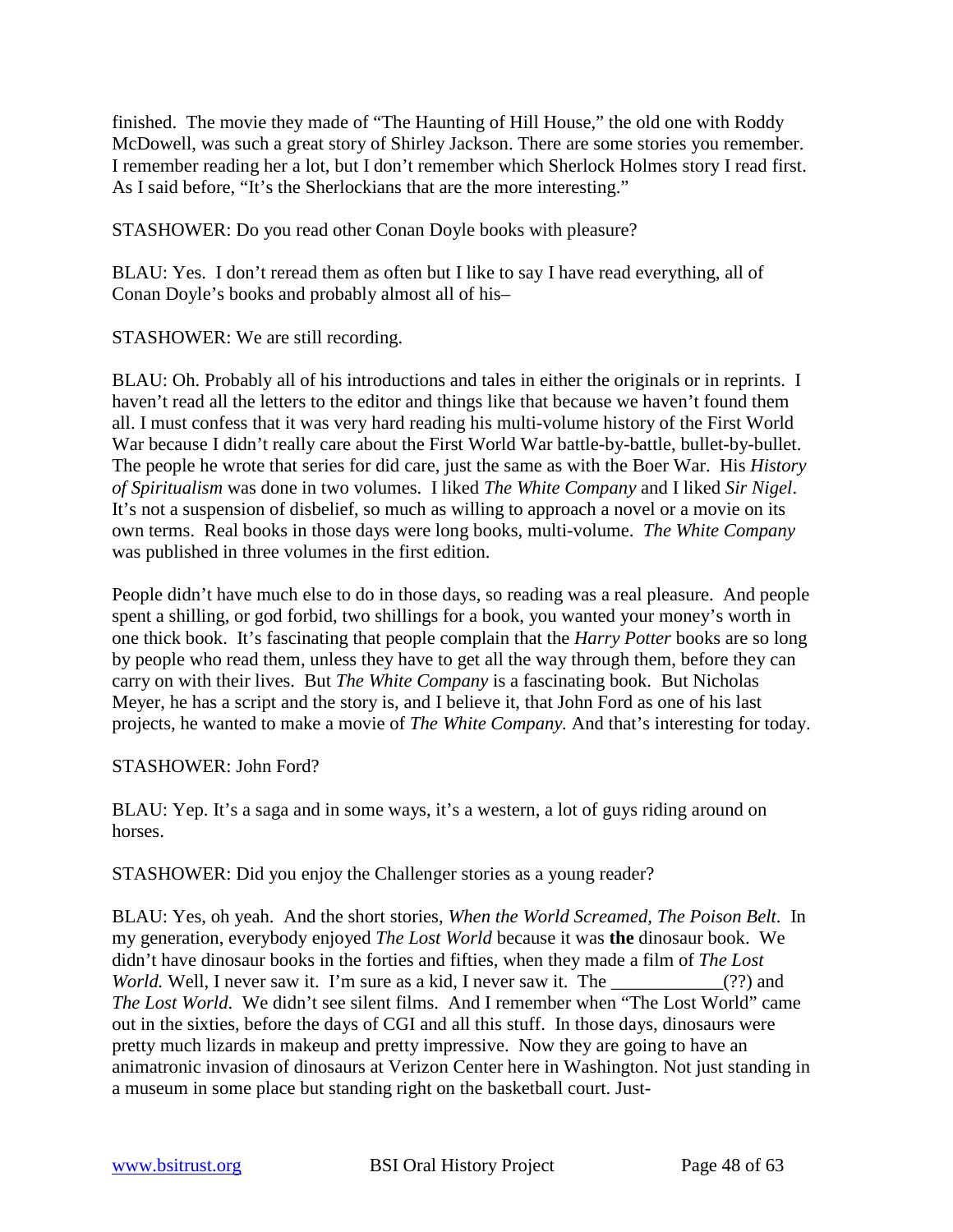finished. The movie they made of "The Haunting of Hill House," the old one with Roddy McDowell, was such a great story of Shirley Jackson. There are some stories you remember. I remember reading her a lot, but I don't remember which Sherlock Holmes story I read first. As I said before, "It's the Sherlockians that are the more interesting."

STASHOWER: Do you read other Conan Doyle books with pleasure?

BLAU: Yes. I don't reread them as often but I like to say I have read everything, all of Conan Doyle's books and probably almost all of his–

STASHOWER: We are still recording.

BLAU: Oh. Probably all of his introductions and tales in either the originals or in reprints. I haven't read all the letters to the editor and things like that because we haven't found them all. I must confess that it was very hard reading his multi-volume history of the First World War because I didn't really care about the First World War battle-by-battle, bullet-by-bullet. The people he wrote that series for did care, just the same as with the Boer War. His *History of Spiritualism* was done in two volumes. I liked *The White Company* and I liked *Sir Nigel*. It's not a suspension of disbelief, so much as willing to approach a novel or a movie on its own terms. Real books in those days were long books, multi-volume. *The White Company* was published in three volumes in the first edition.

People didn't have much else to do in those days, so reading was a real pleasure. And people spent a shilling, or god forbid, two shillings for a book, you wanted your money's worth in one thick book. It's fascinating that people complain that the *Harry Potter* books are so long by people who read them, unless they have to get all the way through them, before they can carry on with their lives. But *The White Company* is a fascinating book. But Nicholas Meyer, he has a script and the story is, and I believe it, that John Ford as one of his last projects, he wanted to make a movie of *The White Company.* And that's interesting for today.

#### STASHOWER: John Ford?

BLAU: Yep. It's a saga and in some ways, it's a western, a lot of guys riding around on horses.

STASHOWER: Did you enjoy the Challenger stories as a young reader?

BLAU: Yes, oh yeah. And the short stories, *When the World Screamed, The Poison Belt*. In my generation, everybody enjoyed *The Lost World* because it was **the** dinosaur book. We didn't have dinosaur books in the forties and fifties, when they made a film of *The Lost World.* Well, I never saw it. I'm sure as a kid, I never saw it. The \_\_\_\_\_\_\_\_\_\_\_(??) and *The Lost World*. We didn't see silent films. And I remember when "The Lost World" came out in the sixties, before the days of CGI and all this stuff. In those days, dinosaurs were pretty much lizards in makeup and pretty impressive. Now they are going to have an animatronic invasion of dinosaurs at Verizon Center here in Washington. Not just standing in a museum in some place but standing right on the basketball court. Just-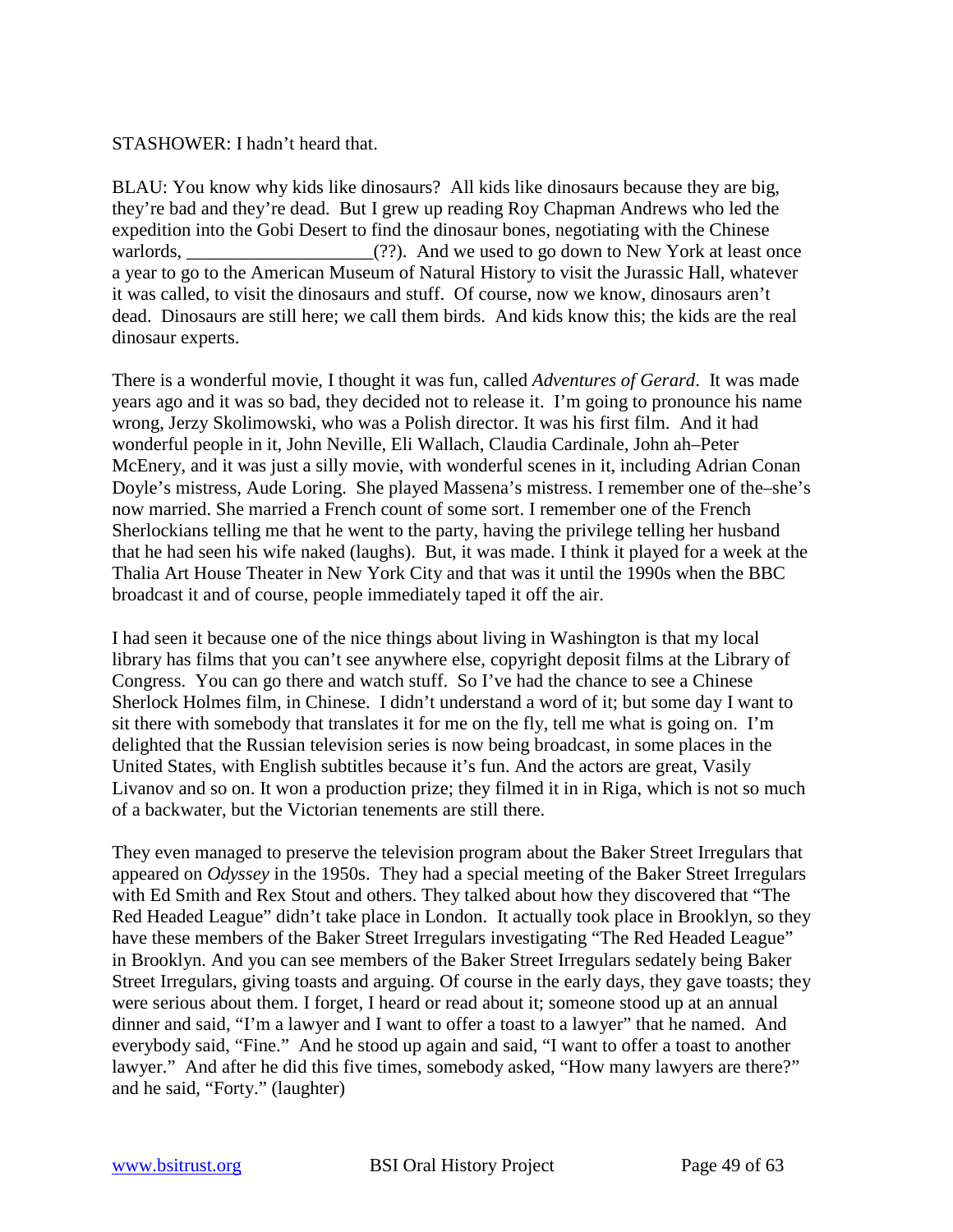#### STASHOWER: I hadn't heard that.

BLAU: You know why kids like dinosaurs? All kids like dinosaurs because they are big, they're bad and they're dead. But I grew up reading Roy Chapman Andrews who led the expedition into the Gobi Desert to find the dinosaur bones, negotiating with the Chinese warlords,  $\qquad \qquad$  (??). And we used to go down to New York at least once a year to go to the American Museum of Natural History to visit the Jurassic Hall, whatever it was called, to visit the dinosaurs and stuff. Of course, now we know, dinosaurs aren't dead. Dinosaurs are still here; we call them birds. And kids know this; the kids are the real dinosaur experts.

There is a wonderful movie, I thought it was fun, called *Adventures of Gerard*. It was made years ago and it was so bad, they decided not to release it. I'm going to pronounce his name wrong, Jerzy Skolimowski, who was a Polish director. It was his first film. And it had wonderful people in it, John Neville, Eli Wallach, Claudia Cardinale, John ah–Peter McEnery, and it was just a silly movie, with wonderful scenes in it, including Adrian Conan Doyle's mistress, Aude Loring. She played Massena's mistress. I remember one of the–she's now married. She married a French count of some sort. I remember one of the French Sherlockians telling me that he went to the party, having the privilege telling her husband that he had seen his wife naked (laughs). But, it was made. I think it played for a week at the Thalia Art House Theater in New York City and that was it until the 1990s when the BBC broadcast it and of course, people immediately taped it off the air.

I had seen it because one of the nice things about living in Washington is that my local library has films that you can't see anywhere else, copyright deposit films at the Library of Congress. You can go there and watch stuff. So I've had the chance to see a Chinese Sherlock Holmes film, in Chinese. I didn't understand a word of it; but some day I want to sit there with somebody that translates it for me on the fly, tell me what is going on. I'm delighted that the Russian television series is now being broadcast, in some places in the United States, with English subtitles because it's fun. And the actors are great, Vasily Livanov and so on. It won a production prize; they filmed it in in Riga, which is not so much of a backwater, but the Victorian tenements are still there.

They even managed to preserve the television program about the Baker Street Irregulars that appeared on *Odyssey* in the 1950s. They had a special meeting of the Baker Street Irregulars with Ed Smith and Rex Stout and others. They talked about how they discovered that "The Red Headed League" didn't take place in London. It actually took place in Brooklyn, so they have these members of the Baker Street Irregulars investigating "The Red Headed League" in Brooklyn. And you can see members of the Baker Street Irregulars sedately being Baker Street Irregulars, giving toasts and arguing. Of course in the early days, they gave toasts; they were serious about them. I forget, I heard or read about it; someone stood up at an annual dinner and said, "I'm a lawyer and I want to offer a toast to a lawyer" that he named. And everybody said, "Fine." And he stood up again and said, "I want to offer a toast to another lawyer." And after he did this five times, somebody asked, "How many lawyers are there?" and he said, "Forty." (laughter)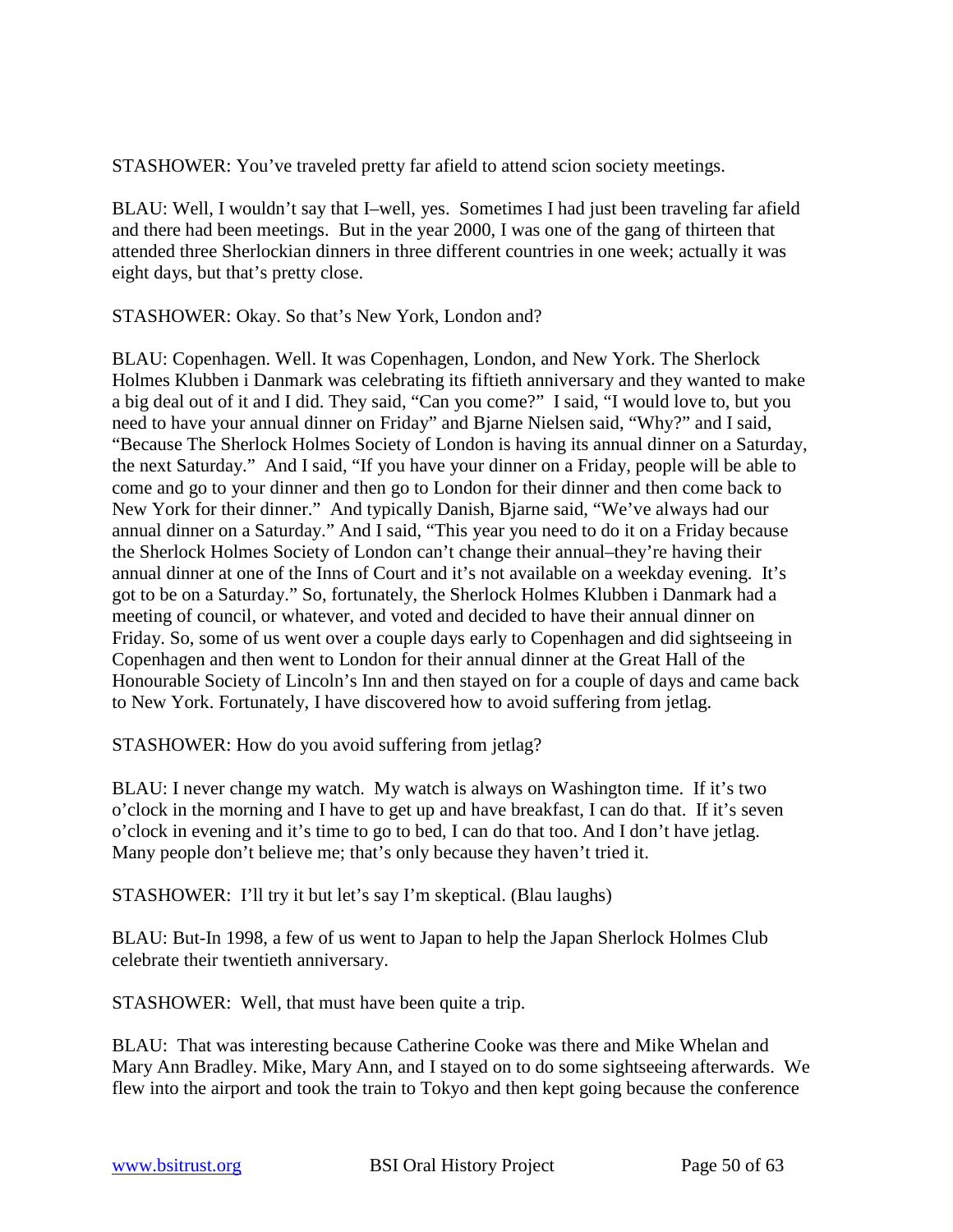STASHOWER: You've traveled pretty far afield to attend scion society meetings.

BLAU: Well, I wouldn't say that I–well, yes. Sometimes I had just been traveling far afield and there had been meetings. But in the year 2000, I was one of the gang of thirteen that attended three Sherlockian dinners in three different countries in one week; actually it was eight days, but that's pretty close.

STASHOWER: Okay. So that's New York, London and?

BLAU: Copenhagen. Well. It was Copenhagen, London, and New York. The Sherlock Holmes Klubben i Danmark was celebrating its fiftieth anniversary and they wanted to make a big deal out of it and I did. They said, "Can you come?" I said, "I would love to, but you need to have your annual dinner on Friday" and Bjarne Nielsen said, "Why?" and I said, "Because The Sherlock Holmes Society of London is having its annual dinner on a Saturday, the next Saturday." And I said, "If you have your dinner on a Friday, people will be able to come and go to your dinner and then go to London for their dinner and then come back to New York for their dinner." And typically Danish, Bjarne said, "We've always had our annual dinner on a Saturday." And I said, "This year you need to do it on a Friday because the Sherlock Holmes Society of London can't change their annual–they're having their annual dinner at one of the Inns of Court and it's not available on a weekday evening. It's got to be on a Saturday." So, fortunately, the Sherlock Holmes Klubben i Danmark had a meeting of council, or whatever, and voted and decided to have their annual dinner on Friday. So, some of us went over a couple days early to Copenhagen and did sightseeing in Copenhagen and then went to London for their annual dinner at the Great Hall of the Honourable Society of Lincoln's Inn and then stayed on for a couple of days and came back to New York. Fortunately, I have discovered how to avoid suffering from jetlag.

STASHOWER: How do you avoid suffering from jetlag?

BLAU: I never change my watch. My watch is always on Washington time. If it's two o'clock in the morning and I have to get up and have breakfast, I can do that. If it's seven o'clock in evening and it's time to go to bed, I can do that too. And I don't have jetlag. Many people don't believe me; that's only because they haven't tried it.

STASHOWER: I'll try it but let's say I'm skeptical. (Blau laughs)

BLAU: But-In 1998, a few of us went to Japan to help the Japan Sherlock Holmes Club celebrate their twentieth anniversary.

STASHOWER: Well, that must have been quite a trip.

BLAU: That was interesting because Catherine Cooke was there and Mike Whelan and Mary Ann Bradley. Mike, Mary Ann, and I stayed on to do some sightseeing afterwards. We flew into the airport and took the train to Tokyo and then kept going because the conference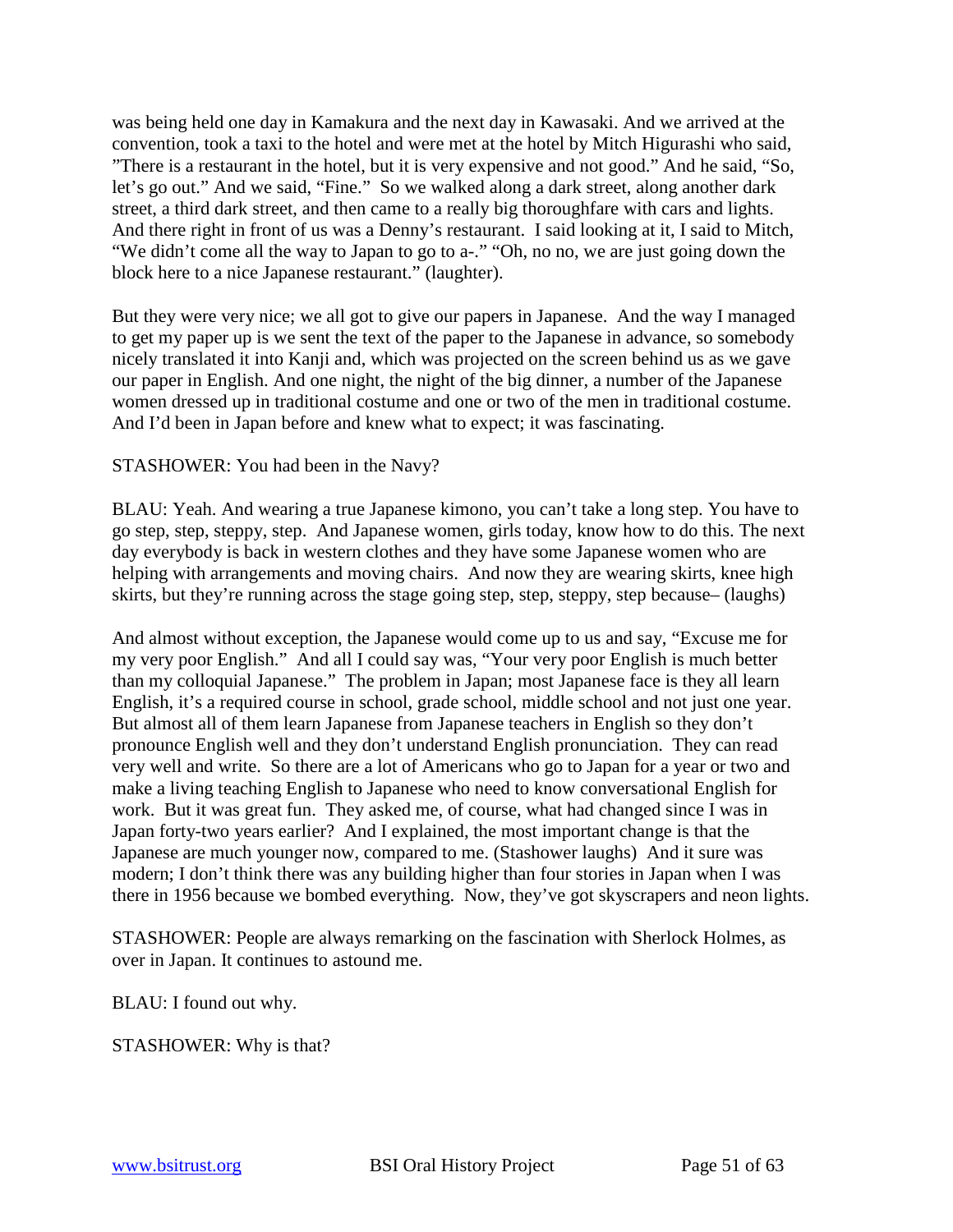was being held one day in Kamakura and the next day in Kawasaki. And we arrived at the convention, took a taxi to the hotel and were met at the hotel by Mitch Higurashi who said, "There is a restaurant in the hotel, but it is very expensive and not good." And he said, "So, let's go out." And we said, "Fine." So we walked along a dark street, along another dark street, a third dark street, and then came to a really big thoroughfare with cars and lights. And there right in front of us was a Denny's restaurant. I said looking at it, I said to Mitch, "We didn't come all the way to Japan to go to a-." "Oh, no no, we are just going down the block here to a nice Japanese restaurant." (laughter).

But they were very nice; we all got to give our papers in Japanese. And the way I managed to get my paper up is we sent the text of the paper to the Japanese in advance, so somebody nicely translated it into Kanji and, which was projected on the screen behind us as we gave our paper in English. And one night, the night of the big dinner, a number of the Japanese women dressed up in traditional costume and one or two of the men in traditional costume. And I'd been in Japan before and knew what to expect; it was fascinating.

# STASHOWER: You had been in the Navy?

BLAU: Yeah. And wearing a true Japanese kimono, you can't take a long step. You have to go step, step, steppy, step. And Japanese women, girls today, know how to do this. The next day everybody is back in western clothes and they have some Japanese women who are helping with arrangements and moving chairs. And now they are wearing skirts, knee high skirts, but they're running across the stage going step, step, steppy, step because– (laughs)

And almost without exception, the Japanese would come up to us and say, "Excuse me for my very poor English." And all I could say was, "Your very poor English is much better than my colloquial Japanese." The problem in Japan; most Japanese face is they all learn English, it's a required course in school, grade school, middle school and not just one year. But almost all of them learn Japanese from Japanese teachers in English so they don't pronounce English well and they don't understand English pronunciation. They can read very well and write. So there are a lot of Americans who go to Japan for a year or two and make a living teaching English to Japanese who need to know conversational English for work. But it was great fun. They asked me, of course, what had changed since I was in Japan forty-two years earlier? And I explained, the most important change is that the Japanese are much younger now, compared to me. (Stashower laughs) And it sure was modern; I don't think there was any building higher than four stories in Japan when I was there in 1956 because we bombed everything. Now, they've got skyscrapers and neon lights.

STASHOWER: People are always remarking on the fascination with Sherlock Holmes, as over in Japan. It continues to astound me.

BLAU: I found out why.

STASHOWER: Why is that?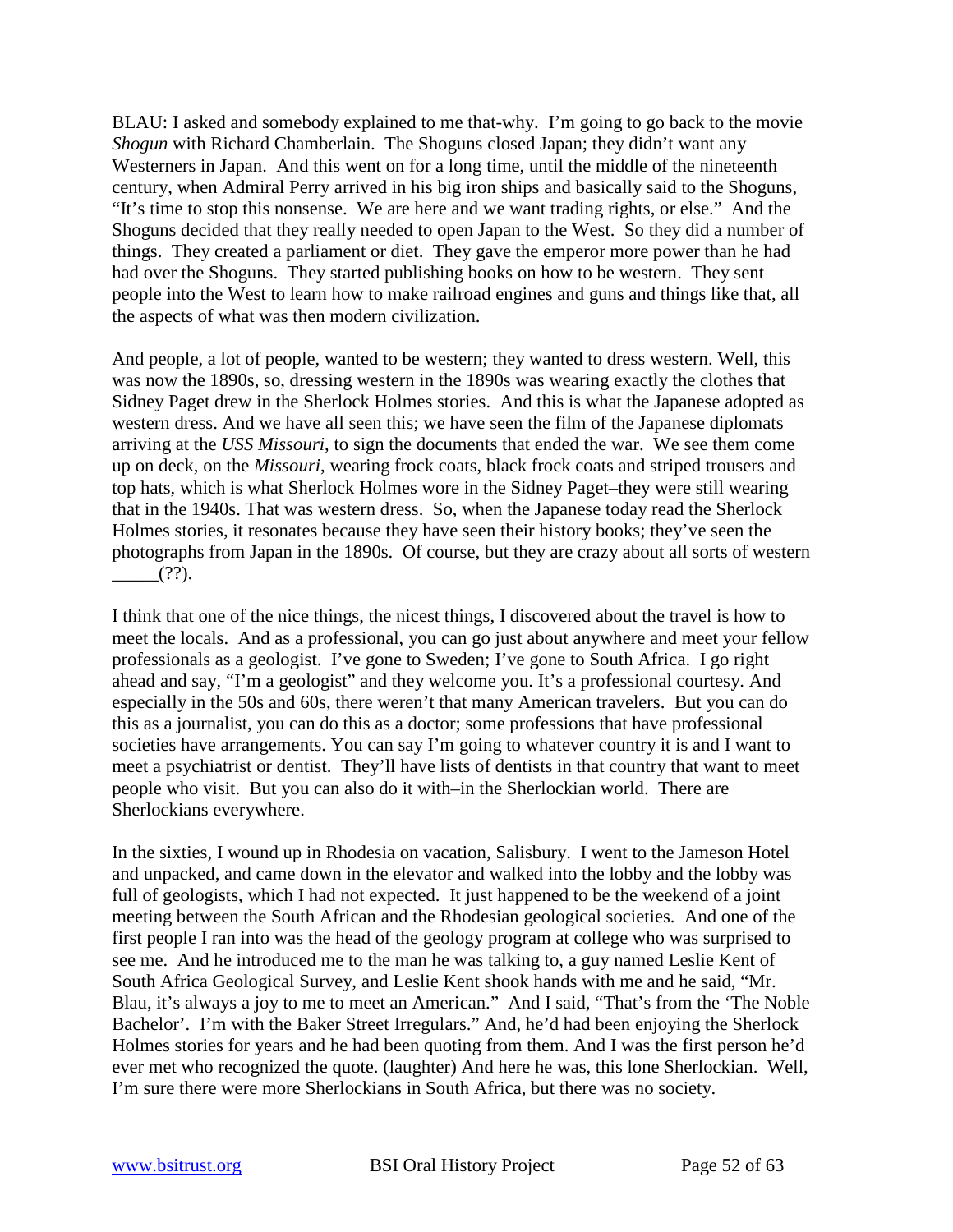BLAU: I asked and somebody explained to me that-why. I'm going to go back to the movie *Shogun* with Richard Chamberlain. The Shoguns closed Japan; they didn't want any Westerners in Japan. And this went on for a long time, until the middle of the nineteenth century, when Admiral Perry arrived in his big iron ships and basically said to the Shoguns, "It's time to stop this nonsense. We are here and we want trading rights, or else." And the Shoguns decided that they really needed to open Japan to the West. So they did a number of things. They created a parliament or diet. They gave the emperor more power than he had had over the Shoguns. They started publishing books on how to be western. They sent people into the West to learn how to make railroad engines and guns and things like that, all the aspects of what was then modern civilization.

And people, a lot of people, wanted to be western; they wanted to dress western. Well, this was now the 1890s, so, dressing western in the 1890s was wearing exactly the clothes that Sidney Paget drew in the Sherlock Holmes stories. And this is what the Japanese adopted as western dress. And we have all seen this; we have seen the film of the Japanese diplomats arriving at the *USS Missouri*, to sign the documents that ended the war. We see them come up on deck, on the *Missouri*, wearing frock coats, black frock coats and striped trousers and top hats, which is what Sherlock Holmes wore in the Sidney Paget–they were still wearing that in the 1940s. That was western dress. So, when the Japanese today read the Sherlock Holmes stories, it resonates because they have seen their history books; they've seen the photographs from Japan in the 1890s. Of course, but they are crazy about all sorts of western  $(?)$ .

I think that one of the nice things, the nicest things, I discovered about the travel is how to meet the locals. And as a professional, you can go just about anywhere and meet your fellow professionals as a geologist. I've gone to Sweden; I've gone to South Africa. I go right ahead and say, "I'm a geologist" and they welcome you. It's a professional courtesy. And especially in the 50s and 60s, there weren't that many American travelers. But you can do this as a journalist, you can do this as a doctor; some professions that have professional societies have arrangements. You can say I'm going to whatever country it is and I want to meet a psychiatrist or dentist. They'll have lists of dentists in that country that want to meet people who visit. But you can also do it with–in the Sherlockian world. There are Sherlockians everywhere.

In the sixties, I wound up in Rhodesia on vacation, Salisbury. I went to the Jameson Hotel and unpacked, and came down in the elevator and walked into the lobby and the lobby was full of geologists, which I had not expected. It just happened to be the weekend of a joint meeting between the South African and the Rhodesian geological societies. And one of the first people I ran into was the head of the geology program at college who was surprised to see me. And he introduced me to the man he was talking to, a guy named Leslie Kent of South Africa Geological Survey, and Leslie Kent shook hands with me and he said, "Mr. Blau, it's always a joy to me to meet an American." And I said, "That's from the 'The Noble Bachelor'. I'm with the Baker Street Irregulars." And, he'd had been enjoying the Sherlock Holmes stories for years and he had been quoting from them. And I was the first person he'd ever met who recognized the quote. (laughter) And here he was, this lone Sherlockian. Well, I'm sure there were more Sherlockians in South Africa, but there was no society.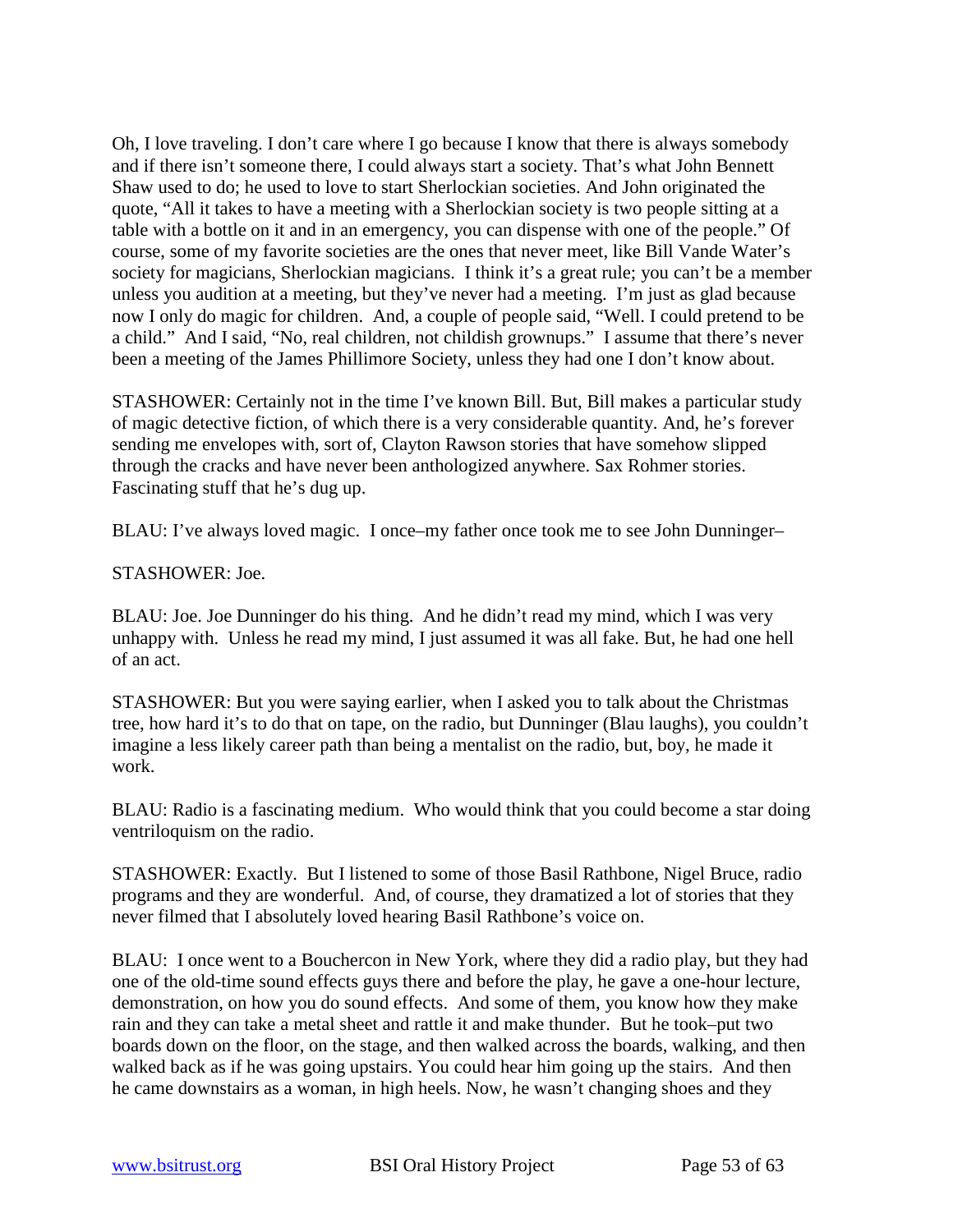Oh, I love traveling. I don't care where I go because I know that there is always somebody and if there isn't someone there, I could always start a society. That's what John Bennett Shaw used to do; he used to love to start Sherlockian societies. And John originated the quote, "All it takes to have a meeting with a Sherlockian society is two people sitting at a table with a bottle on it and in an emergency, you can dispense with one of the people." Of course, some of my favorite societies are the ones that never meet, like Bill Vande Water's society for magicians, Sherlockian magicians. I think it's a great rule; you can't be a member unless you audition at a meeting, but they've never had a meeting. I'm just as glad because now I only do magic for children. And, a couple of people said, "Well. I could pretend to be a child." And I said, "No, real children, not childish grownups." I assume that there's never been a meeting of the James Phillimore Society, unless they had one I don't know about.

STASHOWER: Certainly not in the time I've known Bill. But, Bill makes a particular study of magic detective fiction, of which there is a very considerable quantity. And, he's forever sending me envelopes with, sort of, Clayton Rawson stories that have somehow slipped through the cracks and have never been anthologized anywhere. Sax Rohmer stories. Fascinating stuff that he's dug up.

BLAU: I've always loved magic. I once–my father once took me to see John Dunninger–

#### STASHOWER: Joe.

BLAU: Joe. Joe Dunninger do his thing. And he didn't read my mind, which I was very unhappy with. Unless he read my mind, I just assumed it was all fake. But, he had one hell of an act.

STASHOWER: But you were saying earlier, when I asked you to talk about the Christmas tree, how hard it's to do that on tape, on the radio, but Dunninger (Blau laughs), you couldn't imagine a less likely career path than being a mentalist on the radio, but, boy, he made it work.

BLAU: Radio is a fascinating medium. Who would think that you could become a star doing ventriloquism on the radio.

STASHOWER: Exactly. But I listened to some of those Basil Rathbone, Nigel Bruce, radio programs and they are wonderful. And, of course, they dramatized a lot of stories that they never filmed that I absolutely loved hearing Basil Rathbone's voice on.

BLAU: I once went to a Bouchercon in New York, where they did a radio play, but they had one of the old-time sound effects guys there and before the play, he gave a one-hour lecture, demonstration, on how you do sound effects. And some of them, you know how they make rain and they can take a metal sheet and rattle it and make thunder. But he took–put two boards down on the floor, on the stage, and then walked across the boards, walking, and then walked back as if he was going upstairs. You could hear him going up the stairs. And then he came downstairs as a woman, in high heels. Now, he wasn't changing shoes and they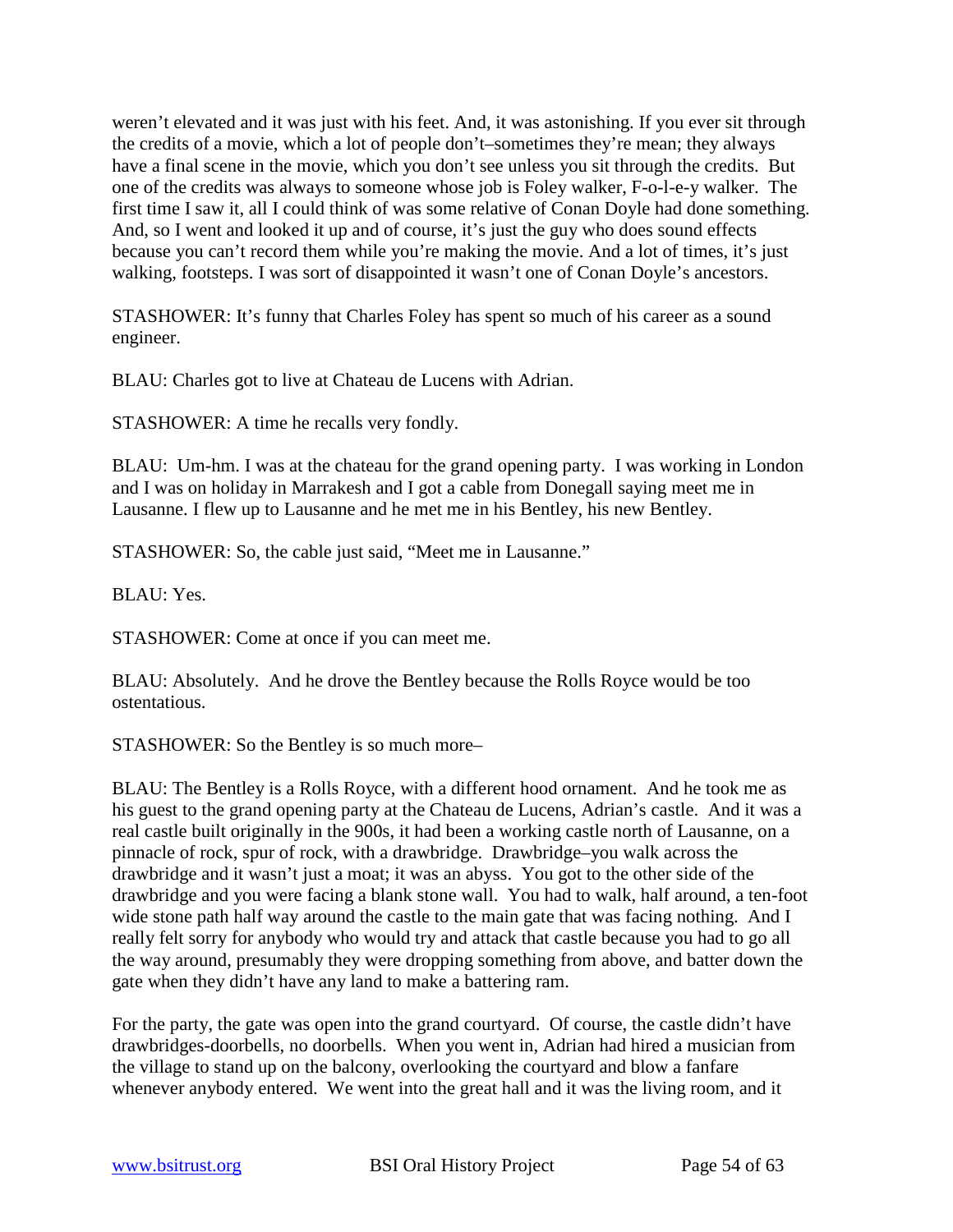weren't elevated and it was just with his feet. And, it was astonishing. If you ever sit through the credits of a movie, which a lot of people don't–sometimes they're mean; they always have a final scene in the movie, which you don't see unless you sit through the credits. But one of the credits was always to someone whose job is Foley walker, F-o-l-e-y walker. The first time I saw it, all I could think of was some relative of Conan Doyle had done something. And, so I went and looked it up and of course, it's just the guy who does sound effects because you can't record them while you're making the movie. And a lot of times, it's just walking, footsteps. I was sort of disappointed it wasn't one of Conan Doyle's ancestors.

STASHOWER: It's funny that Charles Foley has spent so much of his career as a sound engineer.

BLAU: Charles got to live at Chateau de Lucens with Adrian.

STASHOWER: A time he recalls very fondly.

BLAU: Um-hm. I was at the chateau for the grand opening party. I was working in London and I was on holiday in Marrakesh and I got a cable from Donegall saying meet me in Lausanne. I flew up to Lausanne and he met me in his Bentley, his new Bentley.

STASHOWER: So, the cable just said, "Meet me in Lausanne."

BLAU: Yes.

STASHOWER: Come at once if you can meet me.

BLAU: Absolutely. And he drove the Bentley because the Rolls Royce would be too ostentatious.

STASHOWER: So the Bentley is so much more–

BLAU: The Bentley is a Rolls Royce, with a different hood ornament. And he took me as his guest to the grand opening party at the Chateau de Lucens, Adrian's castle. And it was a real castle built originally in the 900s, it had been a working castle north of Lausanne, on a pinnacle of rock, spur of rock, with a drawbridge. Drawbridge–you walk across the drawbridge and it wasn't just a moat; it was an abyss. You got to the other side of the drawbridge and you were facing a blank stone wall. You had to walk, half around, a ten-foot wide stone path half way around the castle to the main gate that was facing nothing. And I really felt sorry for anybody who would try and attack that castle because you had to go all the way around, presumably they were dropping something from above, and batter down the gate when they didn't have any land to make a battering ram.

For the party, the gate was open into the grand courtyard. Of course, the castle didn't have drawbridges-doorbells, no doorbells. When you went in, Adrian had hired a musician from the village to stand up on the balcony, overlooking the courtyard and blow a fanfare whenever anybody entered. We went into the great hall and it was the living room, and it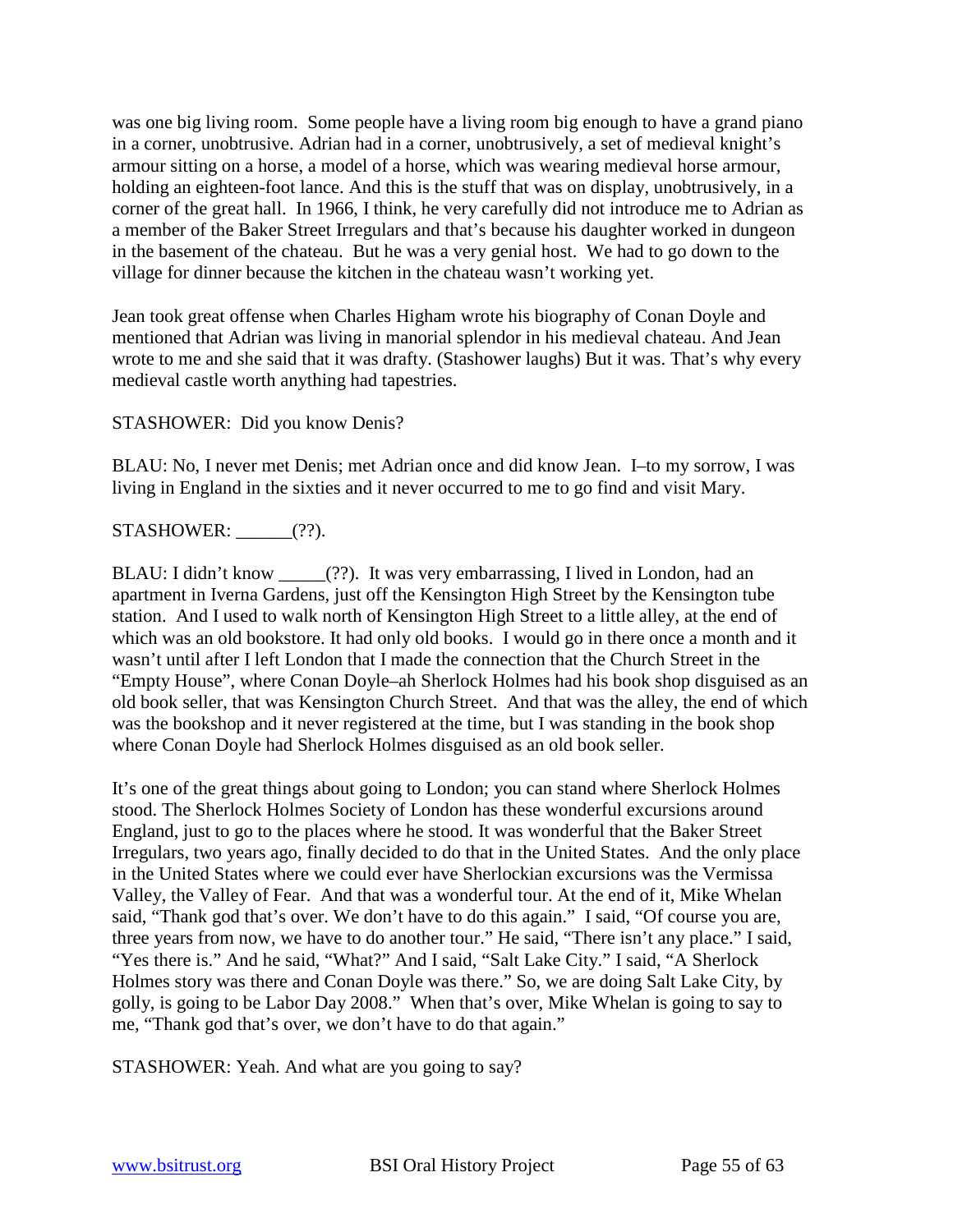was one big living room. Some people have a living room big enough to have a grand piano in a corner, unobtrusive. Adrian had in a corner, unobtrusively, a set of medieval knight's armour sitting on a horse, a model of a horse, which was wearing medieval horse armour, holding an eighteen-foot lance. And this is the stuff that was on display, unobtrusively, in a corner of the great hall. In 1966, I think, he very carefully did not introduce me to Adrian as a member of the Baker Street Irregulars and that's because his daughter worked in dungeon in the basement of the chateau. But he was a very genial host. We had to go down to the village for dinner because the kitchen in the chateau wasn't working yet.

Jean took great offense when Charles Higham wrote his biography of Conan Doyle and mentioned that Adrian was living in manorial splendor in his medieval chateau. And Jean wrote to me and she said that it was drafty. (Stashower laughs) But it was. That's why every medieval castle worth anything had tapestries.

STASHOWER: Did you know Denis?

BLAU: No, I never met Denis; met Adrian once and did know Jean. I–to my sorrow, I was living in England in the sixties and it never occurred to me to go find and visit Mary.

STASHOWER: \_\_\_\_\_\_(??).

BLAU: I didn't know (??). It was very embarrassing, I lived in London, had an apartment in Iverna Gardens, just off the Kensington High Street by the Kensington tube station. And I used to walk north of Kensington High Street to a little alley, at the end of which was an old bookstore. It had only old books. I would go in there once a month and it wasn't until after I left London that I made the connection that the Church Street in the "Empty House", where Conan Doyle–ah Sherlock Holmes had his book shop disguised as an old book seller, that was Kensington Church Street. And that was the alley, the end of which was the bookshop and it never registered at the time, but I was standing in the book shop where Conan Doyle had Sherlock Holmes disguised as an old book seller.

It's one of the great things about going to London; you can stand where Sherlock Holmes stood. The Sherlock Holmes Society of London has these wonderful excursions around England, just to go to the places where he stood. It was wonderful that the Baker Street Irregulars, two years ago, finally decided to do that in the United States. And the only place in the United States where we could ever have Sherlockian excursions was the Vermissa Valley, the Valley of Fear. And that was a wonderful tour. At the end of it, Mike Whelan said, "Thank god that's over. We don't have to do this again." I said, "Of course you are, three years from now, we have to do another tour." He said, "There isn't any place." I said, "Yes there is." And he said, "What?" And I said, "Salt Lake City." I said, "A Sherlock Holmes story was there and Conan Doyle was there." So, we are doing Salt Lake City, by golly, is going to be Labor Day 2008." When that's over, Mike Whelan is going to say to me, "Thank god that's over, we don't have to do that again."

STASHOWER: Yeah. And what are you going to say?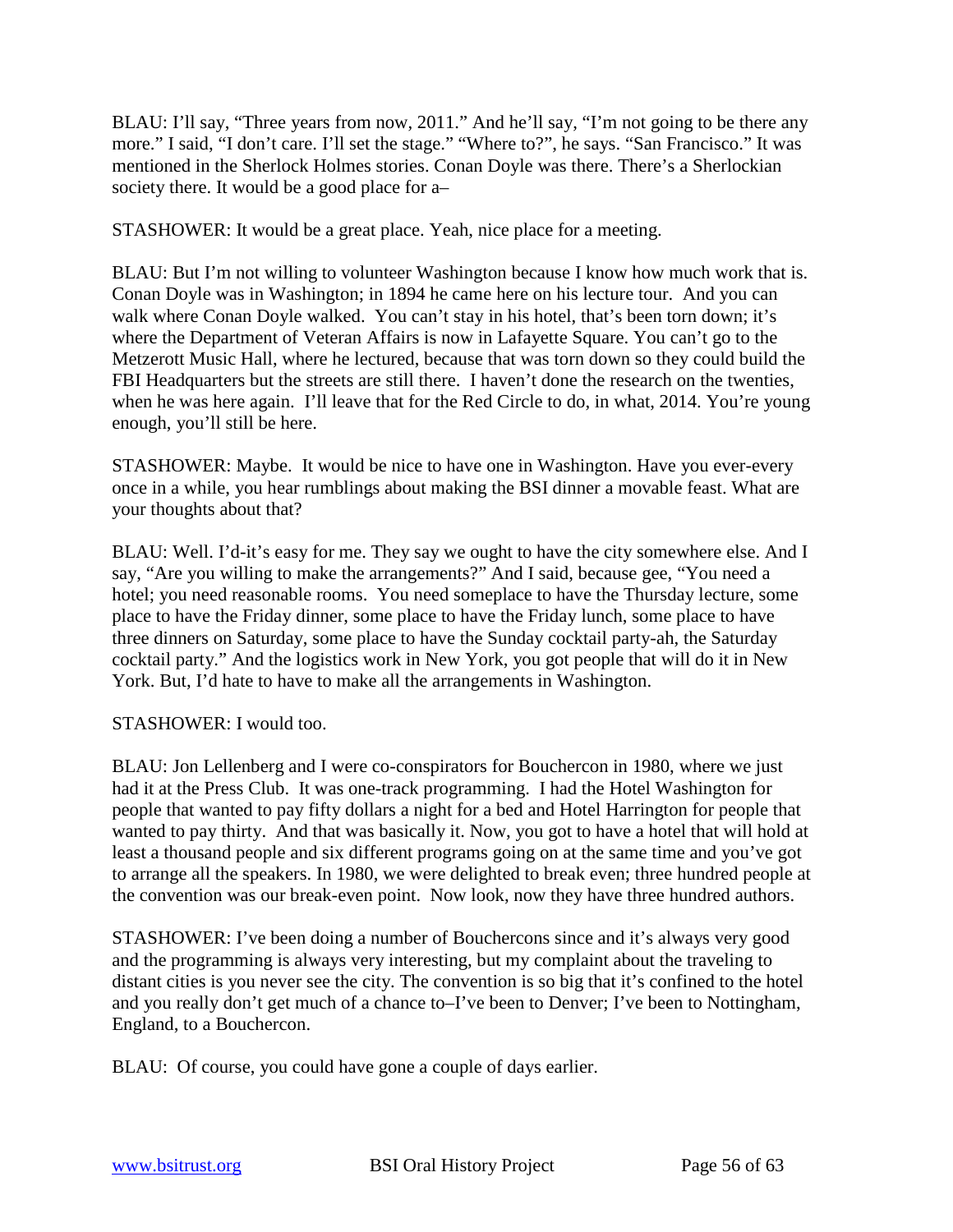BLAU: I'll say, "Three years from now, 2011." And he'll say, "I'm not going to be there any more." I said, "I don't care. I'll set the stage." "Where to?", he says. "San Francisco." It was mentioned in the Sherlock Holmes stories. Conan Doyle was there. There's a Sherlockian society there. It would be a good place for a–

STASHOWER: It would be a great place. Yeah, nice place for a meeting.

BLAU: But I'm not willing to volunteer Washington because I know how much work that is. Conan Doyle was in Washington; in 1894 he came here on his lecture tour. And you can walk where Conan Doyle walked. You can't stay in his hotel, that's been torn down; it's where the Department of Veteran Affairs is now in Lafayette Square. You can't go to the Metzerott Music Hall, where he lectured, because that was torn down so they could build the FBI Headquarters but the streets are still there. I haven't done the research on the twenties, when he was here again. I'll leave that for the Red Circle to do, in what, 2014. You're young enough, you'll still be here.

STASHOWER: Maybe. It would be nice to have one in Washington. Have you ever-every once in a while, you hear rumblings about making the BSI dinner a movable feast. What are your thoughts about that?

BLAU: Well. I'd-it's easy for me. They say we ought to have the city somewhere else. And I say, "Are you willing to make the arrangements?" And I said, because gee, "You need a hotel; you need reasonable rooms. You need someplace to have the Thursday lecture, some place to have the Friday dinner, some place to have the Friday lunch, some place to have three dinners on Saturday, some place to have the Sunday cocktail party-ah, the Saturday cocktail party." And the logistics work in New York, you got people that will do it in New York. But, I'd hate to have to make all the arrangements in Washington.

STASHOWER: I would too.

BLAU: Jon Lellenberg and I were co-conspirators for Bouchercon in 1980, where we just had it at the Press Club. It was one-track programming. I had the Hotel Washington for people that wanted to pay fifty dollars a night for a bed and Hotel Harrington for people that wanted to pay thirty. And that was basically it. Now, you got to have a hotel that will hold at least a thousand people and six different programs going on at the same time and you've got to arrange all the speakers. In 1980, we were delighted to break even; three hundred people at the convention was our break-even point. Now look, now they have three hundred authors.

STASHOWER: I've been doing a number of Bouchercons since and it's always very good and the programming is always very interesting, but my complaint about the traveling to distant cities is you never see the city. The convention is so big that it's confined to the hotel and you really don't get much of a chance to–I've been to Denver; I've been to Nottingham, England, to a Bouchercon.

BLAU: Of course, you could have gone a couple of days earlier.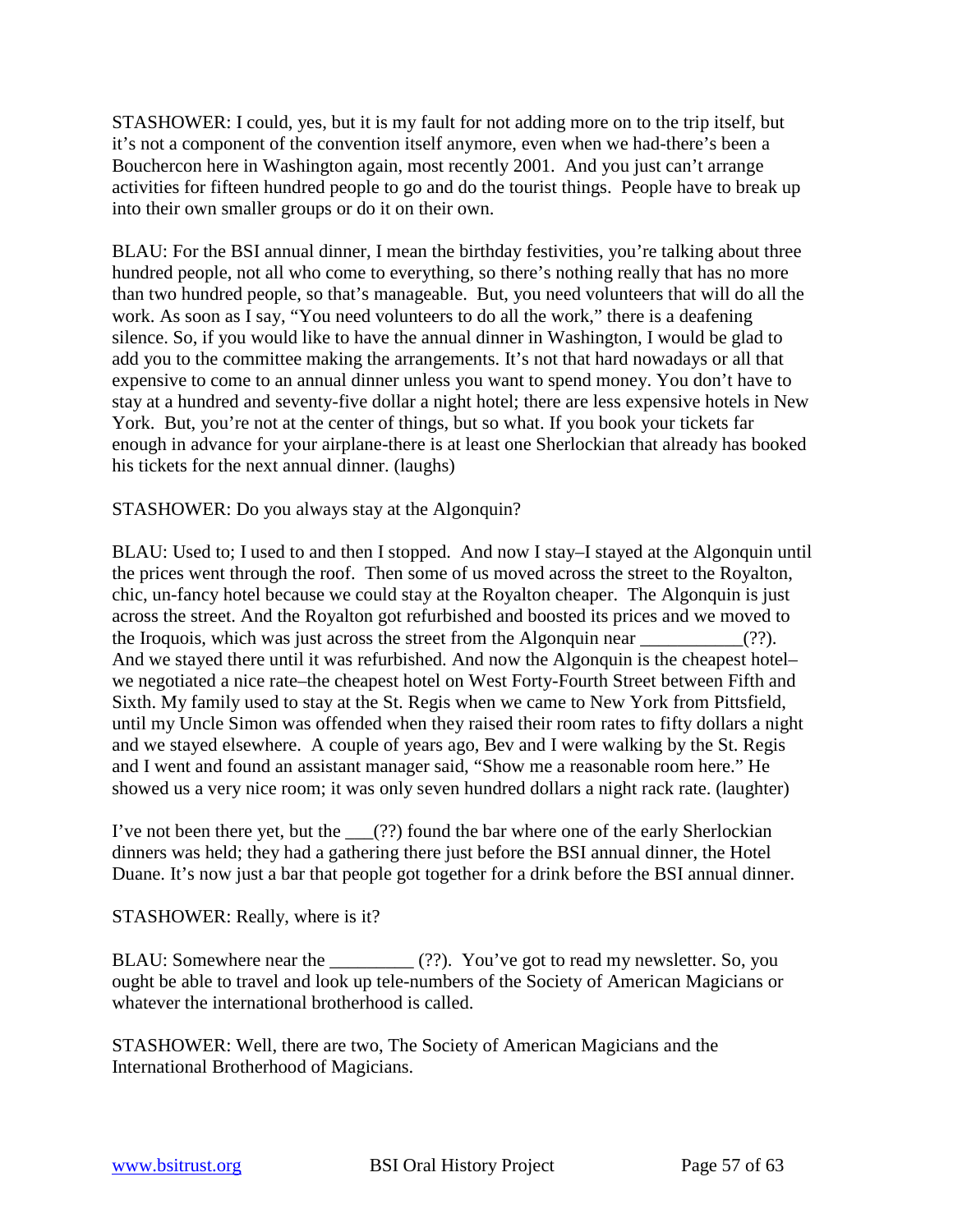STASHOWER: I could, yes, but it is my fault for not adding more on to the trip itself, but it's not a component of the convention itself anymore, even when we had-there's been a Bouchercon here in Washington again, most recently 2001. And you just can't arrange activities for fifteen hundred people to go and do the tourist things. People have to break up into their own smaller groups or do it on their own.

BLAU: For the BSI annual dinner, I mean the birthday festivities, you're talking about three hundred people, not all who come to everything, so there's nothing really that has no more than two hundred people, so that's manageable. But, you need volunteers that will do all the work. As soon as I say, "You need volunteers to do all the work," there is a deafening silence. So, if you would like to have the annual dinner in Washington, I would be glad to add you to the committee making the arrangements. It's not that hard nowadays or all that expensive to come to an annual dinner unless you want to spend money. You don't have to stay at a hundred and seventy-five dollar a night hotel; there are less expensive hotels in New York. But, you're not at the center of things, but so what. If you book your tickets far enough in advance for your airplane-there is at least one Sherlockian that already has booked his tickets for the next annual dinner. (laughs)

STASHOWER: Do you always stay at the Algonquin?

BLAU: Used to; I used to and then I stopped. And now I stay–I stayed at the Algonquin until the prices went through the roof. Then some of us moved across the street to the Royalton, chic, un-fancy hotel because we could stay at the Royalton cheaper. The Algonquin is just across the street. And the Royalton got refurbished and boosted its prices and we moved to the Iroquois, which was just across the street from the Algonquin near \_\_\_\_\_\_\_\_\_(??). And we stayed there until it was refurbished. And now the Algonquin is the cheapest hotel– we negotiated a nice rate–the cheapest hotel on West Forty-Fourth Street between Fifth and Sixth. My family used to stay at the St. Regis when we came to New York from Pittsfield, until my Uncle Simon was offended when they raised their room rates to fifty dollars a night and we stayed elsewhere. A couple of years ago, Bev and I were walking by the St. Regis and I went and found an assistant manager said, "Show me a reasonable room here." He showed us a very nice room; it was only seven hundred dollars a night rack rate. (laughter)

I've not been there yet, but the  $\qquad$  (??) found the bar where one of the early Sherlockian dinners was held; they had a gathering there just before the BSI annual dinner, the Hotel Duane. It's now just a bar that people got together for a drink before the BSI annual dinner.

STASHOWER: Really, where is it?

BLAU: Somewhere near the \_\_\_\_\_\_\_\_\_\_\_ (??). You've got to read my newsletter. So, you ought be able to travel and look up tele-numbers of the Society of American Magicians or whatever the international brotherhood is called.

STASHOWER: Well, there are two, The Society of American Magicians and the International Brotherhood of Magicians.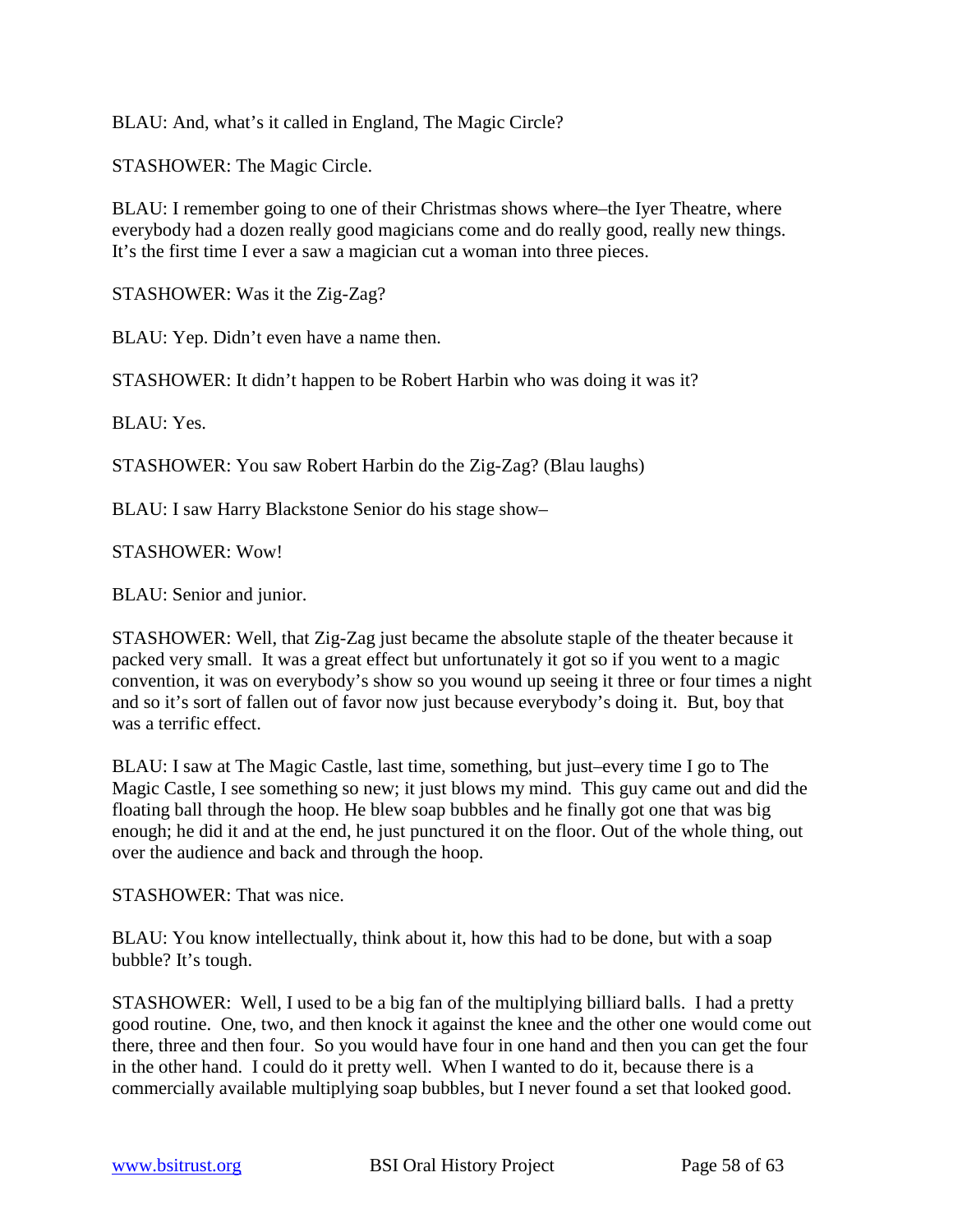BLAU: And, what's it called in England, The Magic Circle?

STASHOWER: The Magic Circle.

BLAU: I remember going to one of their Christmas shows where–the Iyer Theatre, where everybody had a dozen really good magicians come and do really good, really new things. It's the first time I ever a saw a magician cut a woman into three pieces.

STASHOWER: Was it the Zig-Zag?

BLAU: Yep. Didn't even have a name then.

STASHOWER: It didn't happen to be Robert Harbin who was doing it was it?

BLAU: Yes.

STASHOWER: You saw Robert Harbin do the Zig-Zag? (Blau laughs)

BLAU: I saw Harry Blackstone Senior do his stage show–

STASHOWER: Wow!

BLAU: Senior and junior.

STASHOWER: Well, that Zig-Zag just became the absolute staple of the theater because it packed very small. It was a great effect but unfortunately it got so if you went to a magic convention, it was on everybody's show so you wound up seeing it three or four times a night and so it's sort of fallen out of favor now just because everybody's doing it. But, boy that was a terrific effect.

BLAU: I saw at The Magic Castle, last time, something, but just–every time I go to The Magic Castle, I see something so new; it just blows my mind. This guy came out and did the floating ball through the hoop. He blew soap bubbles and he finally got one that was big enough; he did it and at the end, he just punctured it on the floor. Out of the whole thing, out over the audience and back and through the hoop.

STASHOWER: That was nice.

BLAU: You know intellectually, think about it, how this had to be done, but with a soap bubble? It's tough.

STASHOWER: Well, I used to be a big fan of the multiplying billiard balls. I had a pretty good routine. One, two, and then knock it against the knee and the other one would come out there, three and then four. So you would have four in one hand and then you can get the four in the other hand. I could do it pretty well. When I wanted to do it, because there is a commercially available multiplying soap bubbles, but I never found a set that looked good.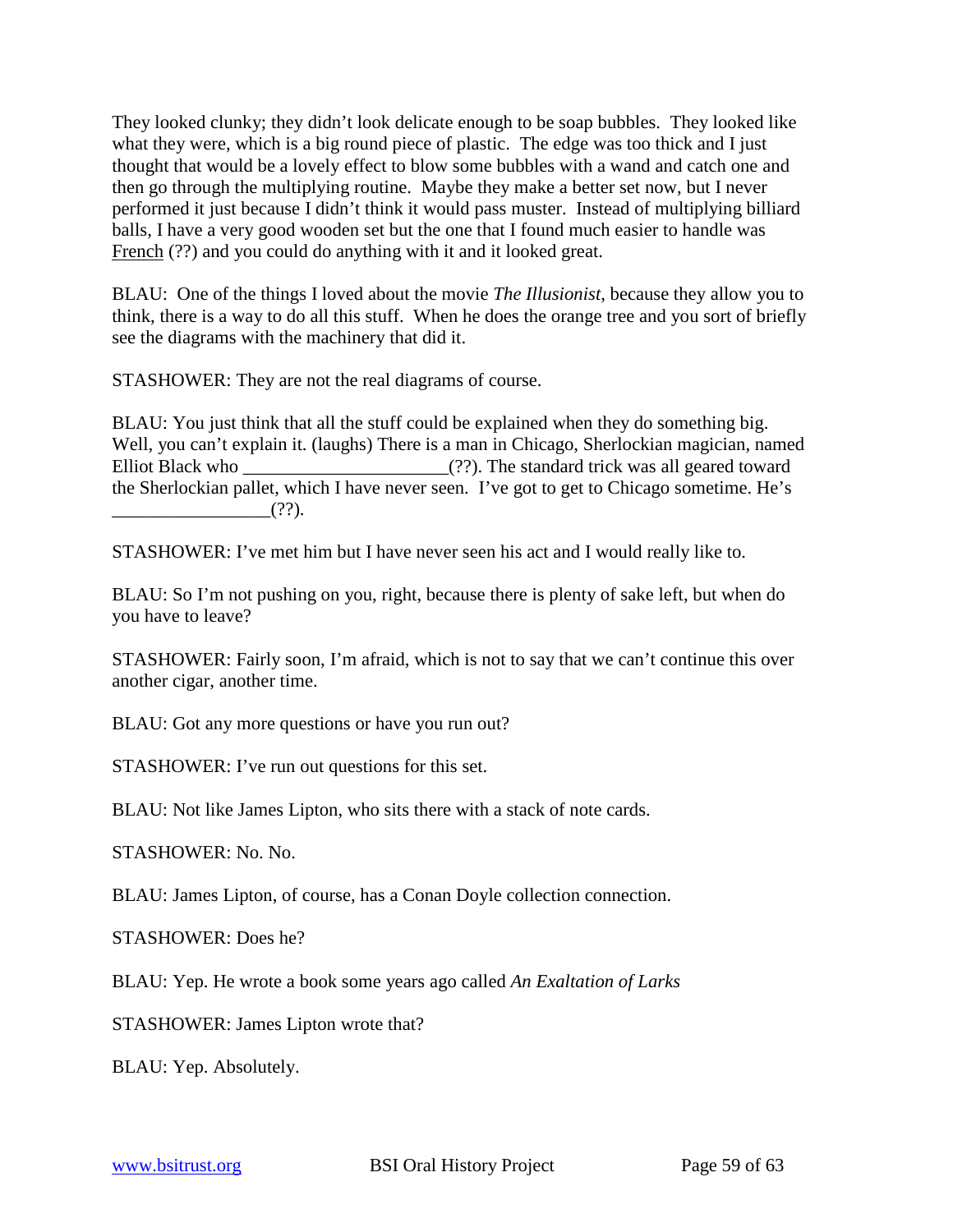They looked clunky; they didn't look delicate enough to be soap bubbles. They looked like what they were, which is a big round piece of plastic. The edge was too thick and I just thought that would be a lovely effect to blow some bubbles with a wand and catch one and then go through the multiplying routine. Maybe they make a better set now, but I never performed it just because I didn't think it would pass muster. Instead of multiplying billiard balls, I have a very good wooden set but the one that I found much easier to handle was French (??) and you could do anything with it and it looked great.

BLAU: One of the things I loved about the movie *The Illusionist*, because they allow you to think, there is a way to do all this stuff. When he does the orange tree and you sort of briefly see the diagrams with the machinery that did it.

STASHOWER: They are not the real diagrams of course.

BLAU: You just think that all the stuff could be explained when they do something big. Well, you can't explain it. (laughs) There is a man in Chicago, Sherlockian magician, named Elliot Black who \_\_\_\_\_\_\_\_\_\_\_\_\_\_\_\_\_\_\_\_\_\_\_\_\_(??). The standard trick was all geared toward the Sherlockian pallet, which I have never seen. I've got to get to Chicago sometime. He's  $(?)$ .

STASHOWER: I've met him but I have never seen his act and I would really like to.

BLAU: So I'm not pushing on you, right, because there is plenty of sake left, but when do you have to leave?

STASHOWER: Fairly soon, I'm afraid, which is not to say that we can't continue this over another cigar, another time.

BLAU: Got any more questions or have you run out?

STASHOWER: I've run out questions for this set.

BLAU: Not like James Lipton, who sits there with a stack of note cards.

STASHOWER: No. No.

BLAU: James Lipton, of course, has a Conan Doyle collection connection.

STASHOWER: Does he?

BLAU: Yep. He wrote a book some years ago called *An Exaltation of Larks*

STASHOWER: James Lipton wrote that?

BLAU: Yep. Absolutely.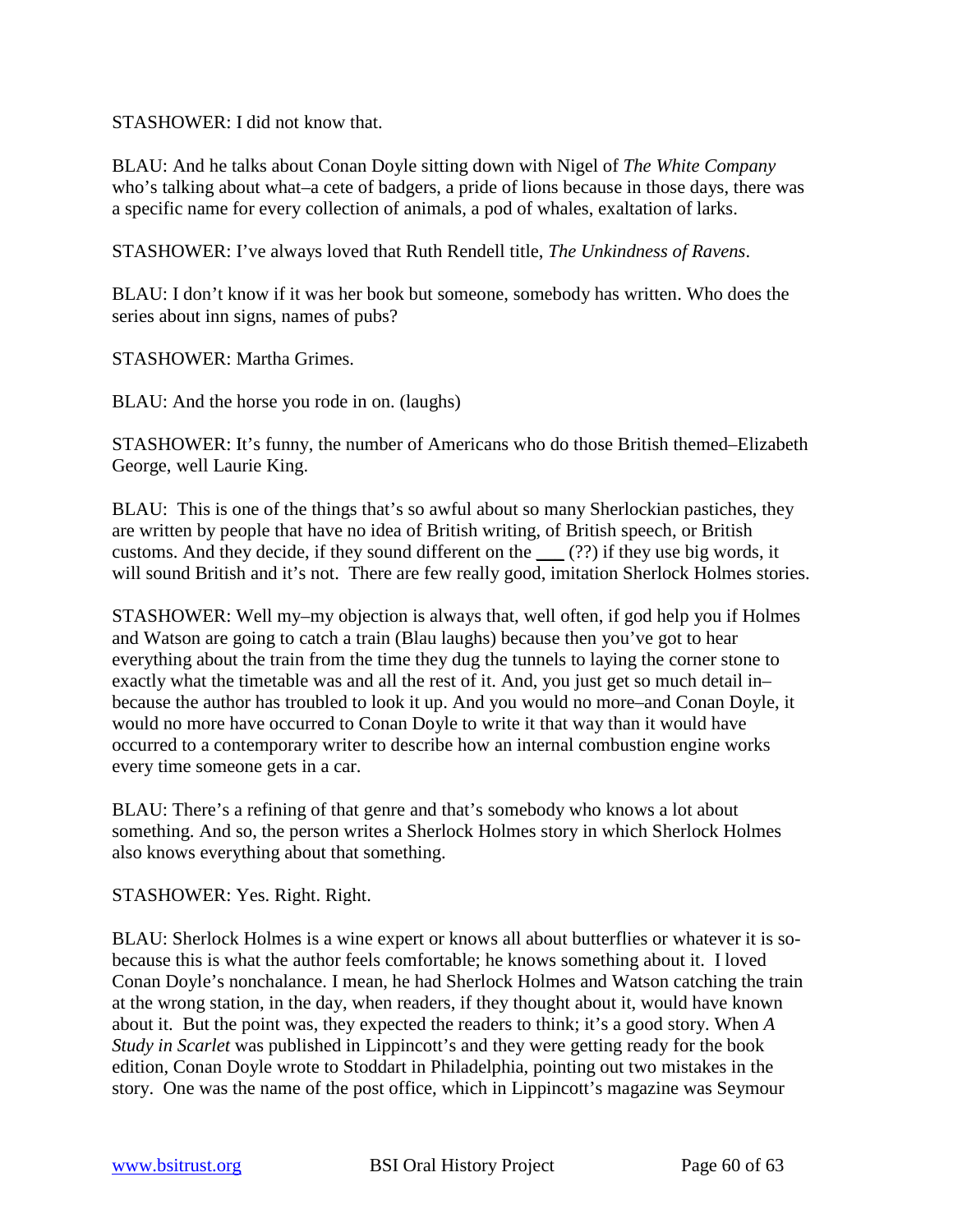STASHOWER: I did not know that.

BLAU: And he talks about Conan Doyle sitting down with Nigel of *The White Company* who's talking about what–a cete of badgers, a pride of lions because in those days, there was a specific name for every collection of animals, a pod of whales, exaltation of larks.

STASHOWER: I've always loved that Ruth Rendell title, *The Unkindness of Ravens*.

BLAU: I don't know if it was her book but someone, somebody has written. Who does the series about inn signs, names of pubs?

STASHOWER: Martha Grimes.

BLAU: And the horse you rode in on. (laughs)

STASHOWER: It's funny, the number of Americans who do those British themed–Elizabeth George, well Laurie King.

BLAU: This is one of the things that's so awful about so many Sherlockian pastiches, they are written by people that have no idea of British writing, of British speech, or British customs. And they decide, if they sound different on the \_\_\_ (??) if they use big words, it will sound British and it's not. There are few really good, imitation Sherlock Holmes stories.

STASHOWER: Well my–my objection is always that, well often, if god help you if Holmes and Watson are going to catch a train (Blau laughs) because then you've got to hear everything about the train from the time they dug the tunnels to laying the corner stone to exactly what the timetable was and all the rest of it. And, you just get so much detail in– because the author has troubled to look it up. And you would no more–and Conan Doyle, it would no more have occurred to Conan Doyle to write it that way than it would have occurred to a contemporary writer to describe how an internal combustion engine works every time someone gets in a car.

BLAU: There's a refining of that genre and that's somebody who knows a lot about something. And so, the person writes a Sherlock Holmes story in which Sherlock Holmes also knows everything about that something.

STASHOWER: Yes. Right. Right.

BLAU: Sherlock Holmes is a wine expert or knows all about butterflies or whatever it is sobecause this is what the author feels comfortable; he knows something about it. I loved Conan Doyle's nonchalance. I mean, he had Sherlock Holmes and Watson catching the train at the wrong station, in the day, when readers, if they thought about it, would have known about it. But the point was, they expected the readers to think; it's a good story. When *A Study in Scarlet* was published in Lippincott's and they were getting ready for the book edition, Conan Doyle wrote to Stoddart in Philadelphia, pointing out two mistakes in the story. One was the name of the post office, which in Lippincott's magazine was Seymour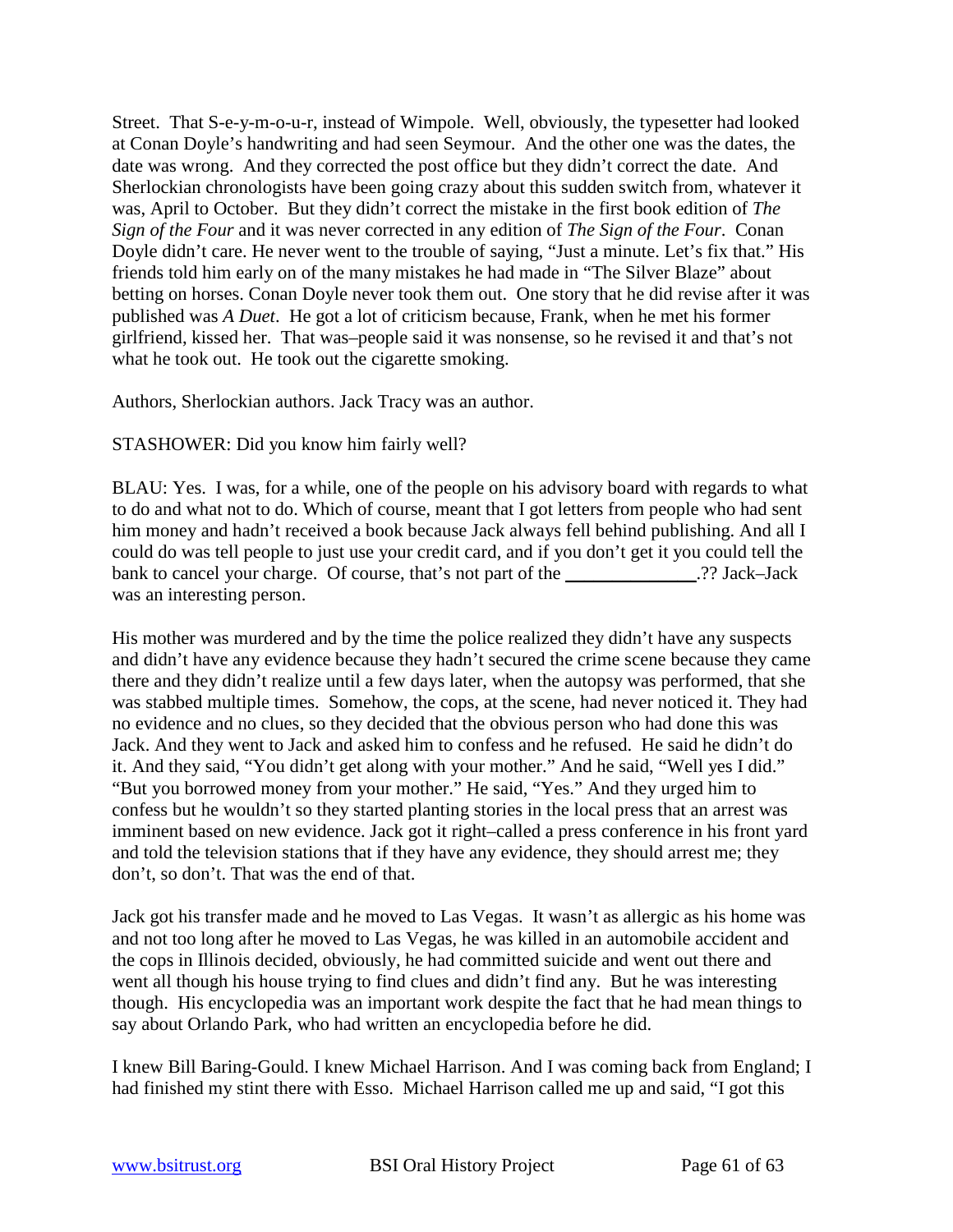Street. That S-e-y-m-o-u-r, instead of Wimpole. Well, obviously, the typesetter had looked at Conan Doyle's handwriting and had seen Seymour. And the other one was the dates, the date was wrong. And they corrected the post office but they didn't correct the date. And Sherlockian chronologists have been going crazy about this sudden switch from, whatever it was, April to October. But they didn't correct the mistake in the first book edition of *The Sign of the Four* and it was never corrected in any edition of *The Sign of the Four*. Conan Doyle didn't care. He never went to the trouble of saying, "Just a minute. Let's fix that." His friends told him early on of the many mistakes he had made in "The Silver Blaze" about betting on horses. Conan Doyle never took them out. One story that he did revise after it was published was *A Duet*. He got a lot of criticism because, Frank, when he met his former girlfriend, kissed her. That was–people said it was nonsense, so he revised it and that's not what he took out. He took out the cigarette smoking.

Authors, Sherlockian authors. Jack Tracy was an author.

STASHOWER: Did you know him fairly well?

BLAU: Yes. I was, for a while, one of the people on his advisory board with regards to what to do and what not to do. Which of course, meant that I got letters from people who had sent him money and hadn't received a book because Jack always fell behind publishing. And all I could do was tell people to just use your credit card, and if you don't get it you could tell the bank to cancel your charge. Of course, that's not part of the 2? Jack–Jack was an interesting person.

His mother was murdered and by the time the police realized they didn't have any suspects and didn't have any evidence because they hadn't secured the crime scene because they came there and they didn't realize until a few days later, when the autopsy was performed, that she was stabbed multiple times. Somehow, the cops, at the scene, had never noticed it. They had no evidence and no clues, so they decided that the obvious person who had done this was Jack. And they went to Jack and asked him to confess and he refused. He said he didn't do it. And they said, "You didn't get along with your mother." And he said, "Well yes I did." "But you borrowed money from your mother." He said, "Yes." And they urged him to confess but he wouldn't so they started planting stories in the local press that an arrest was imminent based on new evidence. Jack got it right–called a press conference in his front yard and told the television stations that if they have any evidence, they should arrest me; they don't, so don't. That was the end of that.

Jack got his transfer made and he moved to Las Vegas. It wasn't as allergic as his home was and not too long after he moved to Las Vegas, he was killed in an automobile accident and the cops in Illinois decided, obviously, he had committed suicide and went out there and went all though his house trying to find clues and didn't find any. But he was interesting though. His encyclopedia was an important work despite the fact that he had mean things to say about Orlando Park, who had written an encyclopedia before he did.

I knew Bill Baring-Gould. I knew Michael Harrison. And I was coming back from England; I had finished my stint there with Esso. Michael Harrison called me up and said, "I got this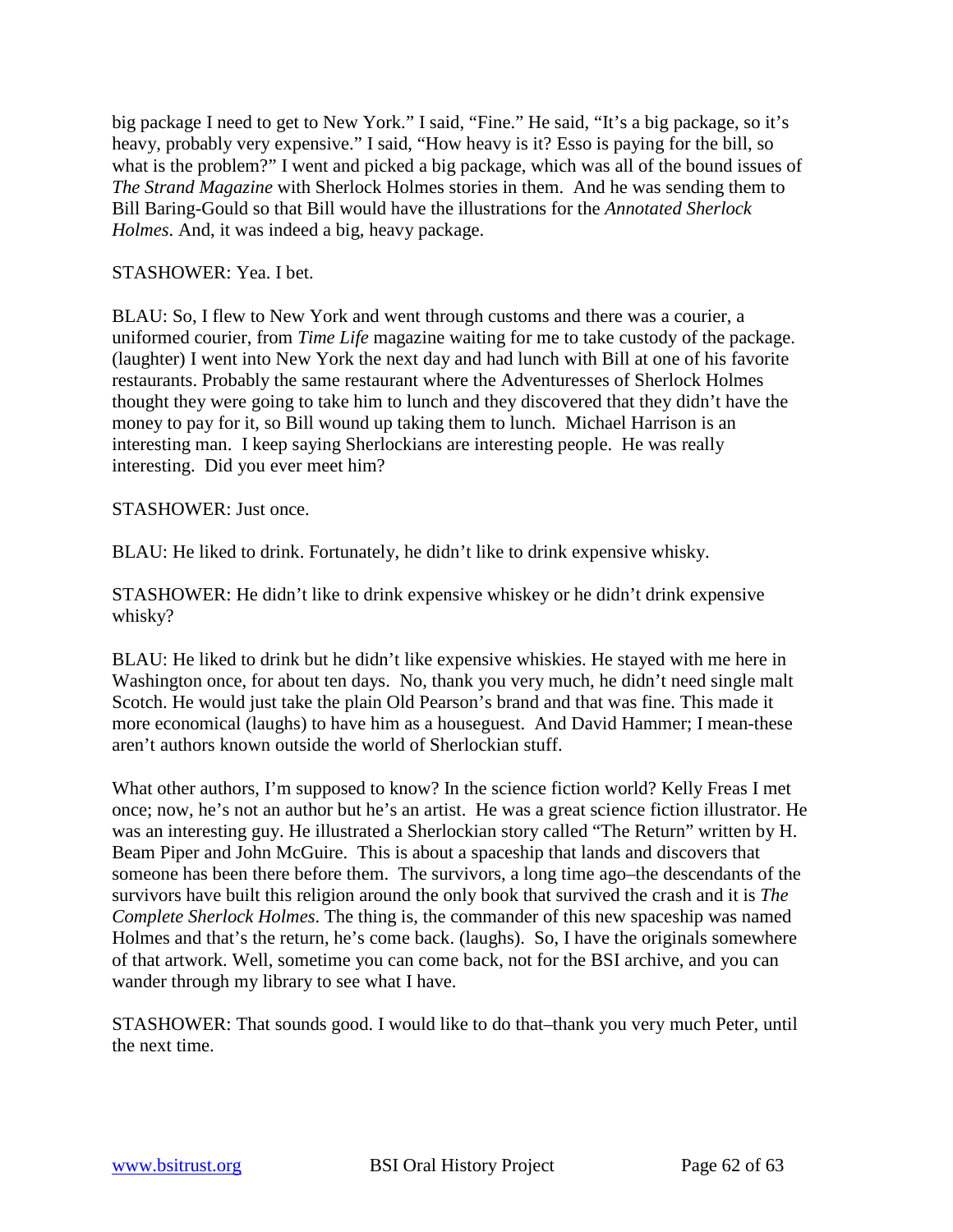big package I need to get to New York." I said, "Fine." He said, "It's a big package, so it's heavy, probably very expensive." I said, "How heavy is it? Esso is paying for the bill, so what is the problem?" I went and picked a big package, which was all of the bound issues of *The Strand Magazine* with Sherlock Holmes stories in them. And he was sending them to Bill Baring-Gould so that Bill would have the illustrations for the *Annotated Sherlock Holmes*. And, it was indeed a big, heavy package.

## STASHOWER: Yea. I bet.

BLAU: So, I flew to New York and went through customs and there was a courier, a uniformed courier, from *Time Life* magazine waiting for me to take custody of the package. (laughter) I went into New York the next day and had lunch with Bill at one of his favorite restaurants. Probably the same restaurant where the Adventuresses of Sherlock Holmes thought they were going to take him to lunch and they discovered that they didn't have the money to pay for it, so Bill wound up taking them to lunch. Michael Harrison is an interesting man. I keep saying Sherlockians are interesting people. He was really interesting. Did you ever meet him?

# STASHOWER: Just once.

BLAU: He liked to drink. Fortunately, he didn't like to drink expensive whisky.

STASHOWER: He didn't like to drink expensive whiskey or he didn't drink expensive whisky?

BLAU: He liked to drink but he didn't like expensive whiskies. He stayed with me here in Washington once, for about ten days. No, thank you very much, he didn't need single malt Scotch. He would just take the plain Old Pearson's brand and that was fine. This made it more economical (laughs) to have him as a houseguest. And David Hammer; I mean-these aren't authors known outside the world of Sherlockian stuff.

What other authors, I'm supposed to know? In the science fiction world? Kelly Freas I met once; now, he's not an author but he's an artist. He was a great science fiction illustrator. He was an interesting guy. He illustrated a Sherlockian story called "The Return" written by H. Beam Piper and John McGuire. This is about a spaceship that lands and discovers that someone has been there before them. The survivors, a long time ago–the descendants of the survivors have built this religion around the only book that survived the crash and it is *The Complete Sherlock Holmes*. The thing is, the commander of this new spaceship was named Holmes and that's the return, he's come back. (laughs). So, I have the originals somewhere of that artwork. Well, sometime you can come back, not for the BSI archive, and you can wander through my library to see what I have.

STASHOWER: That sounds good. I would like to do that–thank you very much Peter, until the next time.